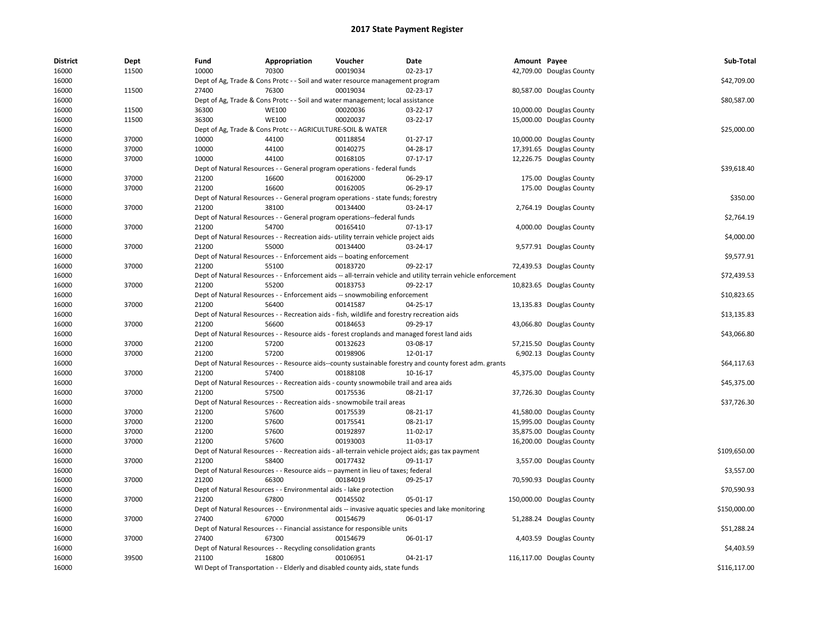| <b>District</b> | Dept  | Fund  | Appropriation                                                                               | Voucher  | Date                                                                                                          | Amount Payee |                           | Sub-Total    |
|-----------------|-------|-------|---------------------------------------------------------------------------------------------|----------|---------------------------------------------------------------------------------------------------------------|--------------|---------------------------|--------------|
| 16000           | 11500 | 10000 | 70300                                                                                       | 00019034 | 02-23-17                                                                                                      |              | 42,709.00 Douglas County  |              |
| 16000           |       |       | Dept of Ag, Trade & Cons Protc - - Soil and water resource management program               |          |                                                                                                               |              |                           | \$42,709.00  |
| 16000           | 11500 | 27400 | 76300                                                                                       | 00019034 | 02-23-17                                                                                                      |              | 80,587.00 Douglas County  |              |
| 16000           |       |       | Dept of Ag, Trade & Cons Protc - - Soil and water management; local assistance              |          |                                                                                                               |              |                           | \$80,587.00  |
| 16000           | 11500 | 36300 | <b>WE100</b>                                                                                | 00020036 | 03-22-17                                                                                                      |              | 10,000.00 Douglas County  |              |
| 16000           | 11500 | 36300 | <b>WE100</b>                                                                                | 00020037 | 03-22-17                                                                                                      |              | 15,000.00 Douglas County  |              |
| 16000           |       |       | Dept of Ag, Trade & Cons Protc - - AGRICULTURE-SOIL & WATER                                 |          |                                                                                                               |              |                           | \$25,000.00  |
| 16000           | 37000 | 10000 | 44100                                                                                       | 00118854 | 01-27-17                                                                                                      |              | 10,000.00 Douglas County  |              |
| 16000           | 37000 | 10000 | 44100                                                                                       | 00140275 | 04-28-17                                                                                                      |              | 17,391.65 Douglas County  |              |
| 16000           | 37000 | 10000 | 44100                                                                                       | 00168105 | $07-17-17$                                                                                                    |              | 12,226.75 Douglas County  |              |
| 16000           |       |       | Dept of Natural Resources - - General program operations - federal funds                    |          |                                                                                                               |              |                           | \$39,618.40  |
| 16000           | 37000 | 21200 | 16600                                                                                       | 00162000 | 06-29-17                                                                                                      |              | 175.00 Douglas County     |              |
| 16000           | 37000 | 21200 | 16600                                                                                       | 00162005 | 06-29-17                                                                                                      |              | 175.00 Douglas County     |              |
| 16000           |       |       | Dept of Natural Resources - - General program operations - state funds; forestry            |          |                                                                                                               |              |                           | \$350.00     |
| 16000           | 37000 | 21200 | 38100                                                                                       | 00134400 | 03-24-17                                                                                                      |              | 2,764.19 Douglas County   |              |
| 16000           |       |       | Dept of Natural Resources - - General program operations--federal funds                     |          |                                                                                                               |              |                           | \$2,764.19   |
| 16000           | 37000 | 21200 | 54700                                                                                       | 00165410 | 07-13-17                                                                                                      |              | 4,000.00 Douglas County   |              |
| 16000           |       |       | Dept of Natural Resources - - Recreation aids- utility terrain vehicle project aids         |          |                                                                                                               |              |                           | \$4,000.00   |
| 16000           | 37000 | 21200 | 55000                                                                                       | 00134400 | 03-24-17                                                                                                      |              | 9,577.91 Douglas County   |              |
| 16000           |       |       | Dept of Natural Resources - - Enforcement aids -- boating enforcement                       |          |                                                                                                               |              |                           | \$9,577.91   |
| 16000           | 37000 | 21200 | 55100                                                                                       | 00183720 | 09-22-17                                                                                                      |              | 72,439.53 Douglas County  |              |
| 16000           |       |       |                                                                                             |          | Dept of Natural Resources - - Enforcement aids -- all-terrain vehicle and utility terrain vehicle enforcement |              |                           | \$72,439.53  |
| 16000           | 37000 | 21200 | 55200                                                                                       | 00183753 | 09-22-17                                                                                                      |              | 10,823.65 Douglas County  |              |
| 16000           |       |       | Dept of Natural Resources - - Enforcement aids -- snowmobiling enforcement                  |          |                                                                                                               |              |                           | \$10,823.65  |
| 16000           | 37000 | 21200 | 56400                                                                                       | 00141587 | 04-25-17                                                                                                      |              | 13,135.83 Douglas County  |              |
| 16000           |       |       | Dept of Natural Resources - - Recreation aids - fish, wildlife and forestry recreation aids |          |                                                                                                               |              |                           | \$13,135.83  |
| 16000           | 37000 | 21200 | 56600                                                                                       | 00184653 | 09-29-17                                                                                                      |              | 43,066.80 Douglas County  |              |
| 16000           |       |       |                                                                                             |          | Dept of Natural Resources - - Resource aids - forest croplands and managed forest land aids                   |              |                           | \$43,066.80  |
| 16000           | 37000 | 21200 | 57200                                                                                       | 00132623 | 03-08-17                                                                                                      |              | 57,215.50 Douglas County  |              |
| 16000           | 37000 | 21200 | 57200                                                                                       | 00198906 | 12-01-17                                                                                                      |              | 6,902.13 Douglas County   |              |
| 16000           |       |       |                                                                                             |          | Dept of Natural Resources - - Resource aids--county sustainable forestry and county forest adm. grants        |              |                           | \$64,117.63  |
| 16000           | 37000 | 21200 | 57400                                                                                       | 00188108 | 10-16-17                                                                                                      |              | 45,375.00 Douglas County  |              |
| 16000           |       |       | Dept of Natural Resources - - Recreation aids - county snowmobile trail and area aids       |          |                                                                                                               |              |                           | \$45,375.00  |
| 16000           | 37000 | 21200 | 57500                                                                                       | 00175536 | 08-21-17                                                                                                      |              | 37,726.30 Douglas County  |              |
| 16000           |       |       | Dept of Natural Resources - - Recreation aids - snowmobile trail areas                      |          |                                                                                                               |              |                           | \$37,726.30  |
| 16000           | 37000 | 21200 | 57600                                                                                       | 00175539 | 08-21-17                                                                                                      |              | 41,580.00 Douglas County  |              |
| 16000           | 37000 | 21200 | 57600                                                                                       | 00175541 | 08-21-17                                                                                                      |              | 15,995.00 Douglas County  |              |
| 16000           | 37000 | 21200 | 57600                                                                                       | 00192897 | 11-02-17                                                                                                      |              | 35,875.00 Douglas County  |              |
| 16000           | 37000 | 21200 | 57600                                                                                       | 00193003 | 11-03-17                                                                                                      |              | 16,200.00 Douglas County  |              |
| 16000           |       |       |                                                                                             |          | Dept of Natural Resources - - Recreation aids - all-terrain vehicle project aids; gas tax payment             |              |                           | \$109,650.00 |
| 16000           | 37000 | 21200 | 58400                                                                                       | 00177432 | 09-11-17                                                                                                      |              | 3,557.00 Douglas County   |              |
| 16000           |       |       | Dept of Natural Resources - - Resource aids -- payment in lieu of taxes; federal            |          |                                                                                                               |              |                           | \$3,557.00   |
| 16000           | 37000 | 21200 | 66300                                                                                       | 00184019 | 09-25-17                                                                                                      |              | 70,590.93 Douglas County  |              |
| 16000           |       |       | Dept of Natural Resources - - Environmental aids - lake protection                          |          |                                                                                                               |              |                           | \$70,590.93  |
|                 | 37000 | 21200 | 67800                                                                                       | 00145502 | 05-01-17                                                                                                      |              |                           |              |
| 16000           |       |       |                                                                                             |          |                                                                                                               |              | 150,000.00 Douglas County | \$150,000.00 |
| 16000           |       |       |                                                                                             |          | Dept of Natural Resources - - Environmental aids -- invasive aquatic species and lake monitoring              |              |                           |              |
| 16000           | 37000 | 27400 | 67000                                                                                       | 00154679 | 06-01-17                                                                                                      |              | 51,288.24 Douglas County  |              |
| 16000           |       |       | Dept of Natural Resources - - Financial assistance for responsible units                    |          |                                                                                                               |              |                           | \$51,288.24  |
| 16000           | 37000 | 27400 | 67300                                                                                       | 00154679 | 06-01-17                                                                                                      |              | 4,403.59 Douglas County   |              |
| 16000           |       |       | Dept of Natural Resources - - Recycling consolidation grants                                |          |                                                                                                               |              |                           | \$4,403.59   |
| 16000           | 39500 | 21100 | 16800                                                                                       | 00106951 | 04-21-17                                                                                                      |              | 116,117.00 Douglas County |              |
| 16000           |       |       | WI Dept of Transportation - - Elderly and disabled county aids, state funds                 |          |                                                                                                               |              |                           | \$116,117.00 |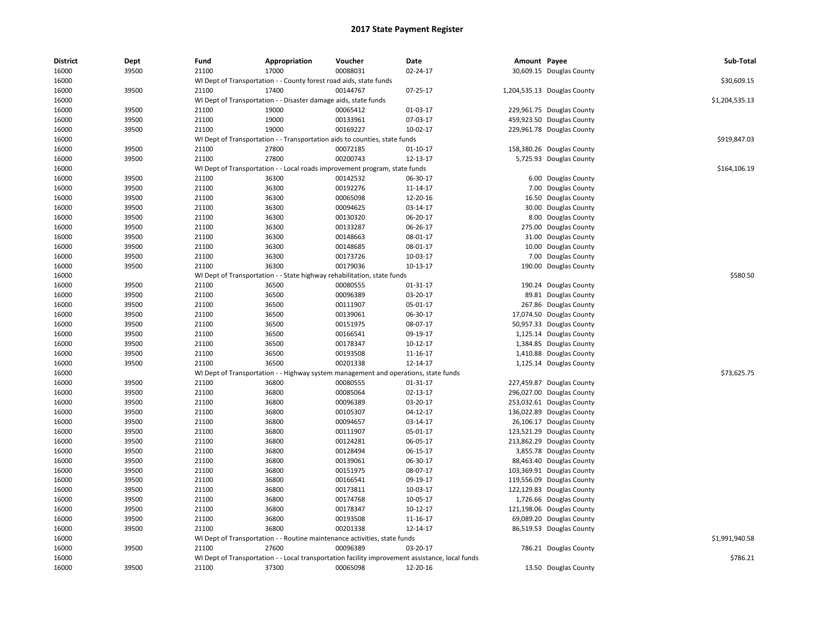| District       | Dept           | Fund           | Appropriation                                                                       | Voucher              | Date                                                                                            | Amount Payee |                                                       | Sub-Total      |
|----------------|----------------|----------------|-------------------------------------------------------------------------------------|----------------------|-------------------------------------------------------------------------------------------------|--------------|-------------------------------------------------------|----------------|
| 16000          | 39500          | 21100          | 17000                                                                               | 00088031             | 02-24-17                                                                                        |              | 30,609.15 Douglas County                              |                |
| 16000          |                |                | WI Dept of Transportation - - County forest road aids, state funds                  |                      |                                                                                                 |              |                                                       | \$30,609.15    |
| 16000          | 39500          | 21100          | 17400                                                                               | 00144767             | 07-25-17                                                                                        |              | 1,204,535.13 Douglas County                           |                |
| 16000          |                |                | WI Dept of Transportation - - Disaster damage aids, state funds                     |                      |                                                                                                 |              |                                                       | \$1,204,535.13 |
| 16000          | 39500          | 21100          | 19000                                                                               | 00065412             | 01-03-17                                                                                        |              | 229,961.75 Douglas County                             |                |
| 16000          | 39500          | 21100          | 19000                                                                               | 00133961             | 07-03-17                                                                                        |              | 459,923.50 Douglas County                             |                |
| 16000          | 39500          | 21100          | 19000                                                                               | 00169227             | 10-02-17                                                                                        |              | 229,961.78 Douglas County                             |                |
| 16000          |                |                | WI Dept of Transportation - - Transportation aids to counties, state funds          |                      |                                                                                                 |              |                                                       | \$919,847.03   |
| 16000          | 39500          | 21100          | 27800                                                                               | 00072185             | 01-10-17                                                                                        |              | 158,380.26 Douglas County                             |                |
| 16000          | 39500          | 21100          | 27800                                                                               | 00200743             | 12-13-17                                                                                        |              | 5,725.93 Douglas County                               |                |
| 16000          |                |                | WI Dept of Transportation - - Local roads improvement program, state funds          |                      |                                                                                                 |              |                                                       | \$164,106.19   |
| 16000          | 39500          | 21100          | 36300                                                                               | 00142532             | 06-30-17                                                                                        | 6.00         | Douglas County                                        |                |
| 16000          | 39500          | 21100          | 36300                                                                               | 00192276             | 11-14-17                                                                                        | 7.00         | Douglas County                                        |                |
| 16000          | 39500          | 21100          | 36300                                                                               | 00065098             | 12-20-16                                                                                        | 16.50        | Douglas County                                        |                |
| 16000          | 39500          | 21100          | 36300                                                                               | 00094625             | 03-14-17                                                                                        |              | 30.00 Douglas County                                  |                |
| 16000          | 39500          | 21100          | 36300                                                                               | 00130320             | 06-20-17                                                                                        |              | 8.00 Douglas County                                   |                |
| 16000          | 39500          | 21100          | 36300                                                                               | 00133287             | 06-26-17                                                                                        | 275.00       | Douglas County                                        |                |
| 16000          | 39500          | 21100          | 36300                                                                               | 00148663             | 08-01-17                                                                                        | 31.00        | Douglas County                                        |                |
| 16000          | 39500          | 21100          | 36300                                                                               | 00148685             | 08-01-17                                                                                        | 10.00        | Douglas County                                        |                |
| 16000          | 39500          | 21100          | 36300                                                                               | 00173726             | 10-03-17                                                                                        |              | 7.00 Douglas County                                   |                |
| 16000          | 39500          | 21100          | 36300                                                                               | 00179036             | 10-13-17                                                                                        |              | 190.00 Douglas County                                 |                |
| 16000          |                |                | WI Dept of Transportation - - State highway rehabilitation, state funds             |                      |                                                                                                 |              |                                                       | \$580.50       |
| 16000          | 39500          | 21100          | 36500                                                                               | 00080555             | 01-31-17                                                                                        |              | 190.24 Douglas County                                 |                |
| 16000          | 39500          | 21100          | 36500                                                                               | 00096389             | 03-20-17                                                                                        |              | 89.81 Douglas County                                  |                |
| 16000          | 39500          | 21100          | 36500                                                                               | 00111907             | 05-01-17                                                                                        |              | 267.86 Douglas County                                 |                |
| 16000          | 39500          | 21100          | 36500                                                                               | 00139061             | 06-30-17                                                                                        |              | 17,074.50 Douglas County                              |                |
| 16000          | 39500          | 21100          | 36500                                                                               | 00151975             | 08-07-17                                                                                        |              | 50,957.33 Douglas County                              |                |
| 16000          | 39500          | 21100          | 36500                                                                               | 00166541             | 09-19-17                                                                                        |              | 1,125.14 Douglas County                               |                |
| 16000          | 39500          | 21100          | 36500                                                                               | 00178347             | 10-12-17                                                                                        |              | 1,384.85 Douglas County                               |                |
| 16000          | 39500          | 21100          | 36500                                                                               | 00193508             | 11-16-17                                                                                        |              | 1,410.88 Douglas County                               |                |
| 16000          | 39500          | 21100          | 36500                                                                               | 00201338             | 12-14-17                                                                                        |              | 1,125.14 Douglas County                               |                |
| 16000          |                |                | WI Dept of Transportation - - Highway system management and operations, state funds |                      |                                                                                                 |              |                                                       | \$73,625.75    |
| 16000          | 39500          | 21100          | 36800                                                                               | 00080555             | 01-31-17                                                                                        |              | 227,459.87 Douglas County                             |                |
| 16000          | 39500          | 21100          | 36800                                                                               | 00085064             | 02-13-17                                                                                        | 296,027.00   | Douglas County                                        |                |
| 16000          | 39500          | 21100          | 36800                                                                               | 00096389             | 03-20-17                                                                                        |              | 253,032.61 Douglas County                             |                |
| 16000          | 39500          | 21100          | 36800                                                                               | 00105307             | 04-12-17                                                                                        |              | 136,022.89 Douglas County                             |                |
| 16000          | 39500          | 21100          | 36800                                                                               | 00094657             | 03-14-17                                                                                        |              | 26,106.17 Douglas County                              |                |
| 16000          | 39500          | 21100          | 36800                                                                               | 00111907             | 05-01-17                                                                                        |              | 123,521.29 Douglas County                             |                |
| 16000          | 39500          | 21100          | 36800                                                                               | 00124281             | 06-05-17                                                                                        | 213,862.29   | Douglas County                                        |                |
| 16000          | 39500          | 21100          | 36800                                                                               | 00128494             | 06-15-17                                                                                        |              | 3,855.78 Douglas County                               |                |
| 16000          | 39500          | 21100          | 36800                                                                               | 00139061             | 06-30-17                                                                                        |              | 88,463.40 Douglas County                              |                |
| 16000          | 39500          | 21100          | 36800                                                                               | 00151975             | 08-07-17                                                                                        |              | 103,369.91 Douglas County                             |                |
| 16000          | 39500          | 21100          | 36800                                                                               | 00166541             | 09-19-17                                                                                        |              | 119,556.09 Douglas County                             |                |
| 16000          | 39500          | 21100          | 36800                                                                               | 00173811             | 10-03-17                                                                                        | 122,129.83   | Douglas County                                        |                |
|                |                |                |                                                                                     |                      |                                                                                                 |              |                                                       |                |
| 16000<br>16000 | 39500<br>39500 | 21100<br>21100 | 36800<br>36800                                                                      | 00174768<br>00178347 | 10-05-17<br>10-12-17                                                                            |              | 1,726.66 Douglas County                               |                |
| 16000          | 39500          | 21100          | 36800                                                                               | 00193508             | 11-16-17                                                                                        |              | 121,198.06 Douglas County<br>69,089.20 Douglas County |                |
|                |                | 21100          |                                                                                     |                      |                                                                                                 |              |                                                       |                |
| 16000          | 39500          |                | 36800                                                                               | 00201338             | 12-14-17                                                                                        |              | 86,519.53 Douglas County                              | \$1.991.940.58 |
| 16000          |                |                | WI Dept of Transportation - - Routine maintenance activities, state funds           |                      |                                                                                                 |              |                                                       |                |
| 16000          | 39500          | 21100          | 27600                                                                               | 00096389             | 03-20-17                                                                                        |              | 786.21 Douglas County                                 |                |
| 16000          |                |                |                                                                                     |                      | WI Dept of Transportation - - Local transportation facility improvement assistance, local funds |              |                                                       | \$786.21       |
| 16000          | 39500          | 21100          | 37300                                                                               | 00065098             | 12-20-16                                                                                        |              | 13.50 Douglas County                                  |                |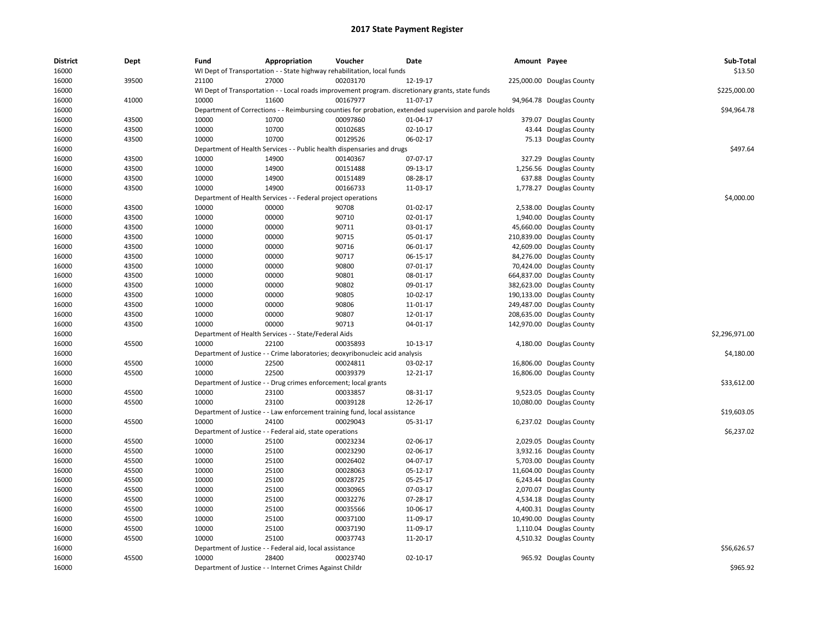| <b>District</b><br>16000 | Dept  | Fund                          | Appropriation<br>WI Dept of Transportation - - State highway rehabilitation, local funds                | Voucher                                | Date                 | Amount Payee |                           | Sub-Total<br>\$13.50 |
|--------------------------|-------|-------------------------------|---------------------------------------------------------------------------------------------------------|----------------------------------------|----------------------|--------------|---------------------------|----------------------|
| 16000                    | 39500 | 21100                         | 27000                                                                                                   | 00203170                               | 12-19-17             |              | 225,000.00 Douglas County |                      |
| 16000                    |       |                               | WI Dept of Transportation - - Local roads improvement program. discretionary grants, state funds        |                                        |                      |              |                           | \$225,000.00         |
| 16000                    | 41000 | 10000                         | 11600                                                                                                   | 00167977                               | 11-07-17             |              | 94,964.78 Douglas County  |                      |
| 16000                    |       |                               | Department of Corrections - - Reimbursing counties for probation, extended supervision and parole holds |                                        |                      |              |                           | \$94,964.78          |
| 16000                    | 43500 | 10000                         | 10700                                                                                                   | 00097860                               | 01-04-17             |              | 379.07 Douglas County     |                      |
| 16000                    | 43500 | 10000                         | 10700                                                                                                   | 00102685                               | 02-10-17             |              | 43.44 Douglas County      |                      |
| 16000                    | 43500 | 10000                         | 10700                                                                                                   | 00129526                               | 06-02-17             |              | 75.13 Douglas County      |                      |
| 16000                    |       | Department of Health Services |                                                                                                         | - Public health dispensaries and drugs |                      |              |                           | \$497.64             |
| 16000                    | 43500 | 10000                         | 14900                                                                                                   | 00140367                               | 07-07-17             |              | 327.29 Douglas County     |                      |
| 16000                    | 43500 | 10000                         | 14900                                                                                                   | 00151488                               | 09-13-17             |              | 1,256.56 Douglas County   |                      |
| 16000                    | 43500 | 10000                         | 14900                                                                                                   | 00151489                               | 08-28-17             |              | 637.88 Douglas County     |                      |
|                          |       | 10000                         | 14900                                                                                                   | 00166733                               |                      |              |                           |                      |
| 16000                    | 43500 |                               |                                                                                                         |                                        | 11-03-17             |              | 1,778.27 Douglas County   | \$4,000.00           |
| 16000                    |       | Department of Health Services |                                                                                                         | - Federal project operations           |                      |              |                           |                      |
| 16000                    | 43500 | 10000                         | 00000                                                                                                   | 90708                                  | $01-02-17$           |              | 2,538.00 Douglas County   |                      |
| 16000                    | 43500 | 10000                         | 00000                                                                                                   | 90710                                  | 02-01-17             |              | 1,940.00 Douglas County   |                      |
| 16000                    | 43500 | 10000                         | 00000                                                                                                   | 90711                                  | 03-01-17             |              | 45,660.00 Douglas County  |                      |
| 16000                    | 43500 | 10000                         | 00000                                                                                                   | 90715                                  | 05-01-17             |              | 210,839.00 Douglas County |                      |
| 16000                    | 43500 | 10000                         | 00000                                                                                                   | 90716                                  | 06-01-17             |              | 42,609.00 Douglas County  |                      |
| 16000                    | 43500 | 10000                         | 00000                                                                                                   | 90717                                  | 06-15-17             |              | 84,276.00 Douglas County  |                      |
| 16000                    | 43500 | 10000                         | 00000                                                                                                   | 90800                                  | 07-01-17             |              | 70,424.00 Douglas County  |                      |
| 16000                    | 43500 | 10000                         | 00000                                                                                                   | 90801                                  | 08-01-17             |              | 664,837.00 Douglas County |                      |
| 16000                    | 43500 | 10000                         | 00000                                                                                                   | 90802                                  | 09-01-17             |              | 382,623.00 Douglas County |                      |
| 16000                    | 43500 | 10000                         | 00000                                                                                                   | 90805                                  | 10-02-17             |              | 190,133.00 Douglas County |                      |
| 16000                    | 43500 | 10000                         | 00000                                                                                                   | 90806                                  | 11-01-17             |              | 249,487.00 Douglas County |                      |
| 16000                    | 43500 | 10000                         | 00000                                                                                                   | 90807                                  | 12-01-17             |              | 208,635.00 Douglas County |                      |
| 16000                    | 43500 | 10000                         | 00000                                                                                                   | 90713                                  | 04-01-17             |              | 142,970.00 Douglas County |                      |
| 16000                    |       |                               | Department of Health Services - - State/Federal Aids                                                    |                                        |                      |              |                           | \$2,296,971.00       |
| 16000                    | 45500 | 10000                         | 22100                                                                                                   | 00035893                               | 10-13-17             |              | 4,180.00 Douglas County   |                      |
| 16000                    |       |                               | Department of Justice - - Crime laboratories; deoxyribonucleic acid analysis                            |                                        |                      |              |                           | \$4,180.00           |
| 16000                    | 45500 | 10000                         | 22500                                                                                                   | 00024811                               | 03-02-17             |              | 16,806.00 Douglas County  |                      |
| 16000                    | 45500 | 10000                         | 22500                                                                                                   | 00039379                               | 12-21-17             |              | 16,806.00 Douglas County  |                      |
| 16000                    |       |                               | Department of Justice - - Drug crimes enforcement; local grants                                         |                                        |                      |              |                           | \$33,612.00          |
| 16000                    | 45500 | 10000                         | 23100                                                                                                   | 00033857                               | 08-31-17             |              | 9,523.05 Douglas County   |                      |
| 16000                    | 45500 | 10000                         | 23100                                                                                                   | 00039128                               | 12-26-17             |              | 10,080.00 Douglas County  |                      |
| 16000                    |       |                               | Department of Justice - - Law enforcement training fund, local assistance                               |                                        |                      |              |                           | \$19,603.05          |
| 16000                    | 45500 | 10000                         | 24100                                                                                                   | 00029043                               | 05-31-17             |              | 6,237.02 Douglas County   |                      |
| 16000                    |       |                               | Department of Justice - - Federal aid, state operations                                                 |                                        |                      |              |                           | \$6,237.02           |
| 16000                    | 45500 | 10000                         | 25100                                                                                                   | 00023234                               | 02-06-17             |              | 2,029.05 Douglas County   |                      |
| 16000                    | 45500 | 10000                         | 25100                                                                                                   | 00023290                               | 02-06-17             |              | 3,932.16 Douglas County   |                      |
|                          | 45500 |                               |                                                                                                         |                                        |                      |              |                           |                      |
| 16000                    | 45500 | 10000<br>10000                | 25100<br>25100                                                                                          | 00026402<br>00028063                   | 04-07-17<br>05-12-17 |              | 5,703.00 Douglas County   |                      |
| 16000                    |       |                               |                                                                                                         |                                        |                      |              | 11,604.00 Douglas County  |                      |
| 16000                    | 45500 | 10000                         | 25100                                                                                                   | 00028725                               | 05-25-17             |              | 6,243.44 Douglas County   |                      |
| 16000                    | 45500 | 10000                         | 25100                                                                                                   | 00030965                               | 07-03-17             |              | 2,070.07 Douglas County   |                      |
| 16000                    | 45500 | 10000                         | 25100                                                                                                   | 00032276                               | 07-28-17             |              | 4,534.18 Douglas County   |                      |
| 16000                    | 45500 | 10000                         | 25100                                                                                                   | 00035566                               | 10-06-17             |              | 4,400.31 Douglas County   |                      |
| 16000                    | 45500 | 10000                         | 25100                                                                                                   | 00037100                               | 11-09-17             |              | 10,490.00 Douglas County  |                      |
| 16000                    | 45500 | 10000                         | 25100                                                                                                   | 00037190                               | 11-09-17             |              | 1,110.04 Douglas County   |                      |
| 16000                    | 45500 | 10000                         | 25100                                                                                                   | 00037743                               | 11-20-17             |              | 4,510.32 Douglas County   |                      |
| 16000                    |       |                               | Department of Justice - - Federal aid, local assistance                                                 |                                        |                      |              |                           | \$56,626.57          |
| 16000                    | 45500 | 10000                         | 28400                                                                                                   | 00023740                               | 02-10-17             |              | 965.92 Douglas County     |                      |
| 16000                    |       |                               | Department of Justice - - Internet Crimes Against Childr                                                |                                        |                      |              |                           | \$965.92             |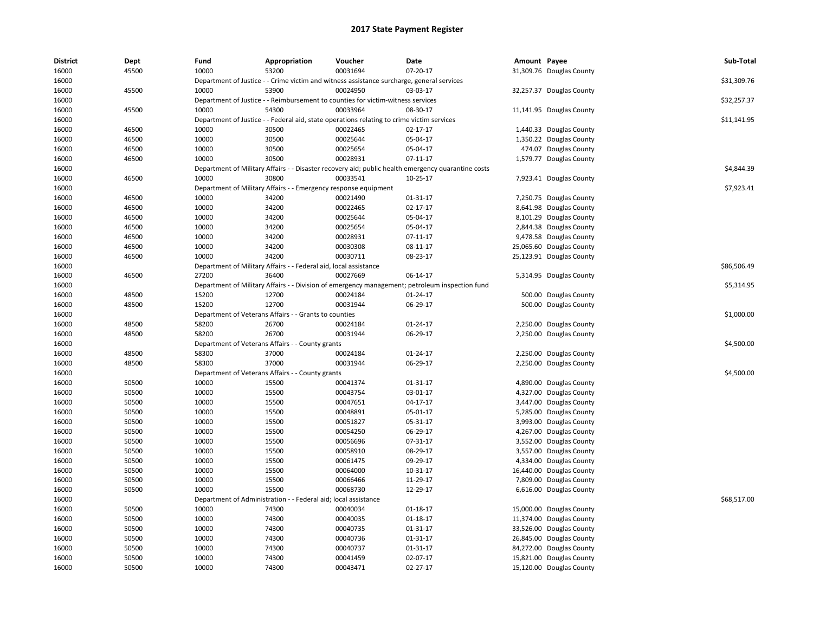| <b>District</b> | Dept           | Fund  | Appropriation                                                                             | Voucher  | Date                                                                                                             | Amount Payee |                          | Sub-Total   |
|-----------------|----------------|-------|-------------------------------------------------------------------------------------------|----------|------------------------------------------------------------------------------------------------------------------|--------------|--------------------------|-------------|
| 16000           | 45500          | 10000 | 53200                                                                                     | 00031694 | 07-20-17                                                                                                         |              | 31,309.76 Douglas County |             |
| 16000           |                |       | Department of Justice - - Crime victim and witness assistance surcharge, general services |          |                                                                                                                  |              |                          | \$31,309.76 |
| 16000           | 45500          | 10000 | 53900                                                                                     | 00024950 | 03-03-17                                                                                                         |              | 32,257.37 Douglas County |             |
| 16000           |                |       | Department of Justice - - Reimbursement to counties for victim-witness services           |          |                                                                                                                  |              |                          | \$32,257.37 |
| 16000           | 45500          | 10000 | 54300                                                                                     | 00033964 | 08-30-17                                                                                                         |              | 11,141.95 Douglas County |             |
| 16000           |                |       | Department of Justice - - Federal aid, state operations relating to crime victim services |          |                                                                                                                  |              |                          | \$11,141.95 |
| 16000           | 46500          | 10000 | 30500                                                                                     | 00022465 | $02 - 17 - 17$                                                                                                   |              | 1,440.33 Douglas County  |             |
| 16000           | 46500          | 10000 | 30500                                                                                     | 00025644 | 05-04-17                                                                                                         |              | 1,350.22 Douglas County  |             |
| 16000           | 46500          | 10000 | 30500                                                                                     | 00025654 | 05-04-17                                                                                                         |              | 474.07 Douglas County    |             |
| 16000           | 46500          | 10000 | 30500                                                                                     | 00028931 | 07-11-17                                                                                                         |              | 1,579.77 Douglas County  |             |
| 16000           |                |       |                                                                                           |          | Department of Military Affairs - - Disaster recovery aid; public health emergency quarantine costs               |              |                          | \$4,844.39  |
| 16000           | 46500          | 10000 | 30800                                                                                     | 00033541 | $10-25-17$                                                                                                       |              | 7,923.41 Douglas County  |             |
| 16000           |                |       | Department of Military Affairs - - Emergency response equipment                           |          |                                                                                                                  |              |                          | \$7,923.41  |
| 16000           | 46500          | 10000 | 34200                                                                                     | 00021490 | 01-31-17                                                                                                         |              | 7,250.75 Douglas County  |             |
| 16000           | 46500          | 10000 | 34200                                                                                     | 00022465 | 02-17-17                                                                                                         |              | 8,641.98 Douglas County  |             |
| 16000           | 46500          | 10000 | 34200                                                                                     | 00025644 | 05-04-17                                                                                                         |              | 8,101.29 Douglas County  |             |
| 16000           | 46500          | 10000 | 34200                                                                                     | 00025654 | 05-04-17                                                                                                         |              | 2,844.38 Douglas County  |             |
| 16000           | 46500          | 10000 | 34200                                                                                     | 00028931 | 07-11-17                                                                                                         |              | 9,478.58 Douglas County  |             |
| 16000           | 46500          | 10000 | 34200                                                                                     | 00030308 | 08-11-17                                                                                                         |              | 25,065.60 Douglas County |             |
| 16000           | 46500          | 10000 | 34200                                                                                     | 00030711 | 08-23-17                                                                                                         |              | 25,123.91 Douglas County |             |
| 16000           |                |       | Department of Military Affairs - - Federal aid, local assistance                          |          |                                                                                                                  |              |                          | \$86,506.49 |
| 16000           | 46500          | 27200 | 36400                                                                                     | 00027669 | 06-14-17                                                                                                         |              | 5,314.95 Douglas County  |             |
|                 |                |       |                                                                                           |          |                                                                                                                  |              |                          | \$5,314.95  |
| 16000           |                | 15200 | 12700                                                                                     | 00024184 | Department of Military Affairs - - Division of emergency management; petroleum inspection fund<br>$01 - 24 - 17$ |              |                          |             |
| 16000           | 48500<br>48500 | 15200 | 12700                                                                                     | 00031944 | 06-29-17                                                                                                         |              | 500.00 Douglas County    |             |
| 16000           |                |       |                                                                                           |          |                                                                                                                  |              | 500.00 Douglas County    |             |
| 16000           |                |       | Department of Veterans Affairs - - Grants to counties                                     |          |                                                                                                                  |              |                          | \$1,000.00  |
| 16000           | 48500          | 58200 | 26700                                                                                     | 00024184 | 01-24-17                                                                                                         |              | 2,250.00 Douglas County  |             |
| 16000           | 48500          | 58200 | 26700                                                                                     | 00031944 | 06-29-17                                                                                                         |              | 2,250.00 Douglas County  |             |
| 16000           |                |       | Department of Veterans Affairs - - County grants                                          |          |                                                                                                                  |              |                          | \$4,500.00  |
| 16000           | 48500          | 58300 | 37000                                                                                     | 00024184 | $01 - 24 - 17$                                                                                                   |              | 2,250.00 Douglas County  |             |
| 16000           | 48500          | 58300 | 37000                                                                                     | 00031944 | 06-29-17                                                                                                         |              | 2,250.00 Douglas County  |             |
| 16000           |                |       | Department of Veterans Affairs - - County grants                                          |          |                                                                                                                  |              |                          | \$4,500.00  |
| 16000           | 50500          | 10000 | 15500                                                                                     | 00041374 | 01-31-17                                                                                                         |              | 4,890.00 Douglas County  |             |
| 16000           | 50500          | 10000 | 15500                                                                                     | 00043754 | 03-01-17                                                                                                         |              | 4,327.00 Douglas County  |             |
| 16000           | 50500          | 10000 | 15500                                                                                     | 00047651 | 04-17-17                                                                                                         |              | 3,447.00 Douglas County  |             |
| 16000           | 50500          | 10000 | 15500                                                                                     | 00048891 | 05-01-17                                                                                                         |              | 5,285.00 Douglas County  |             |
| 16000           | 50500          | 10000 | 15500                                                                                     | 00051827 | 05-31-17                                                                                                         |              | 3,993.00 Douglas County  |             |
| 16000           | 50500          | 10000 | 15500                                                                                     | 00054250 | 06-29-17                                                                                                         |              | 4,267.00 Douglas County  |             |
| 16000           | 50500          | 10000 | 15500                                                                                     | 00056696 | 07-31-17                                                                                                         |              | 3,552.00 Douglas County  |             |
| 16000           | 50500          | 10000 | 15500                                                                                     | 00058910 | 08-29-17                                                                                                         |              | 3,557.00 Douglas County  |             |
| 16000           | 50500          | 10000 | 15500                                                                                     | 00061475 | 09-29-17                                                                                                         |              | 4,334.00 Douglas County  |             |
| 16000           | 50500          | 10000 | 15500                                                                                     | 00064000 | 10-31-17                                                                                                         |              | 16,440.00 Douglas County |             |
| 16000           | 50500          | 10000 | 15500                                                                                     | 00066466 | 11-29-17                                                                                                         |              | 7,809.00 Douglas County  |             |
| 16000           | 50500          | 10000 | 15500                                                                                     | 00068730 | 12-29-17                                                                                                         |              | 6,616.00 Douglas County  |             |
| 16000           |                |       | Department of Administration - - Federal aid; local assistance                            |          |                                                                                                                  |              |                          | \$68,517.00 |
| 16000           | 50500          | 10000 | 74300                                                                                     | 00040034 | 01-18-17                                                                                                         |              | 15,000.00 Douglas County |             |
| 16000           | 50500          | 10000 | 74300                                                                                     | 00040035 | 01-18-17                                                                                                         |              | 11,374.00 Douglas County |             |
| 16000           | 50500          | 10000 | 74300                                                                                     | 00040735 | 01-31-17                                                                                                         |              | 33,526.00 Douglas County |             |
| 16000           | 50500          | 10000 | 74300                                                                                     | 00040736 | 01-31-17                                                                                                         |              | 26,845.00 Douglas County |             |
| 16000           | 50500          | 10000 | 74300                                                                                     | 00040737 | 01-31-17                                                                                                         |              | 84,272.00 Douglas County |             |
| 16000           | 50500          | 10000 | 74300                                                                                     | 00041459 | 02-07-17                                                                                                         |              | 15,821.00 Douglas County |             |
| 16000           | 50500          | 10000 | 74300                                                                                     | 00043471 | 02-27-17                                                                                                         |              | 15,120.00 Douglas County |             |
|                 |                |       |                                                                                           |          |                                                                                                                  |              |                          |             |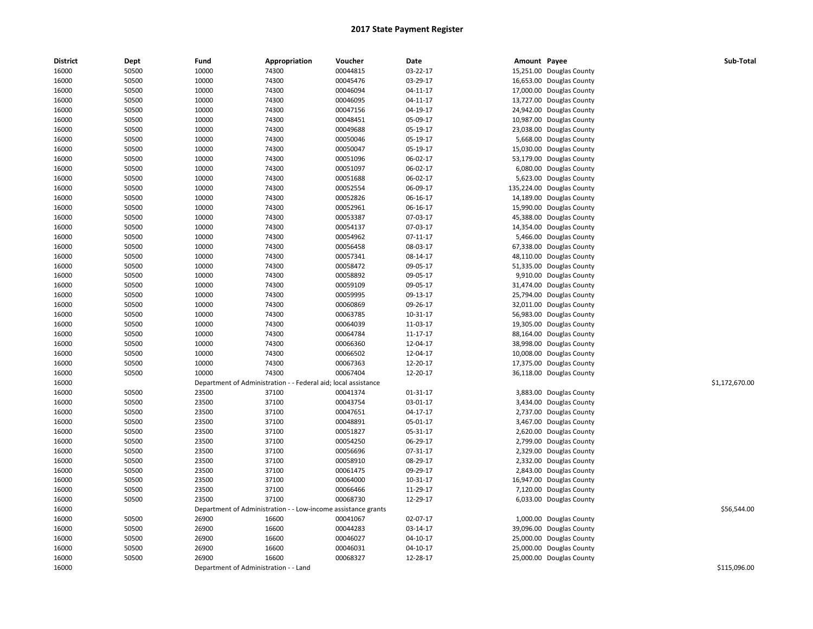|       |       |       |                                                                |          |          | Amount Payee |                           | Sub-Total      |
|-------|-------|-------|----------------------------------------------------------------|----------|----------|--------------|---------------------------|----------------|
| 16000 | 50500 | 10000 | 74300                                                          | 00044815 | 03-22-17 |              | 15,251.00 Douglas County  |                |
| 16000 | 50500 | 10000 | 74300                                                          | 00045476 | 03-29-17 |              | 16,653.00 Douglas County  |                |
| 16000 | 50500 | 10000 | 74300                                                          | 00046094 | 04-11-17 |              | 17,000.00 Douglas County  |                |
| 16000 | 50500 | 10000 | 74300                                                          | 00046095 | 04-11-17 |              | 13,727.00 Douglas County  |                |
| 16000 | 50500 | 10000 | 74300                                                          | 00047156 | 04-19-17 | 24,942.00    | Douglas County            |                |
| 16000 | 50500 | 10000 | 74300                                                          | 00048451 | 05-09-17 |              | 10,987.00 Douglas County  |                |
| 16000 | 50500 | 10000 | 74300                                                          | 00049688 | 05-19-17 |              | 23,038.00 Douglas County  |                |
| 16000 | 50500 | 10000 | 74300                                                          | 00050046 | 05-19-17 |              | 5,668.00 Douglas County   |                |
| 16000 | 50500 | 10000 | 74300                                                          | 00050047 | 05-19-17 |              | 15,030.00 Douglas County  |                |
| 16000 | 50500 | 10000 | 74300                                                          | 00051096 | 06-02-17 | 53,179.00    | Douglas County            |                |
| 16000 | 50500 | 10000 | 74300                                                          | 00051097 | 06-02-17 |              | 6,080.00 Douglas County   |                |
| 16000 | 50500 | 10000 | 74300                                                          | 00051688 | 06-02-17 |              | 5,623.00 Douglas County   |                |
| 16000 | 50500 | 10000 | 74300                                                          | 00052554 | 06-09-17 |              | 135,224.00 Douglas County |                |
| 16000 | 50500 | 10000 | 74300                                                          | 00052826 | 06-16-17 |              | 14,189.00 Douglas County  |                |
| 16000 | 50500 | 10000 | 74300                                                          | 00052961 | 06-16-17 | 15,990.00    | Douglas County            |                |
| 16000 | 50500 | 10000 | 74300                                                          | 00053387 | 07-03-17 | 45,388.00    | Douglas County            |                |
| 16000 | 50500 | 10000 | 74300                                                          | 00054137 | 07-03-17 | 14,354.00    | Douglas County            |                |
| 16000 | 50500 | 10000 | 74300                                                          | 00054962 | 07-11-17 |              | 5,466.00 Douglas County   |                |
| 16000 | 50500 | 10000 | 74300                                                          | 00056458 | 08-03-17 |              | 67,338.00 Douglas County  |                |
| 16000 | 50500 | 10000 | 74300                                                          | 00057341 | 08-14-17 | 48,110.00    | Douglas County            |                |
| 16000 | 50500 | 10000 | 74300                                                          | 00058472 | 09-05-17 | 51,335.00    | Douglas County            |                |
| 16000 | 50500 | 10000 | 74300                                                          | 00058892 | 09-05-17 | 9,910.00     | Douglas County            |                |
| 16000 | 50500 | 10000 | 74300                                                          | 00059109 | 09-05-17 |              | 31,474.00 Douglas County  |                |
| 16000 | 50500 | 10000 | 74300                                                          | 00059995 | 09-13-17 |              | 25,794.00 Douglas County  |                |
| 16000 | 50500 | 10000 | 74300                                                          | 00060869 | 09-26-17 | 32,011.00    | Douglas County            |                |
| 16000 | 50500 | 10000 | 74300                                                          | 00063785 | 10-31-17 | 56,983.00    | Douglas County            |                |
| 16000 | 50500 | 10000 | 74300                                                          | 00064039 | 11-03-17 | 19,305.00    | Douglas County            |                |
| 16000 | 50500 | 10000 | 74300                                                          | 00064784 | 11-17-17 |              | 88,164.00 Douglas County  |                |
| 16000 | 50500 | 10000 | 74300                                                          | 00066360 | 12-04-17 |              | 38,998.00 Douglas County  |                |
| 16000 | 50500 | 10000 | 74300                                                          | 00066502 | 12-04-17 |              | 10,008.00 Douglas County  |                |
| 16000 | 50500 | 10000 | 74300                                                          | 00067363 | 12-20-17 |              | 17,375.00 Douglas County  |                |
| 16000 | 50500 | 10000 | 74300                                                          | 00067404 | 12-20-17 | 36,118.00    | Douglas County            |                |
| 16000 |       |       | Department of Administration - - Federal aid; local assistance |          |          |              |                           | \$1,172,670.00 |
| 16000 | 50500 | 23500 | 37100                                                          | 00041374 | 01-31-17 |              | 3,883.00 Douglas County   |                |
| 16000 | 50500 | 23500 | 37100                                                          | 00043754 | 03-01-17 |              | 3,434.00 Douglas County   |                |
| 16000 | 50500 | 23500 | 37100                                                          | 00047651 | 04-17-17 |              | 2,737.00 Douglas County   |                |
| 16000 | 50500 | 23500 | 37100                                                          | 00048891 | 05-01-17 | 3,467.00     | Douglas County            |                |
| 16000 | 50500 | 23500 | 37100                                                          | 00051827 | 05-31-17 | 2,620.00     | Douglas County            |                |
| 16000 | 50500 | 23500 | 37100                                                          | 00054250 | 06-29-17 |              | 2,799.00 Douglas County   |                |
| 16000 | 50500 | 23500 | 37100                                                          | 00056696 | 07-31-17 |              | 2,329.00 Douglas County   |                |
| 16000 | 50500 | 23500 | 37100                                                          | 00058910 | 08-29-17 |              | 2,332.00 Douglas County   |                |
| 16000 | 50500 | 23500 | 37100                                                          | 00061475 | 09-29-17 | 2,843.00     | Douglas County            |                |
| 16000 | 50500 | 23500 | 37100                                                          | 00064000 | 10-31-17 |              | 16,947.00 Douglas County  |                |
| 16000 | 50500 | 23500 | 37100                                                          | 00066466 | 11-29-17 |              | 7,120.00 Douglas County   |                |
| 16000 | 50500 | 23500 | 37100                                                          | 00068730 | 12-29-17 |              | 6,033.00 Douglas County   |                |
| 16000 |       |       | Department of Administration - - Low-income assistance grants  |          |          |              |                           | \$56,544.00    |
| 16000 | 50500 | 26900 | 16600                                                          | 00041067 | 02-07-17 |              | 1,000.00 Douglas County   |                |
| 16000 | 50500 | 26900 | 16600                                                          | 00044283 | 03-14-17 | 39,096.00    | Douglas County            |                |
| 16000 | 50500 | 26900 | 16600                                                          | 00046027 | 04-10-17 | 25,000.00    | Douglas County            |                |
| 16000 | 50500 | 26900 | 16600                                                          | 00046031 | 04-10-17 |              | 25,000.00 Douglas County  |                |
| 16000 | 50500 | 26900 | 16600                                                          | 00068327 | 12-28-17 |              | 25,000.00 Douglas County  |                |
| 16000 |       |       | Department of Administration - - Land                          |          |          |              |                           | \$115,096.00   |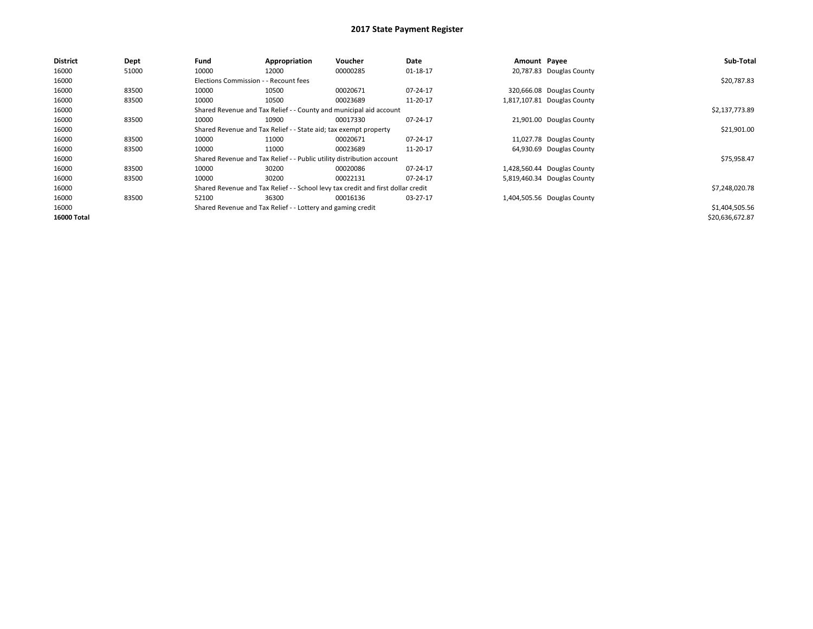| <b>District</b>    | Dept  | Fund  | Appropriation                                                                    | <b>Voucher</b> | Date     | Amount Payee |                             | Sub-Total       |  |  |
|--------------------|-------|-------|----------------------------------------------------------------------------------|----------------|----------|--------------|-----------------------------|-----------------|--|--|
| 16000              | 51000 | 10000 | 12000                                                                            | 00000285       | 01-18-17 |              | 20,787.83 Douglas County    |                 |  |  |
| 16000              |       |       | Elections Commission - - Recount fees                                            |                |          |              |                             |                 |  |  |
| 16000              | 83500 | 10000 | 10500                                                                            | 00020671       | 07-24-17 |              | 320,666.08 Douglas County   |                 |  |  |
| 16000              | 83500 | 10000 | 10500                                                                            | 00023689       | 11-20-17 |              | 1,817,107.81 Douglas County |                 |  |  |
| 16000              |       |       | Shared Revenue and Tax Relief - - County and municipal aid account               |                |          |              |                             |                 |  |  |
| 16000              | 83500 | 10000 | 10900                                                                            | 00017330       | 07-24-17 |              | 21,901.00 Douglas County    |                 |  |  |
| 16000              |       |       | Shared Revenue and Tax Relief - - State aid; tax exempt property                 |                |          |              |                             |                 |  |  |
| 16000              | 83500 | 10000 | 11000                                                                            | 00020671       | 07-24-17 |              | 11,027.78 Douglas County    |                 |  |  |
| 16000              | 83500 | 10000 | 11000                                                                            | 00023689       | 11-20-17 |              | 64,930.69 Douglas County    |                 |  |  |
| 16000              |       |       | Shared Revenue and Tax Relief - - Public utility distribution account            |                |          |              |                             | \$75,958.47     |  |  |
| 16000              | 83500 | 10000 | 30200                                                                            | 00020086       | 07-24-17 |              | 1,428,560.44 Douglas County |                 |  |  |
| 16000              | 83500 | 10000 | 30200                                                                            | 00022131       | 07-24-17 |              | 5,819,460.34 Douglas County |                 |  |  |
| 16000              |       |       | Shared Revenue and Tax Relief - - School levy tax credit and first dollar credit |                |          |              |                             | \$7,248,020.78  |  |  |
| 16000              | 83500 | 52100 | 36300                                                                            | 00016136       | 03-27-17 |              | 1,404,505.56 Douglas County |                 |  |  |
| 16000              |       |       | Shared Revenue and Tax Relief - - Lottery and gaming credit                      |                |          |              |                             | \$1,404,505.56  |  |  |
| <b>16000 Total</b> |       |       |                                                                                  |                |          |              |                             | \$20,636,672.87 |  |  |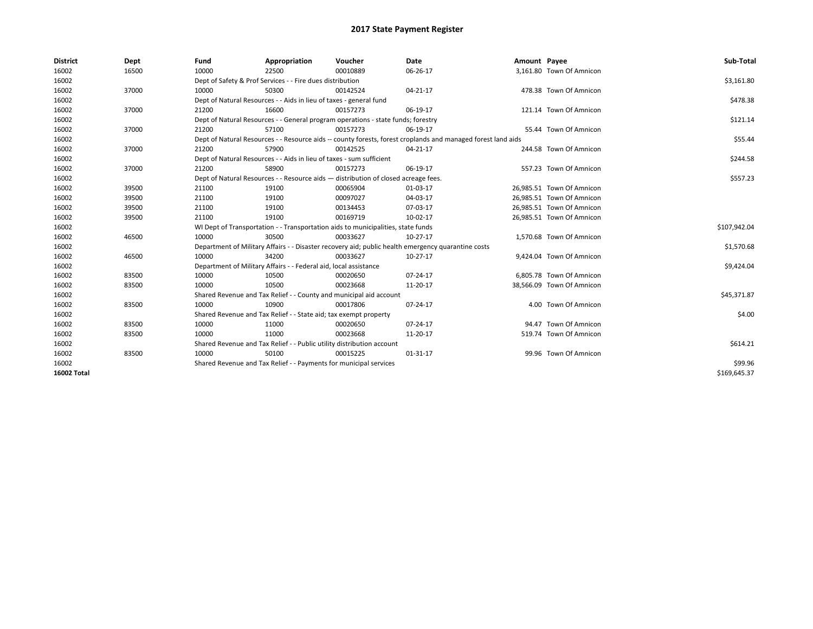| <b>District</b>    | Dept  | Fund                                                              | Appropriation                                                                      | Voucher  | Date                                                                                                         | Amount Payee |                           | Sub-Total    |
|--------------------|-------|-------------------------------------------------------------------|------------------------------------------------------------------------------------|----------|--------------------------------------------------------------------------------------------------------------|--------------|---------------------------|--------------|
| 16002              | 16500 | 10000                                                             | 22500                                                                              | 00010889 | 06-26-17                                                                                                     |              | 3,161.80 Town Of Amnicon  |              |
| 16002              |       |                                                                   | Dept of Safety & Prof Services - - Fire dues distribution                          |          |                                                                                                              |              |                           | \$3,161.80   |
| 16002              | 37000 | 10000                                                             | 50300                                                                              | 00142524 | 04-21-17                                                                                                     |              | 478.38 Town Of Amnicon    |              |
| 16002              |       |                                                                   | Dept of Natural Resources - - Aids in lieu of taxes - general fund                 |          |                                                                                                              |              |                           | \$478.38     |
| 16002              | 37000 | 21200                                                             | 16600                                                                              | 00157273 | 06-19-17                                                                                                     |              | 121.14 Town Of Amnicon    |              |
| 16002              |       |                                                                   | Dept of Natural Resources - - General program operations - state funds; forestry   |          | \$121.14                                                                                                     |              |                           |              |
| 16002              | 37000 | 21200                                                             | 57100                                                                              | 00157273 | 06-19-17                                                                                                     |              | 55.44 Town Of Amnicon     |              |
| 16002              |       |                                                                   |                                                                                    |          | Dept of Natural Resources - - Resource aids -- county forests, forest croplands and managed forest land aids |              |                           | \$55.44      |
| 16002              | 37000 | 21200                                                             | 57900                                                                              | 00142525 | 04-21-17                                                                                                     |              | 244.58 Town Of Amnicon    |              |
| 16002              |       |                                                                   | Dept of Natural Resources - - Aids in lieu of taxes - sum sufficient               |          |                                                                                                              |              |                           | \$244.58     |
| 16002              | 37000 | 21200                                                             | 58900                                                                              | 00157273 | 06-19-17                                                                                                     |              | 557.23 Town Of Amnicon    |              |
| 16002              |       |                                                                   | Dept of Natural Resources - - Resource aids - distribution of closed acreage fees. |          |                                                                                                              |              |                           | \$557.23     |
| 16002              | 39500 | 21100                                                             | 19100                                                                              | 00065904 | 01-03-17                                                                                                     |              | 26,985.51 Town Of Amnicon |              |
| 16002              | 39500 | 21100                                                             | 19100                                                                              | 00097027 | 04-03-17                                                                                                     |              | 26,985.51 Town Of Amnicon |              |
| 16002              | 39500 | 21100                                                             | 19100                                                                              | 00134453 | 07-03-17                                                                                                     |              | 26,985.51 Town Of Amnicon |              |
| 16002              | 39500 | 21100                                                             | 19100                                                                              | 00169719 | 10-02-17                                                                                                     |              | 26,985.51 Town Of Amnicon |              |
| 16002              |       |                                                                   | WI Dept of Transportation - - Transportation aids to municipalities, state funds   |          |                                                                                                              |              |                           | \$107,942.04 |
| 16002              | 46500 | 10000                                                             | 30500                                                                              | 00033627 | 10-27-17                                                                                                     |              | 1,570.68 Town Of Amnicon  |              |
| 16002              |       |                                                                   |                                                                                    |          | Department of Military Affairs - - Disaster recovery aid; public health emergency quarantine costs           |              |                           | \$1,570.68   |
| 16002              | 46500 | 10000                                                             | 34200                                                                              | 00033627 | $10-27-17$                                                                                                   |              | 9,424.04 Town Of Amnicon  |              |
| 16002              |       |                                                                   | Department of Military Affairs - - Federal aid, local assistance                   |          |                                                                                                              |              |                           | \$9,424.04   |
| 16002              | 83500 | 10000                                                             | 10500                                                                              | 00020650 | $07 - 24 - 17$                                                                                               |              | 6,805.78 Town Of Amnicon  |              |
| 16002              | 83500 | 10000                                                             | 10500                                                                              | 00023668 | 11-20-17                                                                                                     |              | 38,566.09 Town Of Amnicon |              |
| 16002              |       |                                                                   | Shared Revenue and Tax Relief - - County and municipal aid account                 |          |                                                                                                              |              |                           | \$45,371.87  |
| 16002              | 83500 | 10000                                                             | 10900                                                                              | 00017806 | 07-24-17                                                                                                     |              | 4.00 Town Of Amnicon      |              |
| 16002              |       |                                                                   | Shared Revenue and Tax Relief - - State aid; tax exempt property                   |          |                                                                                                              |              |                           | \$4.00       |
| 16002              | 83500 | 10000                                                             | 11000                                                                              | 00020650 | 07-24-17                                                                                                     |              | 94.47 Town Of Amnicon     |              |
| 16002              | 83500 | 10000                                                             | 11000                                                                              | 00023668 | 11-20-17                                                                                                     |              | 519.74 Town Of Amnicon    |              |
| 16002              |       |                                                                   | Shared Revenue and Tax Relief - - Public utility distribution account              |          |                                                                                                              |              |                           | \$614.21     |
| 16002              | 83500 | 10000                                                             | 50100                                                                              | 00015225 | 01-31-17                                                                                                     |              | 99.96 Town Of Amnicon     |              |
| 16002              |       | Shared Revenue and Tax Relief - - Payments for municipal services |                                                                                    | \$99.96  |                                                                                                              |              |                           |              |
| <b>16002 Total</b> |       |                                                                   |                                                                                    |          |                                                                                                              |              |                           | \$169.645.37 |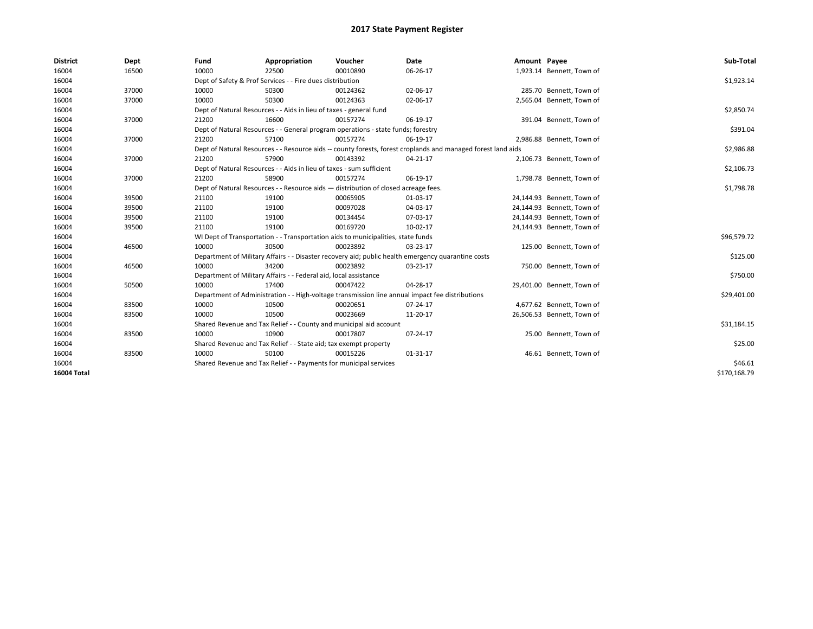| <b>District</b>    | Dept  | Fund  | Appropriation                                                                                                | Voucher  | Date                                                                                               | Amount Payee |                            | Sub-Total    |  |  |
|--------------------|-------|-------|--------------------------------------------------------------------------------------------------------------|----------|----------------------------------------------------------------------------------------------------|--------------|----------------------------|--------------|--|--|
| 16004              | 16500 | 10000 | 22500                                                                                                        | 00010890 | 06-26-17                                                                                           |              | 1,923.14 Bennett, Town of  |              |  |  |
| 16004              |       |       | Dept of Safety & Prof Services - - Fire dues distribution                                                    |          |                                                                                                    |              |                            | \$1,923.14   |  |  |
| 16004              | 37000 | 10000 | 50300                                                                                                        | 00124362 | 02-06-17                                                                                           |              | 285.70 Bennett, Town of    |              |  |  |
| 16004              | 37000 | 10000 | 50300                                                                                                        | 00124363 | 02-06-17                                                                                           |              | 2,565.04 Bennett, Town of  |              |  |  |
| 16004              |       |       | Dept of Natural Resources - - Aids in lieu of taxes - general fund                                           |          |                                                                                                    |              |                            | \$2,850.74   |  |  |
| 16004              | 37000 | 21200 | 16600                                                                                                        | 00157274 | 06-19-17                                                                                           |              | 391.04 Bennett, Town of    |              |  |  |
| 16004              |       |       | Dept of Natural Resources - - General program operations - state funds; forestry                             |          |                                                                                                    |              |                            |              |  |  |
| 16004              | 37000 | 21200 | 57100                                                                                                        | 00157274 | 06-19-17                                                                                           |              | 2,986.88 Bennett, Town of  |              |  |  |
| 16004              |       |       | Dept of Natural Resources - - Resource aids -- county forests, forest croplands and managed forest land aids |          |                                                                                                    |              |                            |              |  |  |
| 16004              | 37000 | 21200 | 57900                                                                                                        | 00143392 | $04 - 21 - 17$                                                                                     |              | 2,106.73 Bennett, Town of  |              |  |  |
| 16004              |       |       | Dept of Natural Resources - - Aids in lieu of taxes - sum sufficient                                         |          |                                                                                                    |              |                            | \$2,106.73   |  |  |
| 16004              | 37000 | 21200 | 58900                                                                                                        | 00157274 | 06-19-17                                                                                           |              | 1,798.78 Bennett, Town of  |              |  |  |
| 16004              |       |       | Dept of Natural Resources - - Resource aids - distribution of closed acreage fees.                           |          |                                                                                                    |              |                            |              |  |  |
| 16004              | 39500 | 21100 | 19100                                                                                                        | 00065905 | 01-03-17                                                                                           |              | 24,144.93 Bennett, Town of |              |  |  |
| 16004              | 39500 | 21100 | 19100                                                                                                        | 00097028 | 04-03-17                                                                                           |              | 24,144.93 Bennett, Town of |              |  |  |
| 16004              | 39500 | 21100 | 19100                                                                                                        | 00134454 | 07-03-17                                                                                           |              | 24,144.93 Bennett, Town of |              |  |  |
| 16004              | 39500 | 21100 | 19100                                                                                                        | 00169720 | 10-02-17                                                                                           |              | 24,144.93 Bennett, Town of |              |  |  |
| 16004              |       |       | WI Dept of Transportation - - Transportation aids to municipalities, state funds                             |          |                                                                                                    |              |                            | \$96,579.72  |  |  |
| 16004              | 46500 | 10000 | 30500                                                                                                        | 00023892 | 03-23-17                                                                                           |              | 125.00 Bennett, Town of    |              |  |  |
| 16004              |       |       |                                                                                                              |          | Department of Military Affairs - - Disaster recovery aid; public health emergency quarantine costs |              |                            | \$125.00     |  |  |
| 16004              | 46500 | 10000 | 34200                                                                                                        | 00023892 | 03-23-17                                                                                           |              | 750.00 Bennett, Town of    |              |  |  |
| 16004              |       |       | Department of Military Affairs - - Federal aid, local assistance                                             |          |                                                                                                    |              |                            | \$750.00     |  |  |
| 16004              | 50500 | 10000 | 17400                                                                                                        | 00047422 | 04-28-17                                                                                           |              | 29,401.00 Bennett, Town of |              |  |  |
| 16004              |       |       |                                                                                                              |          | Department of Administration - - High-voltage transmission line annual impact fee distributions    |              |                            | \$29,401.00  |  |  |
| 16004              | 83500 | 10000 | 10500                                                                                                        | 00020651 | 07-24-17                                                                                           |              | 4,677.62 Bennett, Town of  |              |  |  |
| 16004              | 83500 | 10000 | 10500                                                                                                        | 00023669 | 11-20-17                                                                                           |              | 26,506.53 Bennett, Town of |              |  |  |
| 16004              |       |       | Shared Revenue and Tax Relief - - County and municipal aid account                                           |          |                                                                                                    |              |                            | \$31,184.15  |  |  |
| 16004              | 83500 | 10000 | 10900                                                                                                        | 00017807 | 07-24-17                                                                                           |              | 25.00 Bennett, Town of     |              |  |  |
| 16004              |       |       | Shared Revenue and Tax Relief - - State aid; tax exempt property                                             |          |                                                                                                    |              |                            | \$25.00      |  |  |
| 16004              | 83500 | 10000 | 50100                                                                                                        | 00015226 | $01 - 31 - 17$                                                                                     |              | 46.61 Bennett, Town of     |              |  |  |
| 16004              |       |       | Shared Revenue and Tax Relief - - Payments for municipal services                                            |          |                                                                                                    |              |                            | \$46.61      |  |  |
| <b>16004 Total</b> |       |       |                                                                                                              |          |                                                                                                    |              |                            | \$170,168.79 |  |  |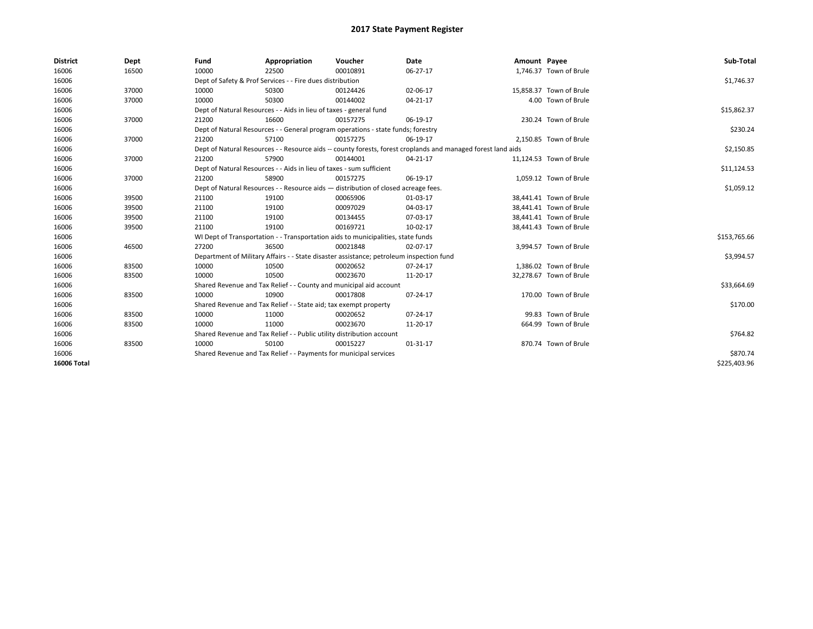| <b>District</b>    | Dept  | Fund                                                                               | Appropriation                                                         | Voucher                                                                                 | Date                                                                                                         | Amount Payee |                         | Sub-Total    |
|--------------------|-------|------------------------------------------------------------------------------------|-----------------------------------------------------------------------|-----------------------------------------------------------------------------------------|--------------------------------------------------------------------------------------------------------------|--------------|-------------------------|--------------|
| 16006              | 16500 | 10000                                                                              | 22500                                                                 | 00010891                                                                                | 06-27-17                                                                                                     |              | 1,746.37 Town of Brule  |              |
| 16006              |       |                                                                                    | Dept of Safety & Prof Services - - Fire dues distribution             |                                                                                         |                                                                                                              |              |                         | \$1,746.37   |
| 16006              | 37000 | 10000                                                                              | 50300                                                                 | 00124426                                                                                | 02-06-17                                                                                                     |              | 15,858.37 Town of Brule |              |
| 16006              | 37000 | 10000                                                                              | 50300                                                                 | 00144002                                                                                | $04 - 21 - 17$                                                                                               |              | 4.00 Town of Brule      |              |
| 16006              |       | Dept of Natural Resources - - Aids in lieu of taxes - general fund                 |                                                                       | \$15,862.37                                                                             |                                                                                                              |              |                         |              |
| 16006              | 37000 | 21200                                                                              | 16600                                                                 | 00157275                                                                                | 06-19-17                                                                                                     |              | 230.24 Town of Brule    |              |
| 16006              |       | Dept of Natural Resources - - General program operations - state funds; forestry   |                                                                       | \$230.24                                                                                |                                                                                                              |              |                         |              |
| 16006              | 37000 | 21200                                                                              | 57100                                                                 | 00157275                                                                                | 06-19-17                                                                                                     |              | 2,150.85 Town of Brule  |              |
| 16006              |       |                                                                                    |                                                                       |                                                                                         | Dept of Natural Resources - - Resource aids -- county forests, forest croplands and managed forest land aids |              |                         | \$2,150.85   |
| 16006              | 37000 | 21200                                                                              | 57900                                                                 | 00144001                                                                                | 04-21-17                                                                                                     |              | 11,124.53 Town of Brule |              |
| 16006              |       |                                                                                    | Dept of Natural Resources - - Aids in lieu of taxes - sum sufficient  |                                                                                         |                                                                                                              |              |                         | \$11,124.53  |
| 16006              | 37000 | 21200                                                                              | 58900                                                                 | 00157275                                                                                | 06-19-17                                                                                                     |              | 1,059.12 Town of Brule  |              |
| 16006              |       | Dept of Natural Resources - - Resource aids - distribution of closed acreage fees. |                                                                       | \$1,059.12                                                                              |                                                                                                              |              |                         |              |
| 16006              | 39500 | 21100                                                                              | 19100                                                                 | 00065906                                                                                | 01-03-17                                                                                                     |              | 38,441.41 Town of Brule |              |
| 16006              | 39500 | 21100                                                                              | 19100                                                                 | 00097029                                                                                | 04-03-17                                                                                                     |              | 38,441.41 Town of Brule |              |
| 16006              | 39500 | 21100                                                                              | 19100                                                                 | 00134455                                                                                | 07-03-17                                                                                                     |              | 38,441.41 Town of Brule |              |
| 16006              | 39500 | 21100                                                                              | 19100                                                                 | 00169721                                                                                | 10-02-17                                                                                                     |              | 38,441.43 Town of Brule |              |
| 16006              |       |                                                                                    |                                                                       | WI Dept of Transportation - - Transportation aids to municipalities, state funds        |                                                                                                              |              |                         | \$153,765.66 |
| 16006              | 46500 | 27200                                                                              | 36500                                                                 | 00021848                                                                                | 02-07-17                                                                                                     |              | 3,994.57 Town of Brule  |              |
| 16006              |       |                                                                                    |                                                                       | Department of Military Affairs - - State disaster assistance; petroleum inspection fund |                                                                                                              |              |                         | \$3,994.57   |
| 16006              | 83500 | 10000                                                                              | 10500                                                                 | 00020652                                                                                | $07 - 24 - 17$                                                                                               |              | 1,386.02 Town of Brule  |              |
| 16006              | 83500 | 10000                                                                              | 10500                                                                 | 00023670                                                                                | 11-20-17                                                                                                     |              | 32,278.67 Town of Brule |              |
| 16006              |       |                                                                                    | Shared Revenue and Tax Relief - - County and municipal aid account    |                                                                                         |                                                                                                              |              |                         | \$33,664.69  |
| 16006              | 83500 | 10000                                                                              | 10900                                                                 | 00017808                                                                                | 07-24-17                                                                                                     |              | 170.00 Town of Brule    |              |
| 16006              |       |                                                                                    | Shared Revenue and Tax Relief - - State aid; tax exempt property      |                                                                                         |                                                                                                              |              |                         | \$170.00     |
| 16006              | 83500 | 10000                                                                              | 11000                                                                 | 00020652                                                                                | 07-24-17                                                                                                     |              | 99.83 Town of Brule     |              |
| 16006              | 83500 | 10000                                                                              | 11000                                                                 | 00023670                                                                                | 11-20-17                                                                                                     |              | 664.99 Town of Brule    |              |
| 16006              |       |                                                                                    | Shared Revenue and Tax Relief - - Public utility distribution account |                                                                                         |                                                                                                              |              |                         | \$764.82     |
| 16006              | 83500 | 10000                                                                              | 50100                                                                 | 00015227                                                                                | 01-31-17                                                                                                     |              | 870.74 Town of Brule    |              |
| 16006              |       |                                                                                    | Shared Revenue and Tax Relief - - Payments for municipal services     |                                                                                         |                                                                                                              |              |                         | \$870.74     |
| <b>16006 Total</b> |       |                                                                                    |                                                                       |                                                                                         |                                                                                                              |              |                         | \$225,403.96 |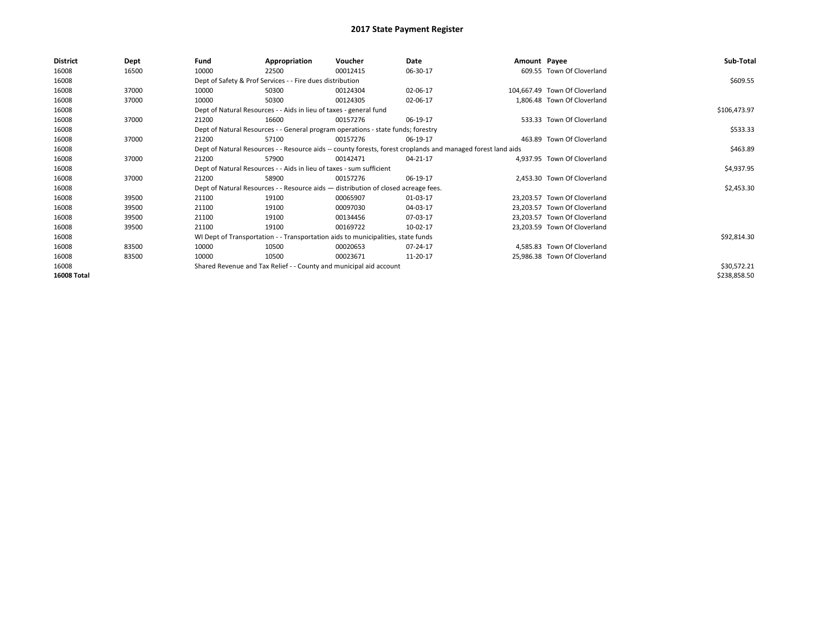| <b>District</b>    | Dept  | Fund                                                                 | Appropriation                                                                      | Voucher    | Date                                                                                                         | Amount Payee |                               | Sub-Total    |  |  |  |
|--------------------|-------|----------------------------------------------------------------------|------------------------------------------------------------------------------------|------------|--------------------------------------------------------------------------------------------------------------|--------------|-------------------------------|--------------|--|--|--|
| 16008              | 16500 | 10000                                                                | 22500                                                                              | 00012415   | 06-30-17                                                                                                     |              | 609.55 Town Of Cloverland     |              |  |  |  |
| 16008              |       |                                                                      | Dept of Safety & Prof Services - - Fire dues distribution                          |            |                                                                                                              |              |                               | \$609.55     |  |  |  |
| 16008              | 37000 | 10000                                                                | 50300                                                                              | 00124304   | 02-06-17                                                                                                     |              | 104,667.49 Town Of Cloverland |              |  |  |  |
| 16008              | 37000 | 10000                                                                | 50300                                                                              | 00124305   | 02-06-17                                                                                                     |              | 1,806.48 Town Of Cloverland   |              |  |  |  |
| 16008              |       |                                                                      | Dept of Natural Resources - - Aids in lieu of taxes - general fund                 |            |                                                                                                              |              |                               |              |  |  |  |
| 16008              | 37000 | 21200                                                                | 16600                                                                              | 00157276   | 06-19-17                                                                                                     |              | 533.33 Town Of Cloverland     |              |  |  |  |
| 16008              |       |                                                                      | Dept of Natural Resources - - General program operations - state funds; forestry   |            |                                                                                                              |              |                               | \$533.33     |  |  |  |
| 16008              | 37000 | 21200                                                                | 57100                                                                              | 00157276   | 06-19-17                                                                                                     |              | 463.89 Town Of Cloverland     |              |  |  |  |
| 16008              |       |                                                                      |                                                                                    |            | Dept of Natural Resources - - Resource aids -- county forests, forest croplands and managed forest land aids |              |                               | \$463.89     |  |  |  |
| 16008              | 37000 | 21200                                                                | 57900                                                                              | 00142471   | 04-21-17                                                                                                     |              | 4.937.95 Town Of Cloverland   |              |  |  |  |
| 16008              |       | Dept of Natural Resources - - Aids in lieu of taxes - sum sufficient |                                                                                    | \$4,937.95 |                                                                                                              |              |                               |              |  |  |  |
| 16008              | 37000 | 21200                                                                | 58900                                                                              | 00157276   | 06-19-17                                                                                                     |              | 2,453.30 Town Of Cloverland   |              |  |  |  |
| 16008              |       |                                                                      | Dept of Natural Resources - - Resource aids - distribution of closed acreage fees. |            |                                                                                                              |              |                               | \$2,453.30   |  |  |  |
| 16008              | 39500 | 21100                                                                | 19100                                                                              | 00065907   | 01-03-17                                                                                                     |              | 23,203.57 Town Of Cloverland  |              |  |  |  |
| 16008              | 39500 | 21100                                                                | 19100                                                                              | 00097030   | 04-03-17                                                                                                     |              | 23,203.57 Town Of Cloverland  |              |  |  |  |
| 16008              | 39500 | 21100                                                                | 19100                                                                              | 00134456   | 07-03-17                                                                                                     |              | 23,203.57 Town Of Cloverland  |              |  |  |  |
| 16008              | 39500 | 21100                                                                | 19100                                                                              | 00169722   | 10-02-17                                                                                                     |              | 23,203.59 Town Of Cloverland  |              |  |  |  |
| 16008              |       |                                                                      | WI Dept of Transportation - - Transportation aids to municipalities, state funds   |            |                                                                                                              |              |                               | \$92,814.30  |  |  |  |
| 16008              | 83500 | 10000                                                                | 10500                                                                              | 00020653   | 07-24-17                                                                                                     |              | 4,585.83 Town Of Cloverland   |              |  |  |  |
| 16008              | 83500 | 10000                                                                | 10500                                                                              | 00023671   | 11-20-17                                                                                                     |              | 25,986.38 Town Of Cloverland  |              |  |  |  |
| 16008              |       |                                                                      | Shared Revenue and Tax Relief - - County and municipal aid account                 |            |                                                                                                              |              |                               | \$30,572.21  |  |  |  |
| <b>16008 Total</b> |       |                                                                      |                                                                                    |            |                                                                                                              |              |                               | \$238,858.50 |  |  |  |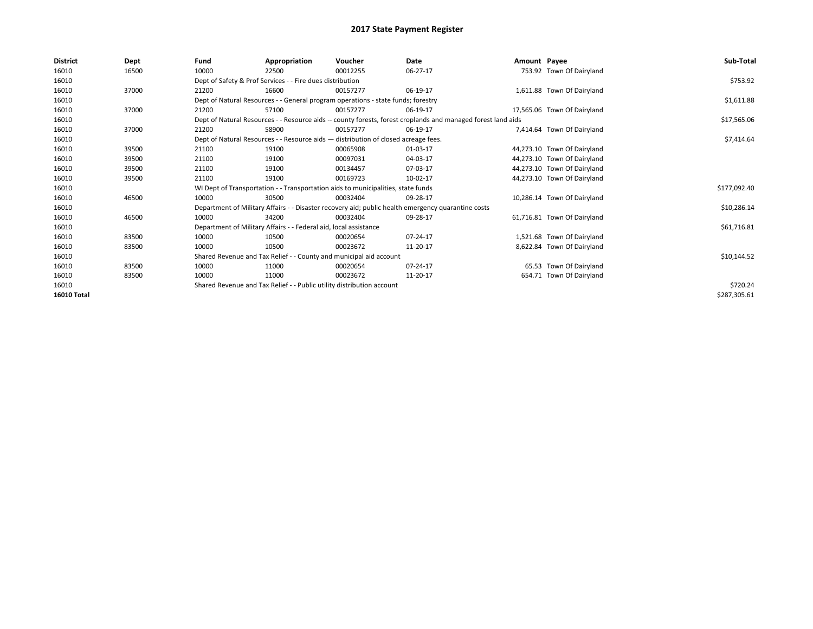| <b>District</b>    | Dept  | Fund                                                                  | Appropriation                                                                                                | Voucher  | Date                                                                                               | Amount Payee |                             | Sub-Total    |  |  |
|--------------------|-------|-----------------------------------------------------------------------|--------------------------------------------------------------------------------------------------------------|----------|----------------------------------------------------------------------------------------------------|--------------|-----------------------------|--------------|--|--|
| 16010              | 16500 | 10000                                                                 | 22500                                                                                                        | 00012255 | 06-27-17                                                                                           |              | 753.92 Town Of Dairyland    |              |  |  |
| 16010              |       |                                                                       | Dept of Safety & Prof Services - - Fire dues distribution                                                    |          |                                                                                                    |              |                             | \$753.92     |  |  |
| 16010              | 37000 | 21200                                                                 | 16600                                                                                                        | 00157277 | 06-19-17                                                                                           |              | 1,611.88 Town Of Dairyland  |              |  |  |
| 16010              |       |                                                                       | Dept of Natural Resources - - General program operations - state funds; forestry                             |          |                                                                                                    |              |                             |              |  |  |
| 16010              | 37000 | 21200                                                                 | 57100                                                                                                        | 00157277 | 06-19-17                                                                                           |              | 17,565.06 Town Of Dairyland |              |  |  |
| 16010              |       |                                                                       | Dept of Natural Resources - - Resource aids -- county forests, forest croplands and managed forest land aids |          |                                                                                                    |              |                             |              |  |  |
| 16010              | 37000 | 21200                                                                 | 58900                                                                                                        | 00157277 | 06-19-17                                                                                           |              | 7,414.64 Town Of Dairyland  |              |  |  |
| 16010              |       |                                                                       | Dept of Natural Resources - - Resource aids - distribution of closed acreage fees.                           |          |                                                                                                    |              |                             | \$7,414.64   |  |  |
| 16010              | 39500 | 21100                                                                 | 19100                                                                                                        | 00065908 | 01-03-17                                                                                           |              | 44,273.10 Town Of Dairyland |              |  |  |
| 16010              | 39500 | 21100                                                                 | 19100                                                                                                        | 00097031 | 04-03-17                                                                                           |              | 44,273.10 Town Of Dairyland |              |  |  |
| 16010              | 39500 | 21100                                                                 | 19100                                                                                                        | 00134457 | 07-03-17                                                                                           |              | 44,273.10 Town Of Dairyland |              |  |  |
| 16010              | 39500 | 21100                                                                 | 19100                                                                                                        | 00169723 | 10-02-17                                                                                           |              | 44.273.10 Town Of Dairyland |              |  |  |
| 16010              |       |                                                                       | WI Dept of Transportation - - Transportation aids to municipalities, state funds                             |          |                                                                                                    |              |                             | \$177,092.40 |  |  |
| 16010              | 46500 | 10000                                                                 | 30500                                                                                                        | 00032404 | 09-28-17                                                                                           |              | 10,286.14 Town Of Dairyland |              |  |  |
| 16010              |       |                                                                       |                                                                                                              |          | Department of Military Affairs - - Disaster recovery aid; public health emergency quarantine costs |              |                             | \$10,286.14  |  |  |
| 16010              | 46500 | 10000                                                                 | 34200                                                                                                        | 00032404 | 09-28-17                                                                                           |              | 61.716.81 Town Of Dairyland |              |  |  |
| 16010              |       |                                                                       | Department of Military Affairs - - Federal aid, local assistance                                             |          |                                                                                                    |              |                             | \$61,716.81  |  |  |
| 16010              | 83500 | 10000                                                                 | 10500                                                                                                        | 00020654 | 07-24-17                                                                                           |              | 1,521.68 Town Of Dairyland  |              |  |  |
| 16010              | 83500 | 10000                                                                 | 10500                                                                                                        | 00023672 | 11-20-17                                                                                           |              | 8,622.84 Town Of Dairyland  |              |  |  |
| 16010              |       |                                                                       | Shared Revenue and Tax Relief - - County and municipal aid account                                           |          |                                                                                                    |              |                             | \$10,144.52  |  |  |
| 16010              | 83500 | 10000                                                                 | 11000                                                                                                        | 00020654 | 07-24-17                                                                                           |              | 65.53 Town Of Dairyland     |              |  |  |
| 16010              | 83500 | 10000                                                                 | 11000                                                                                                        | 00023672 | 11-20-17                                                                                           |              | 654.71 Town Of Dairyland    |              |  |  |
| 16010              |       | Shared Revenue and Tax Relief - - Public utility distribution account |                                                                                                              | \$720.24 |                                                                                                    |              |                             |              |  |  |
| <b>16010 Total</b> |       |                                                                       |                                                                                                              |          |                                                                                                    |              |                             | \$287,305.61 |  |  |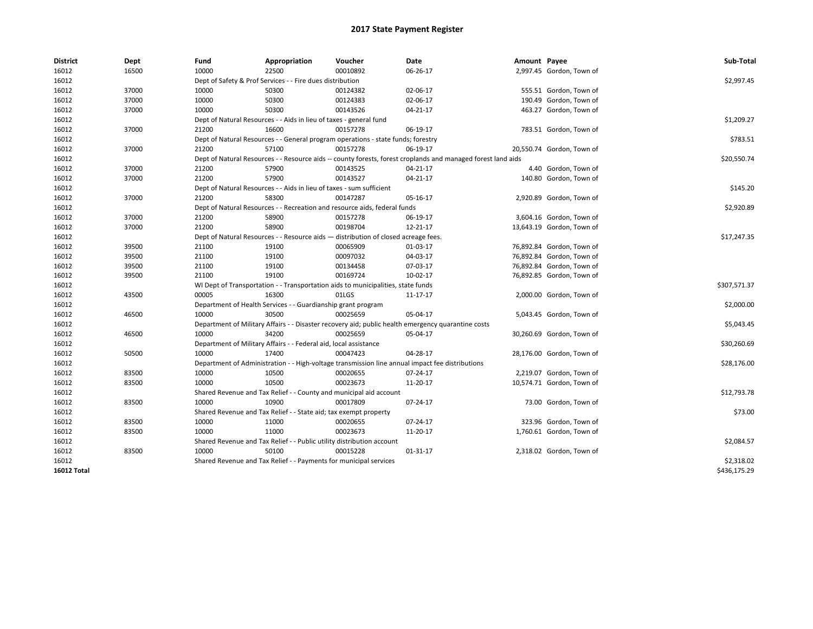| <b>District</b> | <b>Dept</b> | Fund                                                                                                         | Appropriation                                                                    | Voucher  | Date                                                                                               | Amount Payee |                           | Sub-Total    |
|-----------------|-------------|--------------------------------------------------------------------------------------------------------------|----------------------------------------------------------------------------------|----------|----------------------------------------------------------------------------------------------------|--------------|---------------------------|--------------|
| 16012           | 16500       | 10000                                                                                                        | 22500                                                                            | 00010892 | 06-26-17                                                                                           |              | 2,997.45 Gordon, Town of  |              |
| 16012           |             |                                                                                                              | Dept of Safety & Prof Services - - Fire dues distribution                        |          |                                                                                                    |              |                           | \$2,997.45   |
| 16012           | 37000       | 10000                                                                                                        | 50300                                                                            | 00124382 | 02-06-17                                                                                           |              | 555.51 Gordon, Town of    |              |
| 16012           | 37000       | 10000                                                                                                        | 50300                                                                            | 00124383 | 02-06-17                                                                                           |              | 190.49 Gordon, Town of    |              |
| 16012           | 37000       | 10000                                                                                                        | 50300                                                                            | 00143526 | 04-21-17                                                                                           |              | 463.27 Gordon, Town of    |              |
| 16012           |             |                                                                                                              | Dept of Natural Resources - - Aids in lieu of taxes - general fund               |          |                                                                                                    |              |                           | \$1,209.27   |
| 16012           | 37000       | 21200                                                                                                        | 16600                                                                            | 00157278 | 06-19-17                                                                                           |              | 783.51 Gordon, Town of    |              |
| 16012           |             |                                                                                                              | Dept of Natural Resources - - General program operations - state funds; forestry |          |                                                                                                    |              |                           | \$783.51     |
| 16012           | 37000       | 21200                                                                                                        | 57100                                                                            | 00157278 | 06-19-17                                                                                           |              | 20,550.74 Gordon, Town of |              |
| 16012           |             | Dept of Natural Resources - - Resource aids -- county forests, forest croplands and managed forest land aids | \$20,550.74                                                                      |          |                                                                                                    |              |                           |              |
| 16012           | 37000       | 21200                                                                                                        | 57900                                                                            | 00143525 | 04-21-17                                                                                           |              | 4.40 Gordon, Town of      |              |
| 16012           | 37000       | 21200                                                                                                        | 57900                                                                            | 00143527 | 04-21-17                                                                                           |              | 140.80 Gordon, Town of    |              |
| 16012           |             |                                                                                                              | Dept of Natural Resources - - Aids in lieu of taxes - sum sufficient             |          |                                                                                                    |              |                           | \$145.20     |
| 16012           | 37000       | 21200                                                                                                        | 58300                                                                            | 00147287 | 05-16-17                                                                                           |              | 2,920.89 Gordon, Town of  |              |
| 16012           |             |                                                                                                              | Dept of Natural Resources - - Recreation and resource aids, federal funds        |          |                                                                                                    |              |                           | \$2,920.89   |
| 16012           | 37000       | 21200                                                                                                        | 58900                                                                            | 00157278 | 06-19-17                                                                                           |              | 3,604.16 Gordon, Town of  |              |
| 16012           | 37000       | 21200                                                                                                        | 58900                                                                            | 00198704 | 12-21-17                                                                                           |              | 13,643.19 Gordon, Town of |              |
| 16012           |             | Dept of Natural Resources - - Resource aids - distribution of closed acreage fees.                           | \$17,247.35                                                                      |          |                                                                                                    |              |                           |              |
| 16012           | 39500       | 21100                                                                                                        | 19100                                                                            | 00065909 | 01-03-17                                                                                           |              | 76,892.84 Gordon, Town of |              |
| 16012           | 39500       | 21100                                                                                                        | 19100                                                                            | 00097032 | 04-03-17                                                                                           |              | 76,892.84 Gordon, Town of |              |
| 16012           | 39500       | 21100                                                                                                        | 19100                                                                            | 00134458 | 07-03-17                                                                                           |              | 76,892.84 Gordon, Town of |              |
| 16012           | 39500       | 21100                                                                                                        | 19100                                                                            | 00169724 | 10-02-17                                                                                           |              | 76,892.85 Gordon, Town of |              |
| 16012           |             |                                                                                                              | WI Dept of Transportation - - Transportation aids to municipalities, state funds |          |                                                                                                    |              |                           | \$307,571.37 |
| 16012           | 43500       | 00005                                                                                                        | 16300                                                                            | 01LGS    | 11-17-17                                                                                           |              | 2,000.00 Gordon, Town of  |              |
| 16012           |             |                                                                                                              | Department of Health Services - - Guardianship grant program                     |          |                                                                                                    |              |                           | \$2,000.00   |
| 16012           | 46500       | 10000                                                                                                        | 30500                                                                            | 00025659 | 05-04-17                                                                                           |              | 5,043.45 Gordon, Town of  |              |
| 16012           |             |                                                                                                              |                                                                                  |          | Department of Military Affairs - - Disaster recovery aid; public health emergency quarantine costs |              |                           | \$5,043.45   |
| 16012           | 46500       | 10000                                                                                                        | 34200                                                                            | 00025659 | 05-04-17                                                                                           |              | 30,260.69 Gordon, Town of |              |
| 16012           |             |                                                                                                              | Department of Military Affairs - - Federal aid, local assistance                 |          |                                                                                                    |              |                           | \$30,260.69  |
| 16012           | 50500       | 10000                                                                                                        | 17400                                                                            | 00047423 | 04-28-17                                                                                           |              | 28,176.00 Gordon, Town of |              |
| 16012           |             |                                                                                                              |                                                                                  |          | Department of Administration - - High-voltage transmission line annual impact fee distributions    |              |                           | \$28,176.00  |
| 16012           | 83500       | 10000                                                                                                        | 10500                                                                            | 00020655 | 07-24-17                                                                                           |              | 2,219.07 Gordon, Town of  |              |
| 16012           | 83500       | 10000                                                                                                        | 10500                                                                            | 00023673 | 11-20-17                                                                                           |              | 10,574.71 Gordon, Town of |              |
| 16012           |             |                                                                                                              | Shared Revenue and Tax Relief - - County and municipal aid account               |          |                                                                                                    |              |                           | \$12,793.78  |
| 16012           | 83500       | 10000                                                                                                        | 10900                                                                            | 00017809 | 07-24-17                                                                                           |              | 73.00 Gordon, Town of     |              |
| 16012           |             |                                                                                                              | Shared Revenue and Tax Relief - - State aid; tax exempt property                 |          |                                                                                                    |              |                           | \$73.00      |
| 16012           | 83500       | 10000                                                                                                        | 11000                                                                            | 00020655 | 07-24-17                                                                                           |              | 323.96 Gordon, Town of    |              |
| 16012           | 83500       | 10000                                                                                                        | 11000                                                                            | 00023673 | 11-20-17                                                                                           |              | 1,760.61 Gordon, Town of  |              |
| 16012           |             |                                                                                                              | Shared Revenue and Tax Relief - - Public utility distribution account            |          |                                                                                                    |              |                           | \$2,084.57   |
| 16012           | 83500       | 10000                                                                                                        | 50100                                                                            | 00015228 | 01-31-17                                                                                           |              | 2,318.02 Gordon, Town of  |              |
| 16012           |             |                                                                                                              | Shared Revenue and Tax Relief - - Payments for municipal services                |          |                                                                                                    |              |                           | \$2,318.02   |
| 16012 Total     |             |                                                                                                              |                                                                                  |          |                                                                                                    |              |                           | \$436,175.29 |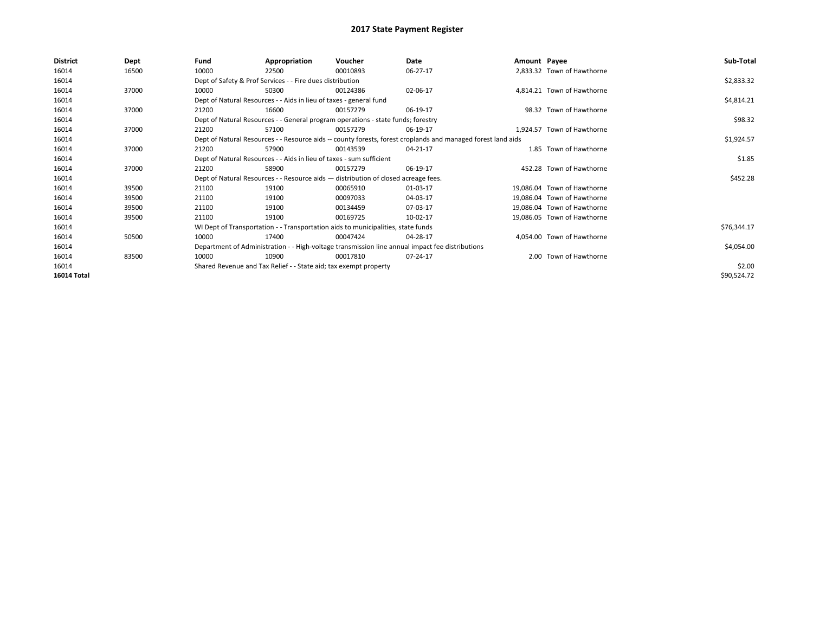| <b>District</b>    | Dept  | Fund  | Appropriation                                                                                                | Voucher  | Date                                                                                            | Amount Payee |                             | Sub-Total   |  |  |
|--------------------|-------|-------|--------------------------------------------------------------------------------------------------------------|----------|-------------------------------------------------------------------------------------------------|--------------|-----------------------------|-------------|--|--|
| 16014              | 16500 | 10000 | 22500                                                                                                        | 00010893 | 06-27-17                                                                                        |              | 2,833.32 Town of Hawthorne  |             |  |  |
| 16014              |       |       | Dept of Safety & Prof Services - - Fire dues distribution                                                    |          |                                                                                                 |              |                             | \$2,833.32  |  |  |
| 16014              | 37000 | 10000 | 50300                                                                                                        | 00124386 | 02-06-17                                                                                        |              | 4,814.21 Town of Hawthorne  |             |  |  |
| 16014              |       |       | Dept of Natural Resources - - Aids in lieu of taxes - general fund                                           |          |                                                                                                 |              |                             | \$4,814.21  |  |  |
| 16014              | 37000 | 21200 | 16600                                                                                                        | 00157279 | 06-19-17                                                                                        |              | 98.32 Town of Hawthorne     |             |  |  |
| 16014              |       |       | Dept of Natural Resources - - General program operations - state funds; forestry                             |          |                                                                                                 |              |                             | \$98.32     |  |  |
| 16014              | 37000 | 21200 | 57100                                                                                                        | 00157279 | 06-19-17                                                                                        |              | 1,924.57 Town of Hawthorne  |             |  |  |
| 16014              |       |       | Dept of Natural Resources - - Resource aids -- county forests, forest croplands and managed forest land aids |          | \$1,924.57                                                                                      |              |                             |             |  |  |
| 16014              | 37000 | 21200 | 57900                                                                                                        | 00143539 | 04-21-17                                                                                        |              | 1.85 Town of Hawthorne      |             |  |  |
| 16014              |       |       | Dept of Natural Resources - - Aids in lieu of taxes - sum sufficient                                         |          |                                                                                                 |              |                             |             |  |  |
| 16014              | 37000 | 21200 | 58900                                                                                                        | 00157279 | 06-19-17                                                                                        |              | 452.28 Town of Hawthorne    |             |  |  |
| 16014              |       |       | Dept of Natural Resources - - Resource aids - distribution of closed acreage fees.                           |          |                                                                                                 |              |                             | \$452.28    |  |  |
| 16014              | 39500 | 21100 | 19100                                                                                                        | 00065910 | 01-03-17                                                                                        |              | 19.086.04 Town of Hawthorne |             |  |  |
| 16014              | 39500 | 21100 | 19100                                                                                                        | 00097033 | 04-03-17                                                                                        |              | 19,086.04 Town of Hawthorne |             |  |  |
| 16014              | 39500 | 21100 | 19100                                                                                                        | 00134459 | 07-03-17                                                                                        |              | 19.086.04 Town of Hawthorne |             |  |  |
| 16014              | 39500 | 21100 | 19100                                                                                                        | 00169725 | 10-02-17                                                                                        |              | 19,086.05 Town of Hawthorne |             |  |  |
| 16014              |       |       | WI Dept of Transportation - - Transportation aids to municipalities, state funds                             |          |                                                                                                 |              |                             | \$76,344.17 |  |  |
| 16014              | 50500 | 10000 | 17400                                                                                                        | 00047424 | 04-28-17                                                                                        |              | 4,054.00 Town of Hawthorne  |             |  |  |
| 16014              |       |       |                                                                                                              |          | Department of Administration - - High-voltage transmission line annual impact fee distributions |              |                             | \$4,054.00  |  |  |
| 16014              | 83500 | 10000 | 10900                                                                                                        | 00017810 | 07-24-17                                                                                        |              | 2.00 Town of Hawthorne      |             |  |  |
| 16014              |       |       | Shared Revenue and Tax Relief - - State aid; tax exempt property                                             |          |                                                                                                 |              |                             | \$2.00      |  |  |
| <b>16014 Total</b> |       |       |                                                                                                              |          |                                                                                                 |              |                             | \$90,524.72 |  |  |
|                    |       |       |                                                                                                              |          |                                                                                                 |              |                             |             |  |  |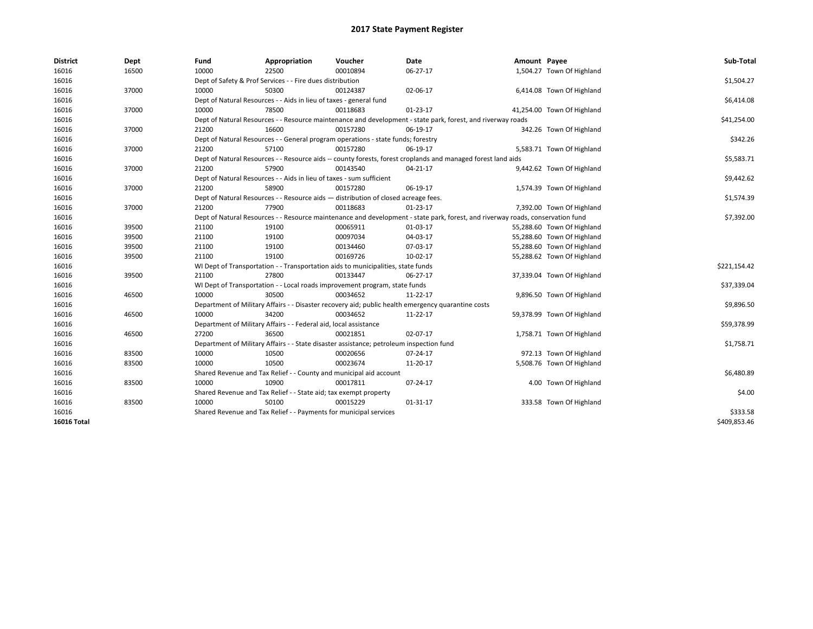| <b>District</b>    | Dept  | Fund  | Appropriation                                                                                                                  | Voucher  | Date                                                                                                         | Amount Payee |                            | Sub-Total    |  |  |  |
|--------------------|-------|-------|--------------------------------------------------------------------------------------------------------------------------------|----------|--------------------------------------------------------------------------------------------------------------|--------------|----------------------------|--------------|--|--|--|
| 16016              | 16500 | 10000 | 22500                                                                                                                          | 00010894 | 06-27-17                                                                                                     |              | 1,504.27 Town Of Highland  |              |  |  |  |
| 16016              |       |       | Dept of Safety & Prof Services - - Fire dues distribution                                                                      |          |                                                                                                              |              |                            | \$1,504.27   |  |  |  |
| 16016              | 37000 | 10000 | 50300                                                                                                                          | 00124387 | 02-06-17                                                                                                     |              | 6,414.08 Town Of Highland  |              |  |  |  |
| 16016              |       |       | Dept of Natural Resources - - Aids in lieu of taxes - general fund                                                             |          |                                                                                                              |              |                            | \$6,414.08   |  |  |  |
| 16016              | 37000 | 10000 | 78500                                                                                                                          | 00118683 | 01-23-17                                                                                                     |              | 41,254.00 Town Of Highland |              |  |  |  |
| 16016              |       |       |                                                                                                                                |          | Dept of Natural Resources - - Resource maintenance and development - state park, forest, and riverway roads  |              |                            | \$41,254.00  |  |  |  |
| 16016              | 37000 | 21200 | 16600                                                                                                                          | 00157280 | 06-19-17                                                                                                     |              | 342.26 Town Of Highland    |              |  |  |  |
| 16016              |       |       | Dept of Natural Resources - - General program operations - state funds; forestry                                               |          |                                                                                                              |              |                            | \$342.26     |  |  |  |
| 16016              | 37000 | 21200 | 57100                                                                                                                          | 00157280 | 06-19-17                                                                                                     |              | 5,583.71 Town Of Highland  |              |  |  |  |
| 16016              |       |       |                                                                                                                                |          | Dept of Natural Resources - - Resource aids -- county forests, forest croplands and managed forest land aids |              |                            | \$5,583.71   |  |  |  |
| 16016              | 37000 | 21200 | 57900                                                                                                                          | 00143540 | 04-21-17                                                                                                     |              | 9,442.62 Town Of Highland  |              |  |  |  |
| 16016              |       |       | Dept of Natural Resources - - Aids in lieu of taxes - sum sufficient                                                           |          |                                                                                                              |              |                            |              |  |  |  |
| 16016              | 37000 | 21200 | 58900                                                                                                                          | 00157280 | 06-19-17                                                                                                     |              | 1,574.39 Town Of Highland  |              |  |  |  |
| 16016              |       |       | Dept of Natural Resources - - Resource aids - distribution of closed acreage fees.                                             |          |                                                                                                              |              |                            |              |  |  |  |
| 16016              | 37000 | 21200 | 77900                                                                                                                          | 00118683 | 01-23-17                                                                                                     |              | 7,392.00 Town Of Highland  |              |  |  |  |
| 16016              |       |       | Dept of Natural Resources - - Resource maintenance and development - state park, forest, and riverway roads, conservation fund |          |                                                                                                              |              |                            |              |  |  |  |
| 16016              | 39500 | 21100 | 19100                                                                                                                          | 00065911 | 01-03-17                                                                                                     |              | 55,288.60 Town Of Highland |              |  |  |  |
| 16016              | 39500 | 21100 | 19100                                                                                                                          | 00097034 | 04-03-17                                                                                                     |              | 55,288.60 Town Of Highland |              |  |  |  |
| 16016              | 39500 | 21100 | 19100                                                                                                                          | 00134460 | 07-03-17                                                                                                     |              | 55,288.60 Town Of Highland |              |  |  |  |
| 16016              | 39500 | 21100 | 19100                                                                                                                          | 00169726 | 10-02-17                                                                                                     |              | 55,288.62 Town Of Highland |              |  |  |  |
| 16016              |       |       | WI Dept of Transportation - - Transportation aids to municipalities, state funds                                               |          |                                                                                                              |              |                            | \$221,154.42 |  |  |  |
| 16016              | 39500 | 21100 | 27800                                                                                                                          | 00133447 | 06-27-17                                                                                                     |              | 37,339.04 Town Of Highland |              |  |  |  |
| 16016              |       |       | WI Dept of Transportation - - Local roads improvement program, state funds                                                     |          |                                                                                                              |              |                            | \$37,339.04  |  |  |  |
| 16016              | 46500 | 10000 | 30500                                                                                                                          | 00034652 | 11-22-17                                                                                                     |              | 9,896.50 Town Of Highland  |              |  |  |  |
| 16016              |       |       |                                                                                                                                |          | Department of Military Affairs - - Disaster recovery aid; public health emergency quarantine costs           |              |                            | \$9,896.50   |  |  |  |
| 16016              | 46500 | 10000 | 34200                                                                                                                          | 00034652 | 11-22-17                                                                                                     |              | 59,378.99 Town Of Highland |              |  |  |  |
| 16016              |       |       | Department of Military Affairs - - Federal aid, local assistance                                                               |          |                                                                                                              |              |                            | \$59,378.99  |  |  |  |
| 16016              | 46500 | 27200 | 36500                                                                                                                          | 00021851 | 02-07-17                                                                                                     |              | 1,758.71 Town Of Highland  |              |  |  |  |
| 16016              |       |       | Department of Military Affairs - - State disaster assistance; petroleum inspection fund                                        |          |                                                                                                              |              |                            | \$1,758.71   |  |  |  |
| 16016              | 83500 | 10000 | 10500                                                                                                                          | 00020656 | 07-24-17                                                                                                     |              | 972.13 Town Of Highland    |              |  |  |  |
| 16016              | 83500 | 10000 | 10500                                                                                                                          | 00023674 | 11-20-17                                                                                                     |              | 5,508.76 Town Of Highland  |              |  |  |  |
| 16016              |       |       | Shared Revenue and Tax Relief - - County and municipal aid account                                                             |          |                                                                                                              |              |                            | \$6,480.89   |  |  |  |
| 16016              | 83500 | 10000 | 10900                                                                                                                          | 00017811 | 07-24-17                                                                                                     |              | 4.00 Town Of Highland      |              |  |  |  |
| 16016              |       |       | Shared Revenue and Tax Relief - - State aid; tax exempt property                                                               |          |                                                                                                              |              |                            | \$4.00       |  |  |  |
| 16016              | 83500 | 10000 | 50100                                                                                                                          | 00015229 | 01-31-17                                                                                                     |              | 333.58 Town Of Highland    |              |  |  |  |
| 16016              |       |       | Shared Revenue and Tax Relief - - Payments for municipal services                                                              |          |                                                                                                              |              |                            | \$333.58     |  |  |  |
| <b>16016 Total</b> |       |       |                                                                                                                                |          |                                                                                                              |              |                            | \$409.853.46 |  |  |  |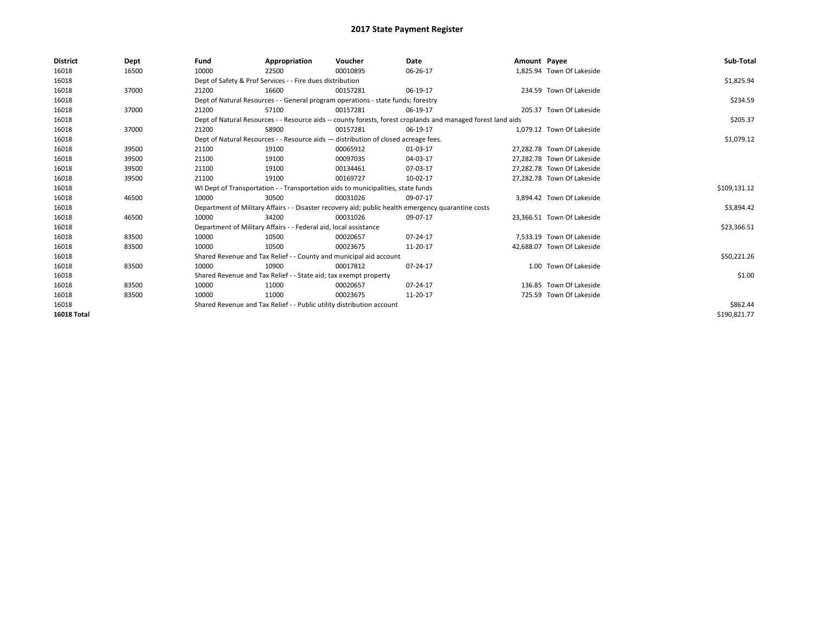| <b>District</b> | Dept  | Fund                                                                             | Appropriation                                                                      | Voucher      | Date                                                                                                         | Amount Payee |                            | Sub-Total    |  |  |  |
|-----------------|-------|----------------------------------------------------------------------------------|------------------------------------------------------------------------------------|--------------|--------------------------------------------------------------------------------------------------------------|--------------|----------------------------|--------------|--|--|--|
| 16018           | 16500 | 10000                                                                            | 22500                                                                              | 00010895     | 06-26-17                                                                                                     |              | 1,825.94 Town Of Lakeside  |              |  |  |  |
| 16018           |       |                                                                                  | Dept of Safety & Prof Services - - Fire dues distribution                          |              |                                                                                                              |              |                            | \$1,825.94   |  |  |  |
| 16018           | 37000 | 21200                                                                            | 16600                                                                              | 00157281     | 06-19-17                                                                                                     |              | 234.59 Town Of Lakeside    |              |  |  |  |
| 16018           |       |                                                                                  | Dept of Natural Resources - - General program operations - state funds; forestry   |              |                                                                                                              |              |                            | \$234.59     |  |  |  |
| 16018           | 37000 | 21200                                                                            | 57100                                                                              | 00157281     | 06-19-17                                                                                                     |              | 205.37 Town Of Lakeside    |              |  |  |  |
| 16018           |       |                                                                                  |                                                                                    |              | Dept of Natural Resources - - Resource aids -- county forests, forest croplands and managed forest land aids |              |                            | \$205.37     |  |  |  |
| 16018           | 37000 | 21200                                                                            | 58900                                                                              | 00157281     | 06-19-17                                                                                                     |              | 1,079.12 Town Of Lakeside  |              |  |  |  |
| 16018           |       |                                                                                  | Dept of Natural Resources - - Resource aids - distribution of closed acreage fees. |              |                                                                                                              |              |                            |              |  |  |  |
| 16018           | 39500 | 21100                                                                            | 19100                                                                              | 00065912     | 01-03-17                                                                                                     |              | 27,282.78 Town Of Lakeside |              |  |  |  |
| 16018           | 39500 | 21100                                                                            | 19100                                                                              | 00097035     | 04-03-17                                                                                                     |              | 27.282.78 Town Of Lakeside |              |  |  |  |
| 16018           | 39500 | 21100                                                                            | 19100                                                                              | 00134461     | 07-03-17                                                                                                     |              | 27.282.78 Town Of Lakeside |              |  |  |  |
| 16018           | 39500 | 21100                                                                            | 19100                                                                              | 00169727     | 10-02-17                                                                                                     |              | 27,282.78 Town Of Lakeside |              |  |  |  |
| 16018           |       | WI Dept of Transportation - - Transportation aids to municipalities, state funds |                                                                                    | \$109,131.12 |                                                                                                              |              |                            |              |  |  |  |
| 16018           | 46500 | 10000                                                                            | 30500                                                                              | 00031026     | 09-07-17                                                                                                     |              | 3,894.42 Town Of Lakeside  |              |  |  |  |
| 16018           |       |                                                                                  |                                                                                    |              | Department of Military Affairs - - Disaster recovery aid; public health emergency quarantine costs           |              |                            | \$3,894.42   |  |  |  |
| 16018           | 46500 | 10000                                                                            | 34200                                                                              | 00031026     | 09-07-17                                                                                                     |              | 23.366.51 Town Of Lakeside |              |  |  |  |
| 16018           |       |                                                                                  | Department of Military Affairs - - Federal aid, local assistance                   |              |                                                                                                              |              |                            | \$23,366.51  |  |  |  |
| 16018           | 83500 | 10000                                                                            | 10500                                                                              | 00020657     | 07-24-17                                                                                                     |              | 7.533.19 Town Of Lakeside  |              |  |  |  |
| 16018           | 83500 | 10000                                                                            | 10500                                                                              | 00023675     | 11-20-17                                                                                                     |              | 42,688.07 Town Of Lakeside |              |  |  |  |
| 16018           |       |                                                                                  | Shared Revenue and Tax Relief - - County and municipal aid account                 |              |                                                                                                              |              |                            | \$50,221.26  |  |  |  |
| 16018           | 83500 | 10000                                                                            | 10900                                                                              | 00017812     | 07-24-17                                                                                                     |              | 1.00 Town Of Lakeside      |              |  |  |  |
| 16018           |       |                                                                                  | Shared Revenue and Tax Relief - - State aid; tax exempt property                   |              |                                                                                                              |              |                            | \$1.00       |  |  |  |
| 16018           | 83500 | 10000                                                                            | 11000                                                                              | 00020657     | 07-24-17                                                                                                     |              | 136.85 Town Of Lakeside    |              |  |  |  |
| 16018           | 83500 | 10000                                                                            | 11000                                                                              | 00023675     | 11-20-17                                                                                                     |              | 725.59 Town Of Lakeside    |              |  |  |  |
| 16018           |       | Shared Revenue and Tax Relief - - Public utility distribution account            |                                                                                    | \$862.44     |                                                                                                              |              |                            |              |  |  |  |
| 16018 Total     |       |                                                                                  |                                                                                    |              |                                                                                                              |              |                            | \$190,821.77 |  |  |  |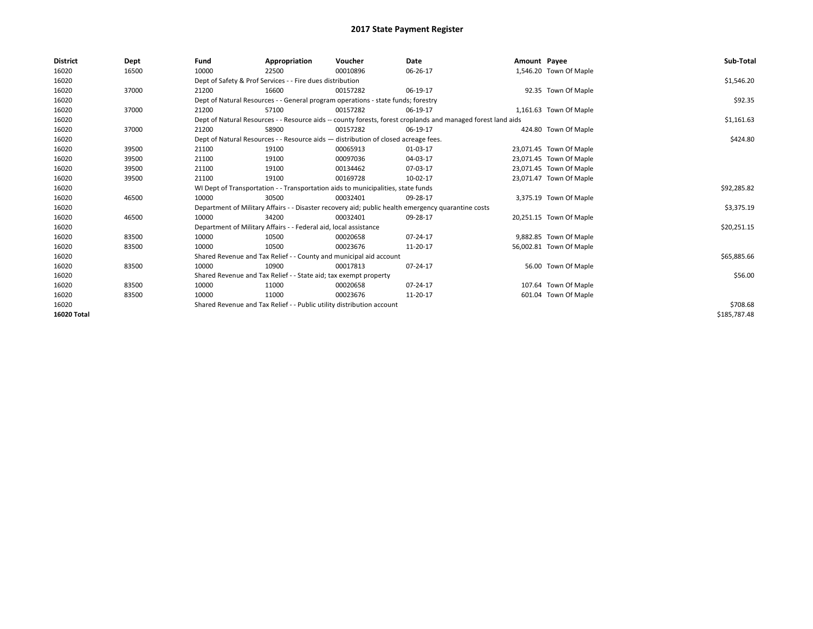| <b>District</b> | Dept  | Fund                                                                             | Appropriation                                                                      | Voucher     | Date                                                                                                         | Amount Payee |                         | Sub-Total    |
|-----------------|-------|----------------------------------------------------------------------------------|------------------------------------------------------------------------------------|-------------|--------------------------------------------------------------------------------------------------------------|--------------|-------------------------|--------------|
| 16020           | 16500 | 10000                                                                            | 22500                                                                              | 00010896    | 06-26-17                                                                                                     |              | 1,546.20 Town Of Maple  |              |
| 16020           |       |                                                                                  | Dept of Safety & Prof Services - - Fire dues distribution                          |             |                                                                                                              |              |                         | \$1,546.20   |
| 16020           | 37000 | 21200                                                                            | 16600                                                                              | 00157282    | 06-19-17                                                                                                     |              | 92.35 Town Of Maple     |              |
| 16020           |       |                                                                                  | Dept of Natural Resources - - General program operations - state funds; forestry   |             |                                                                                                              |              |                         | \$92.35      |
| 16020           | 37000 | 21200                                                                            | 57100                                                                              | 00157282    | 06-19-17                                                                                                     |              | 1,161.63 Town Of Maple  |              |
| 16020           |       |                                                                                  |                                                                                    |             | Dept of Natural Resources - - Resource aids -- county forests, forest croplands and managed forest land aids |              |                         | \$1,161.63   |
| 16020           | 37000 | 21200                                                                            | 58900                                                                              | 00157282    | 06-19-17                                                                                                     |              | 424.80 Town Of Maple    |              |
| 16020           |       |                                                                                  | Dept of Natural Resources - - Resource aids - distribution of closed acreage fees. |             |                                                                                                              |              |                         | \$424.80     |
| 16020           | 39500 | 21100                                                                            | 19100                                                                              | 00065913    | 01-03-17                                                                                                     |              | 23,071.45 Town Of Maple |              |
| 16020           | 39500 | 21100                                                                            | 19100                                                                              | 00097036    | 04-03-17                                                                                                     |              | 23,071.45 Town Of Maple |              |
| 16020           | 39500 | 21100                                                                            | 19100                                                                              | 00134462    | 07-03-17                                                                                                     |              | 23,071.45 Town Of Maple |              |
| 16020           | 39500 | 21100                                                                            | 19100                                                                              | 00169728    | 10-02-17                                                                                                     |              | 23,071.47 Town Of Maple |              |
| 16020           |       | WI Dept of Transportation - - Transportation aids to municipalities, state funds |                                                                                    | \$92,285.82 |                                                                                                              |              |                         |              |
| 16020           | 46500 | 10000                                                                            | 30500                                                                              | 00032401    | 09-28-17                                                                                                     |              | 3,375.19 Town Of Maple  |              |
| 16020           |       |                                                                                  |                                                                                    |             | Department of Military Affairs - - Disaster recovery aid; public health emergency quarantine costs           |              |                         | \$3,375.19   |
| 16020           | 46500 | 10000                                                                            | 34200                                                                              | 00032401    | 09-28-17                                                                                                     |              | 20,251.15 Town Of Maple |              |
| 16020           |       |                                                                                  | Department of Military Affairs - - Federal aid, local assistance                   |             |                                                                                                              |              |                         | \$20,251.15  |
| 16020           | 83500 | 10000                                                                            | 10500                                                                              | 00020658    | 07-24-17                                                                                                     |              | 9,882.85 Town Of Maple  |              |
| 16020           | 83500 | 10000                                                                            | 10500                                                                              | 00023676    | 11-20-17                                                                                                     |              | 56,002.81 Town Of Maple |              |
| 16020           |       |                                                                                  | Shared Revenue and Tax Relief - - County and municipal aid account                 |             |                                                                                                              |              |                         | \$65,885.66  |
| 16020           | 83500 | 10000                                                                            | 10900                                                                              | 00017813    | 07-24-17                                                                                                     |              | 56.00 Town Of Maple     |              |
| 16020           |       |                                                                                  | Shared Revenue and Tax Relief - - State aid; tax exempt property                   |             |                                                                                                              |              |                         | \$56.00      |
| 16020           | 83500 | 10000                                                                            | 11000                                                                              | 00020658    | 07-24-17                                                                                                     |              | 107.64 Town Of Maple    |              |
| 16020           | 83500 | 10000                                                                            | 11000                                                                              | 00023676    | 11-20-17                                                                                                     |              | 601.04 Town Of Maple    |              |
| 16020           |       | Shared Revenue and Tax Relief - - Public utility distribution account            |                                                                                    | \$708.68    |                                                                                                              |              |                         |              |
| 16020 Total     |       |                                                                                  |                                                                                    |             |                                                                                                              |              |                         | \$185,787.48 |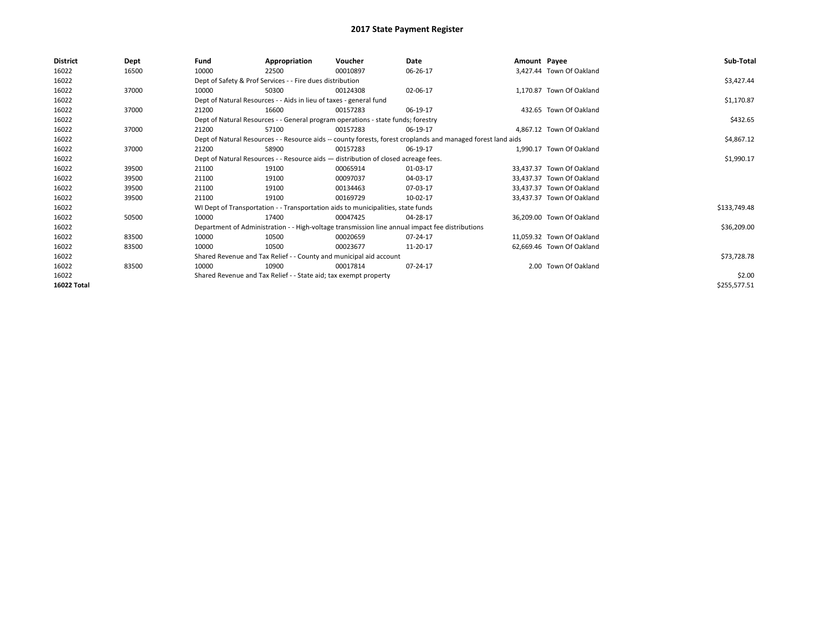| District           | Dept  | Fund                                                                               | Appropriation                                                                    | Voucher    | Date                                                                                                         | Amount Payee |                           | Sub-Total    |
|--------------------|-------|------------------------------------------------------------------------------------|----------------------------------------------------------------------------------|------------|--------------------------------------------------------------------------------------------------------------|--------------|---------------------------|--------------|
| 16022              | 16500 | 10000                                                                              | 22500                                                                            | 00010897   | 06-26-17                                                                                                     |              | 3.427.44 Town Of Oakland  |              |
| 16022              |       |                                                                                    | Dept of Safety & Prof Services - - Fire dues distribution                        |            |                                                                                                              |              |                           | \$3,427.44   |
| 16022              | 37000 | 10000                                                                              | 50300                                                                            | 00124308   | 02-06-17                                                                                                     |              | 1,170.87 Town Of Oakland  |              |
| 16022              |       |                                                                                    | Dept of Natural Resources - - Aids in lieu of taxes - general fund               |            |                                                                                                              |              |                           | \$1,170.87   |
| 16022              | 37000 | 21200                                                                              | 16600                                                                            | 00157283   | 06-19-17                                                                                                     |              | 432.65 Town Of Oakland    |              |
| 16022              |       |                                                                                    | Dept of Natural Resources - - General program operations - state funds; forestry |            |                                                                                                              |              |                           | \$432.65     |
| 16022              | 37000 | 21200                                                                              | 57100                                                                            | 00157283   | 06-19-17                                                                                                     |              | 4.867.12 Town Of Oakland  |              |
| 16022              |       |                                                                                    |                                                                                  |            | Dept of Natural Resources - - Resource aids -- county forests, forest croplands and managed forest land aids |              |                           | \$4,867.12   |
| 16022              | 37000 | 21200                                                                              | 58900                                                                            | 00157283   | 06-19-17                                                                                                     |              | 1.990.17 Town Of Oakland  |              |
| 16022              |       | Dept of Natural Resources - - Resource aids - distribution of closed acreage fees. |                                                                                  | \$1,990.17 |                                                                                                              |              |                           |              |
| 16022              | 39500 | 21100                                                                              | 19100                                                                            | 00065914   | 01-03-17                                                                                                     |              | 33.437.37 Town Of Oakland |              |
| 16022              | 39500 | 21100                                                                              | 19100                                                                            | 00097037   | 04-03-17                                                                                                     |              | 33.437.37 Town Of Oakland |              |
| 16022              | 39500 | 21100                                                                              | 19100                                                                            | 00134463   | 07-03-17                                                                                                     |              | 33,437.37 Town Of Oakland |              |
| 16022              | 39500 | 21100                                                                              | 19100                                                                            | 00169729   | 10-02-17                                                                                                     |              | 33.437.37 Town Of Oakland |              |
| 16022              |       |                                                                                    | WI Dept of Transportation - - Transportation aids to municipalities, state funds |            |                                                                                                              |              |                           | \$133,749.48 |
| 16022              | 50500 | 10000                                                                              | 17400                                                                            | 00047425   | 04-28-17                                                                                                     |              | 36,209.00 Town Of Oakland |              |
| 16022              |       |                                                                                    |                                                                                  |            | Department of Administration - - High-voltage transmission line annual impact fee distributions              |              |                           | \$36,209.00  |
| 16022              | 83500 | 10000                                                                              | 10500                                                                            | 00020659   | 07-24-17                                                                                                     |              | 11,059.32 Town Of Oakland |              |
| 16022              | 83500 | 10000                                                                              | 10500                                                                            | 00023677   | 11-20-17                                                                                                     |              | 62,669.46 Town Of Oakland |              |
| 16022              |       |                                                                                    | Shared Revenue and Tax Relief - - County and municipal aid account               |            |                                                                                                              |              |                           | \$73,728.78  |
| 16022              | 83500 | 10000                                                                              | 10900                                                                            | 00017814   | 07-24-17                                                                                                     |              | 2.00 Town Of Oakland      |              |
| 16022              |       |                                                                                    | Shared Revenue and Tax Relief - - State aid; tax exempt property                 |            |                                                                                                              |              |                           | \$2.00       |
| <b>16022 Total</b> |       |                                                                                    |                                                                                  |            |                                                                                                              |              |                           | \$255,577.51 |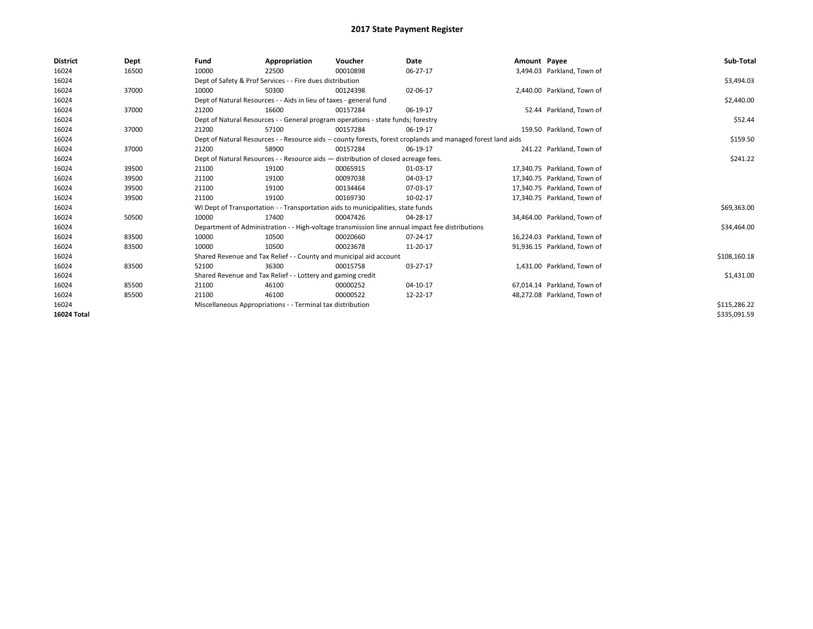| <b>District</b> | Dept  | Fund                                                       | Appropriation                                                                                                | Voucher      | <b>Date</b>                                                                                     | Amount Payee |                             | Sub-Total    |  |  |  |
|-----------------|-------|------------------------------------------------------------|--------------------------------------------------------------------------------------------------------------|--------------|-------------------------------------------------------------------------------------------------|--------------|-----------------------------|--------------|--|--|--|
| 16024           | 16500 | 10000                                                      | 22500                                                                                                        | 00010898     | 06-27-17                                                                                        |              | 3,494.03 Parkland, Town of  |              |  |  |  |
| 16024           |       |                                                            | Dept of Safety & Prof Services - - Fire dues distribution                                                    |              |                                                                                                 |              |                             | \$3,494.03   |  |  |  |
| 16024           | 37000 | 10000                                                      | 50300                                                                                                        | 00124398     | 02-06-17                                                                                        |              | 2,440.00 Parkland, Town of  |              |  |  |  |
| 16024           |       |                                                            | Dept of Natural Resources - - Aids in lieu of taxes - general fund                                           |              |                                                                                                 |              |                             | \$2,440.00   |  |  |  |
| 16024           | 37000 | 21200                                                      | 16600                                                                                                        | 00157284     | 06-19-17                                                                                        |              | 52.44 Parkland. Town of     |              |  |  |  |
| 16024           |       |                                                            | Dept of Natural Resources - - General program operations - state funds; forestry                             |              |                                                                                                 |              |                             | \$52.44      |  |  |  |
| 16024           | 37000 | 21200                                                      | 57100                                                                                                        | 00157284     | 06-19-17                                                                                        |              | 159.50 Parkland, Town of    |              |  |  |  |
| 16024           |       |                                                            | Dept of Natural Resources - - Resource aids -- county forests, forest croplands and managed forest land aids |              |                                                                                                 |              |                             |              |  |  |  |
| 16024           | 37000 | 21200                                                      | 58900                                                                                                        | 00157284     | 06-19-17                                                                                        |              | 241.22 Parkland, Town of    |              |  |  |  |
| 16024           |       |                                                            | Dept of Natural Resources - - Resource aids - distribution of closed acreage fees.                           |              |                                                                                                 |              |                             |              |  |  |  |
| 16024           | 39500 | 21100                                                      | 19100                                                                                                        | 00065915     | 01-03-17                                                                                        |              | 17.340.75 Parkland. Town of |              |  |  |  |
| 16024           | 39500 | 21100                                                      | 19100                                                                                                        | 00097038     | 04-03-17                                                                                        |              | 17,340.75 Parkland, Town of |              |  |  |  |
| 16024           | 39500 | 21100                                                      | 19100                                                                                                        | 00134464     | 07-03-17                                                                                        |              | 17,340.75 Parkland, Town of |              |  |  |  |
| 16024           | 39500 | 21100                                                      | 19100                                                                                                        | 00169730     | 10-02-17                                                                                        |              | 17,340.75 Parkland, Town of |              |  |  |  |
| 16024           |       |                                                            | WI Dept of Transportation - - Transportation aids to municipalities, state funds                             |              |                                                                                                 |              |                             | \$69,363.00  |  |  |  |
| 16024           | 50500 | 10000                                                      | 17400                                                                                                        | 00047426     | 04-28-17                                                                                        |              | 34.464.00 Parkland. Town of |              |  |  |  |
| 16024           |       |                                                            |                                                                                                              |              | Department of Administration - - High-voltage transmission line annual impact fee distributions |              |                             | \$34,464.00  |  |  |  |
| 16024           | 83500 | 10000                                                      | 10500                                                                                                        | 00020660     | 07-24-17                                                                                        |              | 16.224.03 Parkland. Town of |              |  |  |  |
| 16024           | 83500 | 10000                                                      | 10500                                                                                                        | 00023678     | 11-20-17                                                                                        |              | 91,936.15 Parkland, Town of |              |  |  |  |
| 16024           |       |                                                            | Shared Revenue and Tax Relief - - County and municipal aid account                                           |              |                                                                                                 |              |                             | \$108,160.18 |  |  |  |
| 16024           | 83500 | 52100                                                      | 36300                                                                                                        | 00015758     | 03-27-17                                                                                        |              | 1,431.00 Parkland, Town of  |              |  |  |  |
| 16024           |       |                                                            | Shared Revenue and Tax Relief - - Lottery and gaming credit                                                  |              |                                                                                                 |              |                             | \$1,431.00   |  |  |  |
| 16024           | 85500 | 21100                                                      | 46100                                                                                                        | 00000252     | 04-10-17                                                                                        |              | 67,014.14 Parkland, Town of |              |  |  |  |
| 16024           | 85500 | 21100                                                      | 46100                                                                                                        | 00000522     | 12-22-17                                                                                        |              | 48.272.08 Parkland. Town of |              |  |  |  |
| 16024           |       | Miscellaneous Appropriations - - Terminal tax distribution |                                                                                                              | \$115,286.22 |                                                                                                 |              |                             |              |  |  |  |
| 16024 Total     |       |                                                            |                                                                                                              |              |                                                                                                 |              |                             | \$335,091.59 |  |  |  |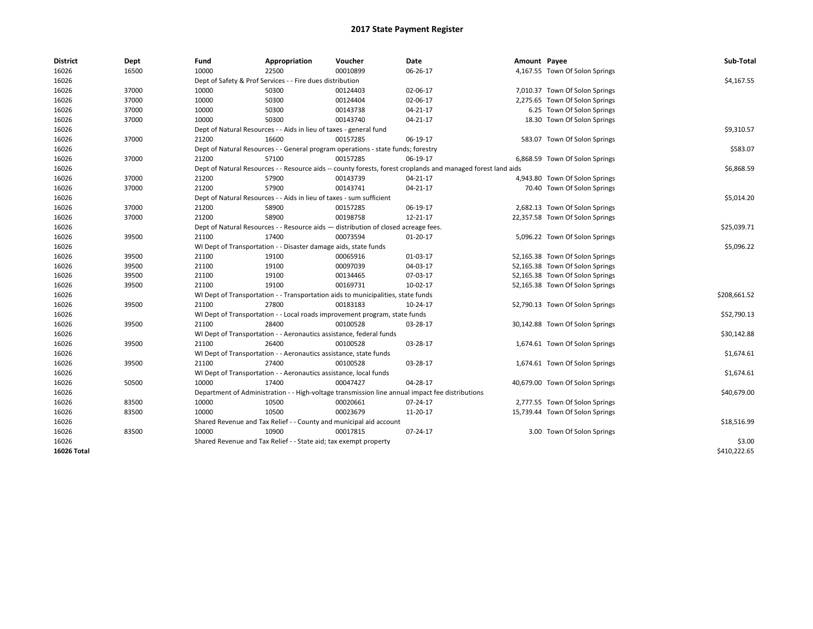| <b>District</b> | Dept  | Fund  | Appropriation                                                                      | Voucher  | Date                                                                                                         | Amount Payee |                                 | Sub-Total    |  |  |
|-----------------|-------|-------|------------------------------------------------------------------------------------|----------|--------------------------------------------------------------------------------------------------------------|--------------|---------------------------------|--------------|--|--|
| 16026           | 16500 | 10000 | 22500                                                                              | 00010899 | 06-26-17                                                                                                     |              | 4,167.55 Town Of Solon Springs  |              |  |  |
| 16026           |       |       | Dept of Safety & Prof Services - - Fire dues distribution                          |          |                                                                                                              |              |                                 | \$4,167.55   |  |  |
| 16026           | 37000 | 10000 | 50300                                                                              | 00124403 | 02-06-17                                                                                                     |              | 7,010.37 Town Of Solon Springs  |              |  |  |
| 16026           | 37000 | 10000 | 50300                                                                              | 00124404 | 02-06-17                                                                                                     |              | 2,275.65 Town Of Solon Springs  |              |  |  |
| 16026           | 37000 | 10000 | 50300                                                                              | 00143738 | 04-21-17                                                                                                     |              | 6.25 Town Of Solon Springs      |              |  |  |
| 16026           | 37000 | 10000 | 50300                                                                              | 00143740 | 04-21-17                                                                                                     |              | 18.30 Town Of Solon Springs     |              |  |  |
| 16026           |       |       | Dept of Natural Resources - - Aids in lieu of taxes - general fund                 |          |                                                                                                              |              |                                 | \$9,310.57   |  |  |
| 16026           | 37000 | 21200 | 16600                                                                              | 00157285 | 06-19-17                                                                                                     |              | 583.07 Town Of Solon Springs    |              |  |  |
| 16026           |       |       | Dept of Natural Resources - - General program operations - state funds; forestry   |          |                                                                                                              |              |                                 | \$583.07     |  |  |
| 16026           | 37000 | 21200 | 57100                                                                              | 00157285 | 06-19-17                                                                                                     |              | 6,868.59 Town Of Solon Springs  |              |  |  |
| 16026           |       |       |                                                                                    |          | Dept of Natural Resources - - Resource aids -- county forests, forest croplands and managed forest land aids |              |                                 | \$6,868.59   |  |  |
| 16026           | 37000 | 21200 | 57900                                                                              | 00143739 | 04-21-17                                                                                                     |              | 4,943.80 Town Of Solon Springs  |              |  |  |
| 16026           | 37000 | 21200 | 57900                                                                              | 00143741 | 04-21-17                                                                                                     |              | 70.40 Town Of Solon Springs     |              |  |  |
| 16026           |       |       | Dept of Natural Resources - - Aids in lieu of taxes - sum sufficient               |          |                                                                                                              |              |                                 | \$5,014.20   |  |  |
| 16026           | 37000 | 21200 | 58900                                                                              | 00157285 | 06-19-17                                                                                                     |              | 2,682.13 Town Of Solon Springs  |              |  |  |
| 16026           | 37000 | 21200 | 58900                                                                              | 00198758 | 12-21-17                                                                                                     |              | 22,357.58 Town Of Solon Springs |              |  |  |
| 16026           |       |       | Dept of Natural Resources - - Resource aids - distribution of closed acreage fees. |          |                                                                                                              |              |                                 |              |  |  |
| 16026           | 39500 | 21100 | 17400                                                                              | 00073594 | $01-20-17$                                                                                                   |              | 5,096.22 Town Of Solon Springs  |              |  |  |
| 16026           |       |       | WI Dept of Transportation - - Disaster damage aids, state funds                    |          |                                                                                                              |              |                                 |              |  |  |
| 16026           | 39500 | 21100 | 19100                                                                              | 00065916 | 01-03-17                                                                                                     |              | 52,165.38 Town Of Solon Springs |              |  |  |
| 16026           | 39500 | 21100 | 19100                                                                              | 00097039 | 04-03-17                                                                                                     |              | 52,165.38 Town Of Solon Springs |              |  |  |
| 16026           | 39500 | 21100 | 19100                                                                              | 00134465 | 07-03-17                                                                                                     |              | 52,165.38 Town Of Solon Springs |              |  |  |
| 16026           | 39500 | 21100 | 19100                                                                              | 00169731 | 10-02-17                                                                                                     |              | 52,165.38 Town Of Solon Springs |              |  |  |
| 16026           |       |       | WI Dept of Transportation - - Transportation aids to municipalities, state funds   |          |                                                                                                              |              |                                 | \$208,661.52 |  |  |
| 16026           | 39500 | 21100 | 27800                                                                              | 00183183 | 10-24-17                                                                                                     |              | 52,790.13 Town Of Solon Springs |              |  |  |
| 16026           |       |       | WI Dept of Transportation - - Local roads improvement program, state funds         |          |                                                                                                              |              |                                 | \$52,790.13  |  |  |
| 16026           | 39500 | 21100 | 28400                                                                              | 00100528 | 03-28-17                                                                                                     |              | 30,142.88 Town Of Solon Springs |              |  |  |
| 16026           |       |       | WI Dept of Transportation - - Aeronautics assistance, federal funds                |          |                                                                                                              |              |                                 | \$30,142.88  |  |  |
| 16026           | 39500 | 21100 | 26400                                                                              | 00100528 | 03-28-17                                                                                                     |              | 1,674.61 Town Of Solon Springs  |              |  |  |
| 16026           |       |       | WI Dept of Transportation - - Aeronautics assistance, state funds                  |          |                                                                                                              |              |                                 | \$1,674.61   |  |  |
| 16026           | 39500 | 21100 | 27400                                                                              | 00100528 | 03-28-17                                                                                                     |              | 1,674.61 Town Of Solon Springs  |              |  |  |
| 16026           |       |       | WI Dept of Transportation - - Aeronautics assistance, local funds                  |          |                                                                                                              |              |                                 | \$1,674.61   |  |  |
| 16026           | 50500 | 10000 | 17400                                                                              | 00047427 | 04-28-17                                                                                                     |              | 40,679.00 Town Of Solon Springs |              |  |  |
| 16026           |       |       |                                                                                    |          | Department of Administration - - High-voltage transmission line annual impact fee distributions              |              |                                 | \$40,679.00  |  |  |
| 16026           | 83500 | 10000 | 10500                                                                              | 00020661 | 07-24-17                                                                                                     |              | 2,777.55 Town Of Solon Springs  |              |  |  |
| 16026           | 83500 | 10000 | 10500                                                                              | 00023679 | 11-20-17                                                                                                     |              | 15,739.44 Town Of Solon Springs |              |  |  |
| 16026           |       |       | Shared Revenue and Tax Relief - - County and municipal aid account                 |          |                                                                                                              |              |                                 | \$18,516.99  |  |  |
| 16026           | 83500 | 10000 | 10900                                                                              | 00017815 | 07-24-17                                                                                                     |              | 3.00 Town Of Solon Springs      |              |  |  |
| 16026           |       |       | Shared Revenue and Tax Relief - - State aid; tax exempt property                   |          |                                                                                                              |              |                                 | \$3.00       |  |  |
| 16026 Total     |       |       |                                                                                    |          |                                                                                                              |              |                                 | \$410,222.65 |  |  |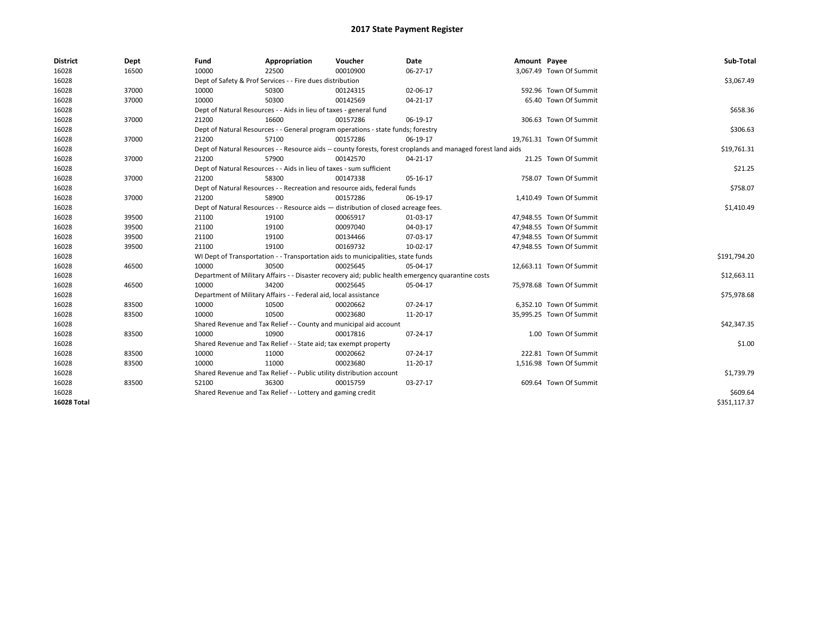| <b>District</b>    | Dept  | Fund  | Appropriation                                                                                                | Voucher  | <b>Date</b>    | Amount Payee |                          | Sub-Total    |  |  |
|--------------------|-------|-------|--------------------------------------------------------------------------------------------------------------|----------|----------------|--------------|--------------------------|--------------|--|--|
| 16028              | 16500 | 10000 | 22500                                                                                                        | 00010900 | 06-27-17       |              | 3,067.49 Town Of Summit  |              |  |  |
| 16028              |       |       | Dept of Safety & Prof Services - - Fire dues distribution                                                    |          |                |              |                          | \$3,067.49   |  |  |
| 16028              | 37000 | 10000 | 50300                                                                                                        | 00124315 | 02-06-17       |              | 592.96 Town Of Summit    |              |  |  |
| 16028              | 37000 | 10000 | 50300                                                                                                        | 00142569 | $04 - 21 - 17$ |              | 65.40 Town Of Summit     |              |  |  |
| 16028              |       |       | Dept of Natural Resources - - Aids in lieu of taxes - general fund                                           |          |                |              |                          | \$658.36     |  |  |
| 16028              | 37000 | 21200 | 16600                                                                                                        | 00157286 | 06-19-17       |              | 306.63 Town Of Summit    |              |  |  |
| 16028              |       |       | Dept of Natural Resources - - General program operations - state funds; forestry                             |          |                |              |                          |              |  |  |
| 16028              | 37000 | 21200 | 57100                                                                                                        | 00157286 | 06-19-17       |              | 19,761.31 Town Of Summit |              |  |  |
| 16028              |       |       | Dept of Natural Resources - - Resource aids -- county forests, forest croplands and managed forest land aids |          |                |              |                          | \$19,761.31  |  |  |
| 16028              | 37000 | 21200 | 57900                                                                                                        | 00142570 | 04-21-17       |              | 21.25 Town Of Summit     |              |  |  |
| 16028              |       |       | Dept of Natural Resources - - Aids in lieu of taxes - sum sufficient                                         |          |                |              |                          | \$21.25      |  |  |
| 16028              | 37000 | 21200 | 58300                                                                                                        | 00147338 | 05-16-17       |              | 758.07 Town Of Summit    |              |  |  |
| 16028              |       |       | Dept of Natural Resources - - Recreation and resource aids, federal funds                                    |          |                |              |                          |              |  |  |
| 16028              | 37000 | 21200 | 58900                                                                                                        | 00157286 | 06-19-17       |              | 1,410.49 Town Of Summit  |              |  |  |
| 16028              |       |       | Dept of Natural Resources - - Resource aids - distribution of closed acreage fees.                           |          |                |              |                          |              |  |  |
| 16028              | 39500 | 21100 | 19100                                                                                                        | 00065917 | 01-03-17       |              | 47,948.55 Town Of Summit |              |  |  |
| 16028              | 39500 | 21100 | 19100                                                                                                        | 00097040 | 04-03-17       |              | 47.948.55 Town Of Summit |              |  |  |
| 16028              | 39500 | 21100 | 19100                                                                                                        | 00134466 | 07-03-17       |              | 47,948.55 Town Of Summit |              |  |  |
| 16028              | 39500 | 21100 | 19100                                                                                                        | 00169732 | 10-02-17       |              | 47,948.55 Town Of Summit |              |  |  |
| 16028              |       |       | WI Dept of Transportation - - Transportation aids to municipalities, state funds                             |          |                |              |                          | \$191,794.20 |  |  |
| 16028              | 46500 | 10000 | 30500                                                                                                        | 00025645 | 05-04-17       |              | 12,663.11 Town Of Summit |              |  |  |
| 16028              |       |       | Department of Military Affairs - - Disaster recovery aid; public health emergency quarantine costs           |          |                |              |                          | \$12,663.11  |  |  |
| 16028              | 46500 | 10000 | 34200                                                                                                        | 00025645 | 05-04-17       |              | 75,978.68 Town Of Summit |              |  |  |
| 16028              |       |       | Department of Military Affairs - - Federal aid, local assistance                                             |          |                |              |                          | \$75,978.68  |  |  |
| 16028              | 83500 | 10000 | 10500                                                                                                        | 00020662 | 07-24-17       |              | 6,352.10 Town Of Summit  |              |  |  |
| 16028              | 83500 | 10000 | 10500                                                                                                        | 00023680 | 11-20-17       |              | 35,995.25 Town Of Summit |              |  |  |
| 16028              |       |       | Shared Revenue and Tax Relief - - County and municipal aid account                                           |          |                |              |                          | \$42,347.35  |  |  |
| 16028              | 83500 | 10000 | 10900                                                                                                        | 00017816 | 07-24-17       |              | 1.00 Town Of Summit      |              |  |  |
| 16028              |       |       | Shared Revenue and Tax Relief - - State aid; tax exempt property                                             |          |                |              |                          | \$1.00       |  |  |
| 16028              | 83500 | 10000 | 11000                                                                                                        | 00020662 | 07-24-17       |              | 222.81 Town Of Summit    |              |  |  |
| 16028              | 83500 | 10000 | 11000                                                                                                        | 00023680 | 11-20-17       |              | 1,516.98 Town Of Summit  |              |  |  |
| 16028              |       |       | Shared Revenue and Tax Relief - - Public utility distribution account                                        |          |                |              |                          | \$1,739.79   |  |  |
| 16028              | 83500 | 52100 | 36300                                                                                                        | 00015759 | 03-27-17       |              | 609.64 Town Of Summit    |              |  |  |
| 16028              |       |       | Shared Revenue and Tax Relief - - Lottery and gaming credit                                                  |          |                |              |                          | \$609.64     |  |  |
| <b>16028 Total</b> |       |       |                                                                                                              |          |                |              |                          | \$351,117.37 |  |  |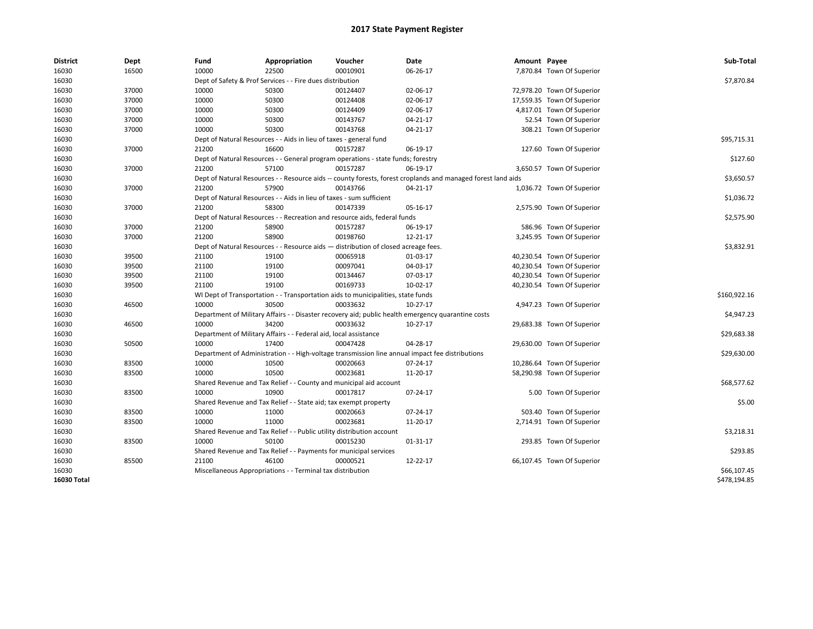| <b>District</b> | Dept  | Fund                                                                               | Appropriation                                                                    | Voucher    | Date                                                                                                         | Amount Payee |                            | Sub-Total    |
|-----------------|-------|------------------------------------------------------------------------------------|----------------------------------------------------------------------------------|------------|--------------------------------------------------------------------------------------------------------------|--------------|----------------------------|--------------|
| 16030           | 16500 | 10000                                                                              | 22500                                                                            | 00010901   | 06-26-17                                                                                                     |              | 7,870.84 Town Of Superior  |              |
| 16030           |       |                                                                                    | Dept of Safety & Prof Services - - Fire dues distribution                        |            |                                                                                                              |              |                            | \$7,870.84   |
| 16030           | 37000 | 10000                                                                              | 50300                                                                            | 00124407   | 02-06-17                                                                                                     |              | 72,978.20 Town Of Superior |              |
| 16030           | 37000 | 10000                                                                              | 50300                                                                            | 00124408   | 02-06-17                                                                                                     |              | 17,559.35 Town Of Superior |              |
| 16030           | 37000 | 10000                                                                              | 50300                                                                            | 00124409   | 02-06-17                                                                                                     |              | 4,817.01 Town Of Superior  |              |
| 16030           | 37000 | 10000                                                                              | 50300                                                                            | 00143767   | 04-21-17                                                                                                     |              | 52.54 Town Of Superior     |              |
| 16030           | 37000 | 10000                                                                              | 50300                                                                            | 00143768   | 04-21-17                                                                                                     |              | 308.21 Town Of Superior    |              |
| 16030           |       |                                                                                    | Dept of Natural Resources - - Aids in lieu of taxes - general fund               |            |                                                                                                              |              |                            | \$95,715.31  |
| 16030           | 37000 | 21200                                                                              | 16600                                                                            | 00157287   | 06-19-17                                                                                                     |              | 127.60 Town Of Superior    |              |
| 16030           |       |                                                                                    | Dept of Natural Resources - - General program operations - state funds; forestry |            |                                                                                                              |              |                            | \$127.60     |
| 16030           | 37000 | 21200                                                                              | 57100                                                                            | 00157287   | 06-19-17                                                                                                     |              | 3,650.57 Town Of Superior  |              |
| 16030           |       |                                                                                    |                                                                                  |            | Dept of Natural Resources - - Resource aids -- county forests, forest croplands and managed forest land aids |              |                            | \$3,650.57   |
| 16030           | 37000 | 21200                                                                              | 57900                                                                            | 00143766   | 04-21-17                                                                                                     |              | 1,036.72 Town Of Superior  |              |
| 16030           |       |                                                                                    | Dept of Natural Resources - - Aids in lieu of taxes - sum sufficient             |            |                                                                                                              |              |                            | \$1,036.72   |
| 16030           | 37000 | 21200                                                                              | 58300                                                                            | 00147339   | 05-16-17                                                                                                     |              | 2,575.90 Town Of Superior  |              |
| 16030           |       |                                                                                    | Dept of Natural Resources - - Recreation and resource aids, federal funds        |            |                                                                                                              |              |                            | \$2,575.90   |
| 16030           | 37000 | 21200                                                                              | 58900                                                                            | 00157287   | 06-19-17                                                                                                     |              | 586.96 Town Of Superior    |              |
| 16030           | 37000 | 21200                                                                              | 58900                                                                            | 00198760   | 12-21-17                                                                                                     |              | 3,245.95 Town Of Superior  |              |
| 16030           |       | Dept of Natural Resources - - Resource aids - distribution of closed acreage fees. |                                                                                  | \$3,832.91 |                                                                                                              |              |                            |              |
| 16030           | 39500 | 21100                                                                              | 19100                                                                            | 00065918   | 01-03-17                                                                                                     |              | 40,230.54 Town Of Superior |              |
| 16030           | 39500 | 21100                                                                              | 19100                                                                            | 00097041   | 04-03-17                                                                                                     |              | 40,230.54 Town Of Superior |              |
| 16030           | 39500 | 21100                                                                              | 19100                                                                            | 00134467   | 07-03-17                                                                                                     |              | 40,230.54 Town Of Superior |              |
| 16030           | 39500 | 21100                                                                              | 19100                                                                            | 00169733   | 10-02-17                                                                                                     |              | 40,230.54 Town Of Superior |              |
| 16030           |       |                                                                                    | WI Dept of Transportation - - Transportation aids to municipalities, state funds |            |                                                                                                              |              |                            | \$160,922.16 |
| 16030           | 46500 | 10000                                                                              | 30500                                                                            | 00033632   | $10-27-17$                                                                                                   |              | 4,947.23 Town Of Superior  |              |
| 16030           |       |                                                                                    |                                                                                  |            | Department of Military Affairs - - Disaster recovery aid; public health emergency quarantine costs           |              |                            | \$4,947.23   |
| 16030           | 46500 | 10000                                                                              | 34200                                                                            | 00033632   | 10-27-17                                                                                                     |              | 29,683.38 Town Of Superior |              |
| 16030           |       |                                                                                    | Department of Military Affairs - - Federal aid, local assistance                 |            |                                                                                                              |              |                            | \$29,683.38  |
| 16030           | 50500 | 10000                                                                              | 17400                                                                            | 00047428   | 04-28-17                                                                                                     |              | 29,630.00 Town Of Superior |              |
| 16030           |       |                                                                                    |                                                                                  |            | Department of Administration - - High-voltage transmission line annual impact fee distributions              |              |                            | \$29,630.00  |
| 16030           | 83500 | 10000                                                                              | 10500                                                                            | 00020663   | 07-24-17                                                                                                     |              | 10,286.64 Town Of Superior |              |
| 16030           | 83500 | 10000                                                                              | 10500                                                                            | 00023681   | 11-20-17                                                                                                     |              | 58,290.98 Town Of Superior |              |
| 16030           |       |                                                                                    | Shared Revenue and Tax Relief - - County and municipal aid account               |            |                                                                                                              |              |                            | \$68,577.62  |
| 16030           | 83500 | 10000                                                                              | 10900                                                                            | 00017817   | 07-24-17                                                                                                     |              | 5.00 Town Of Superior      |              |
| 16030           |       |                                                                                    | Shared Revenue and Tax Relief - - State aid; tax exempt property                 |            |                                                                                                              |              |                            | \$5.00       |
| 16030           | 83500 | 10000                                                                              | 11000                                                                            | 00020663   | 07-24-17                                                                                                     |              | 503.40 Town Of Superior    |              |
| 16030           | 83500 | 10000                                                                              | 11000                                                                            | 00023681   | 11-20-17                                                                                                     |              | 2,714.91 Town Of Superior  |              |
| 16030           |       |                                                                                    | Shared Revenue and Tax Relief - - Public utility distribution account            |            |                                                                                                              |              |                            | \$3,218.31   |
| 16030           | 83500 | 10000                                                                              | 50100                                                                            | 00015230   | 01-31-17                                                                                                     |              | 293.85 Town Of Superior    |              |
| 16030           |       |                                                                                    | Shared Revenue and Tax Relief - - Payments for municipal services                |            |                                                                                                              |              |                            | \$293.85     |
| 16030           | 85500 | 21100                                                                              | 46100                                                                            | 00000521   | 12-22-17                                                                                                     |              | 66,107.45 Town Of Superior |              |
| 16030           |       |                                                                                    | Miscellaneous Appropriations - - Terminal tax distribution                       |            |                                                                                                              |              |                            | \$66,107.45  |
| 16030 Total     |       |                                                                                    |                                                                                  |            |                                                                                                              |              |                            | \$478,194.85 |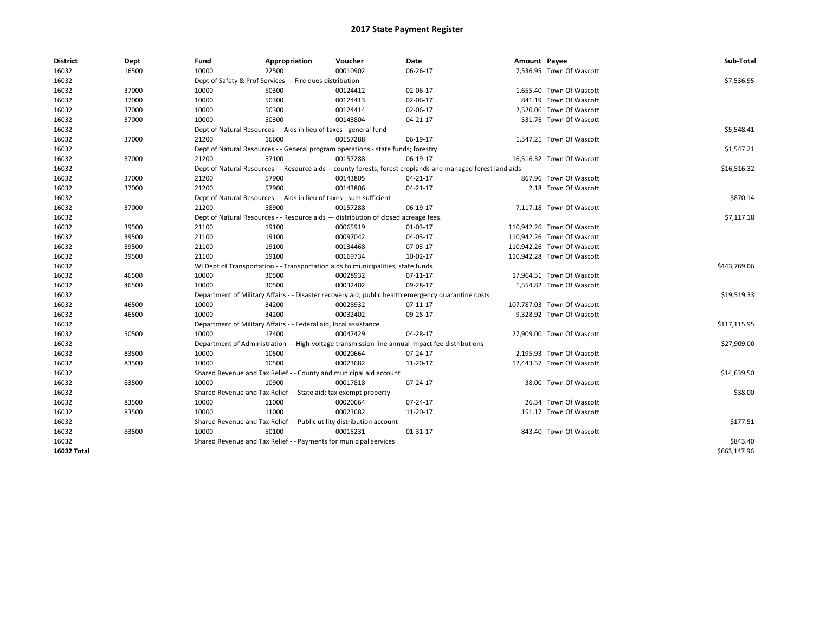| <b>District</b> | Dept  | Fund                                                                               | Appropriation                                                                    | Voucher    | Date                                                                                                         | Amount Payee |                            | Sub-Total    |
|-----------------|-------|------------------------------------------------------------------------------------|----------------------------------------------------------------------------------|------------|--------------------------------------------------------------------------------------------------------------|--------------|----------------------------|--------------|
| 16032           | 16500 | 10000                                                                              | 22500                                                                            | 00010902   | 06-26-17                                                                                                     |              | 7,536.95 Town Of Wascott   |              |
| 16032           |       |                                                                                    | Dept of Safety & Prof Services - - Fire dues distribution                        |            |                                                                                                              |              |                            | \$7,536.95   |
| 16032           | 37000 | 10000                                                                              | 50300                                                                            | 00124412   | 02-06-17                                                                                                     |              | 1,655.40 Town Of Wascott   |              |
| 16032           | 37000 | 10000                                                                              | 50300                                                                            | 00124413   | 02-06-17                                                                                                     |              | 841.19 Town Of Wascott     |              |
| 16032           | 37000 | 10000                                                                              | 50300                                                                            | 00124414   | 02-06-17                                                                                                     |              | 2,520.06 Town Of Wascott   |              |
| 16032           | 37000 | 10000                                                                              | 50300                                                                            | 00143804   | 04-21-17                                                                                                     |              | 531.76 Town Of Wascott     |              |
| 16032           |       |                                                                                    | Dept of Natural Resources - - Aids in lieu of taxes - general fund               |            |                                                                                                              |              |                            | \$5,548.41   |
| 16032           | 37000 | 21200                                                                              | 16600                                                                            | 00157288   | 06-19-17                                                                                                     |              | 1,547.21 Town Of Wascott   |              |
| 16032           |       |                                                                                    | Dept of Natural Resources - - General program operations - state funds; forestry |            |                                                                                                              |              |                            | \$1,547.21   |
| 16032           | 37000 | 21200                                                                              | 57100                                                                            | 00157288   | 06-19-17                                                                                                     |              | 16,516.32 Town Of Wascott  |              |
| 16032           |       |                                                                                    |                                                                                  |            | Dept of Natural Resources - - Resource aids -- county forests, forest croplands and managed forest land aids |              |                            | \$16,516.32  |
| 16032           | 37000 | 21200                                                                              | 57900                                                                            | 00143805   | 04-21-17                                                                                                     |              | 867.96 Town Of Wascott     |              |
| 16032           | 37000 | 21200                                                                              | 57900                                                                            | 00143806   | 04-21-17                                                                                                     |              | 2.18 Town Of Wascott       |              |
| 16032           |       |                                                                                    | Dept of Natural Resources - - Aids in lieu of taxes - sum sufficient             |            |                                                                                                              |              |                            | \$870.14     |
| 16032           | 37000 | 21200                                                                              | 58900                                                                            | 00157288   | 06-19-17                                                                                                     |              | 7,117.18 Town Of Wascott   |              |
| 16032           |       | Dept of Natural Resources - - Resource aids - distribution of closed acreage fees. |                                                                                  | \$7,117.18 |                                                                                                              |              |                            |              |
| 16032           | 39500 | 21100                                                                              | 19100                                                                            | 00065919   | 01-03-17                                                                                                     |              | 110,942.26 Town Of Wascott |              |
| 16032           | 39500 | 21100                                                                              | 19100                                                                            | 00097042   | 04-03-17                                                                                                     |              | 110,942.26 Town Of Wascott |              |
| 16032           | 39500 | 21100                                                                              | 19100                                                                            | 00134468   | 07-03-17                                                                                                     |              | 110,942.26 Town Of Wascott |              |
| 16032           | 39500 | 21100                                                                              | 19100                                                                            | 00169734   | 10-02-17                                                                                                     |              | 110,942.28 Town Of Wascott |              |
| 16032           |       |                                                                                    | WI Dept of Transportation - - Transportation aids to municipalities, state funds |            |                                                                                                              |              |                            | \$443,769.06 |
| 16032           | 46500 | 10000                                                                              | 30500                                                                            | 00028932   | 07-11-17                                                                                                     |              | 17,964.51 Town Of Wascott  |              |
| 16032           | 46500 | 10000                                                                              | 30500                                                                            | 00032402   | 09-28-17                                                                                                     |              | 1,554.82 Town Of Wascott   |              |
| 16032           |       |                                                                                    |                                                                                  |            | Department of Military Affairs - - Disaster recovery aid; public health emergency quarantine costs           |              |                            | \$19,519.33  |
| 16032           | 46500 | 10000                                                                              | 34200                                                                            | 00028932   | 07-11-17                                                                                                     |              | 107,787.03 Town Of Wascott |              |
| 16032           | 46500 | 10000                                                                              | 34200                                                                            | 00032402   | 09-28-17                                                                                                     |              | 9,328.92 Town Of Wascott   |              |
| 16032           |       |                                                                                    | Department of Military Affairs - - Federal aid, local assistance                 |            |                                                                                                              |              |                            | \$117,115.95 |
| 16032           | 50500 | 10000                                                                              | 17400                                                                            | 00047429   | 04-28-17                                                                                                     |              | 27,909.00 Town Of Wascott  |              |
| 16032           |       |                                                                                    |                                                                                  |            | Department of Administration - - High-voltage transmission line annual impact fee distributions              |              |                            | \$27,909.00  |
| 16032           | 83500 | 10000                                                                              | 10500                                                                            | 00020664   | 07-24-17                                                                                                     |              | 2,195.93 Town Of Wascott   |              |
| 16032           | 83500 | 10000                                                                              | 10500                                                                            | 00023682   | 11-20-17                                                                                                     |              | 12,443.57 Town Of Wascott  |              |
| 16032           |       |                                                                                    | Shared Revenue and Tax Relief - - County and municipal aid account               |            |                                                                                                              |              |                            | \$14,639.50  |
| 16032           | 83500 | 10000                                                                              | 10900                                                                            | 00017818   | 07-24-17                                                                                                     |              | 38.00 Town Of Wascott      |              |
| 16032           |       |                                                                                    | Shared Revenue and Tax Relief - - State aid; tax exempt property                 |            |                                                                                                              |              |                            | \$38.00      |
| 16032           | 83500 | 10000                                                                              | 11000                                                                            | 00020664   | 07-24-17                                                                                                     |              | 26.34 Town Of Wascott      |              |
| 16032           | 83500 | 10000                                                                              | 11000                                                                            | 00023682   | 11-20-17                                                                                                     |              | 151.17 Town Of Wascott     |              |
| 16032           |       |                                                                                    | Shared Revenue and Tax Relief - - Public utility distribution account            |            |                                                                                                              |              |                            | \$177.51     |
| 16032           | 83500 | 10000                                                                              | 50100                                                                            | 00015231   | 01-31-17                                                                                                     |              | 843.40 Town Of Wascott     |              |
| 16032           |       |                                                                                    | Shared Revenue and Tax Relief - - Payments for municipal services                |            |                                                                                                              |              |                            | \$843.40     |
| 16032 Total     |       |                                                                                    |                                                                                  |            |                                                                                                              |              |                            | \$663,147.96 |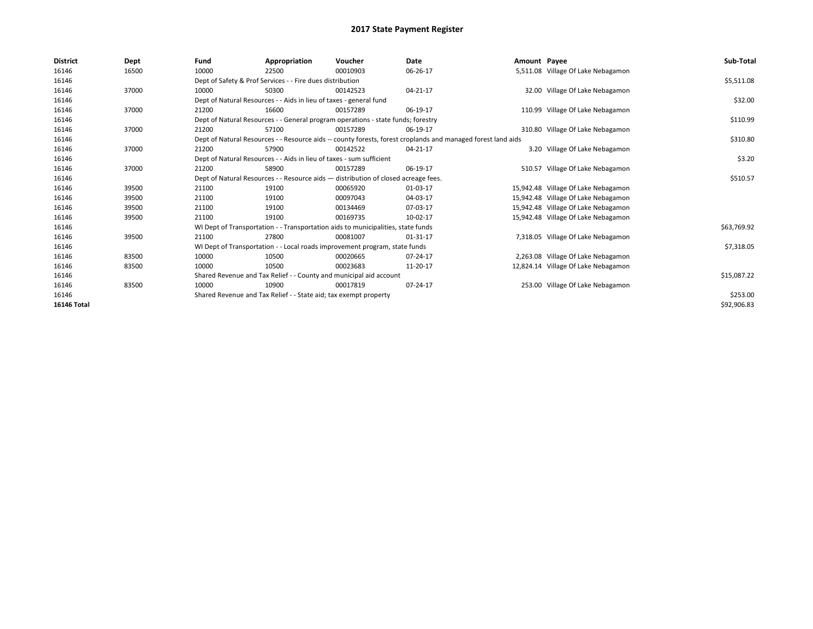| <b>District</b>    | Dept  | Fund                                                                               | Appropriation                                                                                                | Voucher  | Date     | Amount Payee |                                     | Sub-Total   |  |  |
|--------------------|-------|------------------------------------------------------------------------------------|--------------------------------------------------------------------------------------------------------------|----------|----------|--------------|-------------------------------------|-------------|--|--|
| 16146              | 16500 | 10000                                                                              | 22500                                                                                                        | 00010903 | 06-26-17 |              | 5,511.08 Village Of Lake Nebagamon  |             |  |  |
| 16146              |       |                                                                                    | Dept of Safety & Prof Services - - Fire dues distribution                                                    |          |          |              |                                     | \$5,511.08  |  |  |
| 16146              | 37000 | 10000                                                                              | 50300                                                                                                        | 00142523 | 04-21-17 |              | 32.00 Village Of Lake Nebagamon     |             |  |  |
| 16146              |       |                                                                                    | Dept of Natural Resources - - Aids in lieu of taxes - general fund                                           |          |          |              |                                     | \$32.00     |  |  |
| 16146              | 37000 | 21200                                                                              | 16600                                                                                                        | 00157289 | 06-19-17 |              | 110.99 Village Of Lake Nebagamon    |             |  |  |
| 16146              |       |                                                                                    | Dept of Natural Resources - - General program operations - state funds; forestry                             |          |          |              |                                     | \$110.99    |  |  |
| 16146              | 37000 | 21200                                                                              | 57100                                                                                                        | 00157289 | 06-19-17 |              | 310.80 Village Of Lake Nebagamon    |             |  |  |
| 16146              |       |                                                                                    | Dept of Natural Resources - - Resource aids -- county forests, forest croplands and managed forest land aids |          |          |              |                                     |             |  |  |
| 16146              | 37000 | 21200                                                                              | 57900                                                                                                        | 00142522 | 04-21-17 |              | 3.20 Village Of Lake Nebagamon      |             |  |  |
| 16146              |       |                                                                                    | Dept of Natural Resources - - Aids in lieu of taxes - sum sufficient                                         |          |          |              |                                     | \$3.20      |  |  |
| 16146              | 37000 | 21200                                                                              | 58900                                                                                                        | 00157289 | 06-19-17 |              | 510.57 Village Of Lake Nebagamon    |             |  |  |
| 16146              |       | Dept of Natural Resources - - Resource aids - distribution of closed acreage fees. |                                                                                                              | \$510.57 |          |              |                                     |             |  |  |
| 16146              | 39500 | 21100                                                                              | 19100                                                                                                        | 00065920 | 01-03-17 |              | 15,942.48 Village Of Lake Nebagamon |             |  |  |
| 16146              | 39500 | 21100                                                                              | 19100                                                                                                        | 00097043 | 04-03-17 |              | 15,942.48 Village Of Lake Nebagamon |             |  |  |
| 16146              | 39500 | 21100                                                                              | 19100                                                                                                        | 00134469 | 07-03-17 |              | 15,942.48 Village Of Lake Nebagamon |             |  |  |
| 16146              | 39500 | 21100                                                                              | 19100                                                                                                        | 00169735 | 10-02-17 |              | 15,942.48 Village Of Lake Nebagamon |             |  |  |
| 16146              |       |                                                                                    | WI Dept of Transportation - - Transportation aids to municipalities, state funds                             |          |          |              |                                     | \$63,769.92 |  |  |
| 16146              | 39500 | 21100                                                                              | 27800                                                                                                        | 00081007 | 01-31-17 |              | 7,318.05 Village Of Lake Nebagamon  |             |  |  |
| 16146              |       |                                                                                    | WI Dept of Transportation - - Local roads improvement program, state funds                                   |          |          |              |                                     | \$7,318.05  |  |  |
| 16146              | 83500 | 10000                                                                              | 10500                                                                                                        | 00020665 | 07-24-17 |              | 2,263.08 Village Of Lake Nebagamon  |             |  |  |
| 16146              | 83500 | 10000                                                                              | 10500                                                                                                        | 00023683 | 11-20-17 |              | 12,824.14 Village Of Lake Nebagamon |             |  |  |
| 16146              |       |                                                                                    | Shared Revenue and Tax Relief - - County and municipal aid account                                           |          |          |              |                                     | \$15,087.22 |  |  |
| 16146              | 83500 | 10000                                                                              | 10900                                                                                                        | 00017819 | 07-24-17 |              | 253.00 Village Of Lake Nebagamon    |             |  |  |
| 16146              |       |                                                                                    | Shared Revenue and Tax Relief - - State aid; tax exempt property                                             |          |          |              |                                     | \$253.00    |  |  |
| <b>16146 Total</b> |       |                                                                                    |                                                                                                              |          |          |              |                                     | \$92,906.83 |  |  |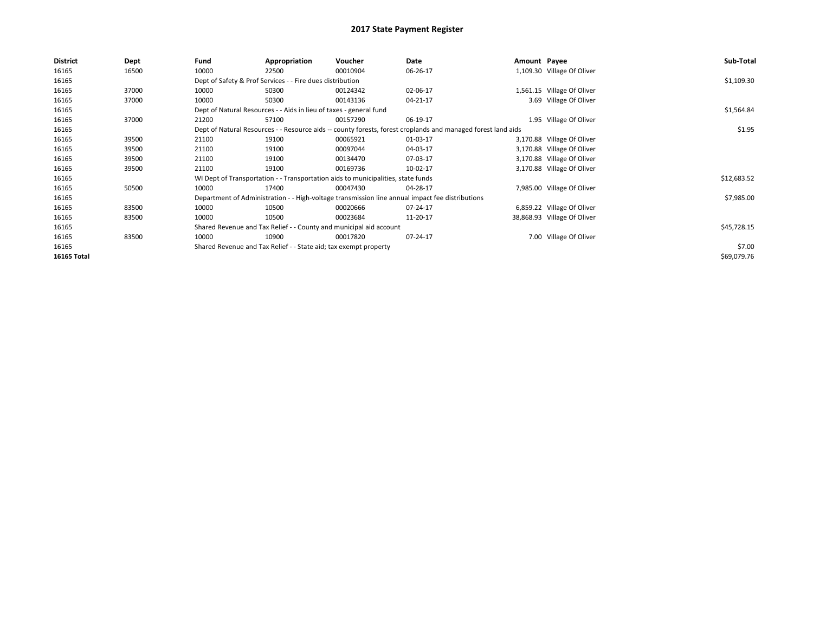| <b>District</b> | Dept  | Fund  | Appropriation                                                                                                | Voucher  | Date     | Amount Payee |                             | Sub-Total   |
|-----------------|-------|-------|--------------------------------------------------------------------------------------------------------------|----------|----------|--------------|-----------------------------|-------------|
| 16165           | 16500 | 10000 | 22500                                                                                                        | 00010904 | 06-26-17 |              | 1,109.30 Village Of Oliver  |             |
| 16165           |       |       | Dept of Safety & Prof Services - - Fire dues distribution                                                    |          |          |              |                             | \$1,109.30  |
| 16165           | 37000 | 10000 | 50300                                                                                                        | 00124342 | 02-06-17 |              | 1,561.15 Village Of Oliver  |             |
| 16165           | 37000 | 10000 | 50300                                                                                                        | 00143136 | 04-21-17 |              | 3.69 Village Of Oliver      |             |
| 16165           |       |       | Dept of Natural Resources - - Aids in lieu of taxes - general fund                                           |          |          |              |                             | \$1,564.84  |
| 16165           | 37000 | 21200 | 57100                                                                                                        | 00157290 | 06-19-17 |              | 1.95 Village Of Oliver      |             |
| 16165           |       |       | Dept of Natural Resources - - Resource aids -- county forests, forest croplands and managed forest land aids |          |          |              |                             | \$1.95      |
| 16165           | 39500 | 21100 | 19100                                                                                                        | 00065921 | 01-03-17 |              | 3,170.88 Village Of Oliver  |             |
| 16165           | 39500 | 21100 | 19100                                                                                                        | 00097044 | 04-03-17 |              | 3,170.88 Village Of Oliver  |             |
| 16165           | 39500 | 21100 | 19100                                                                                                        | 00134470 | 07-03-17 |              | 3,170.88 Village Of Oliver  |             |
| 16165           | 39500 | 21100 | 19100                                                                                                        | 00169736 | 10-02-17 |              | 3,170.88 Village Of Oliver  |             |
| 16165           |       |       | WI Dept of Transportation - - Transportation aids to municipalities, state funds                             |          |          |              |                             | \$12,683.52 |
| 16165           | 50500 | 10000 | 17400                                                                                                        | 00047430 | 04-28-17 |              | 7,985.00 Village Of Oliver  |             |
| 16165           |       |       | Department of Administration - - High-voltage transmission line annual impact fee distributions              |          |          |              |                             | \$7,985.00  |
| 16165           | 83500 | 10000 | 10500                                                                                                        | 00020666 | 07-24-17 |              | 6,859.22 Village Of Oliver  |             |
| 16165           | 83500 | 10000 | 10500                                                                                                        | 00023684 | 11-20-17 |              | 38,868.93 Village Of Oliver |             |
| 16165           |       |       | Shared Revenue and Tax Relief - - County and municipal aid account                                           |          |          |              |                             | \$45,728.15 |
| 16165           | 83500 | 10000 | 10900                                                                                                        | 00017820 | 07-24-17 |              | 7.00 Village Of Oliver      |             |
| 16165           |       |       | Shared Revenue and Tax Relief - - State aid; tax exempt property                                             |          |          |              |                             | \$7.00      |
| 16165 Total     |       |       |                                                                                                              |          |          |              |                             | \$69,079.76 |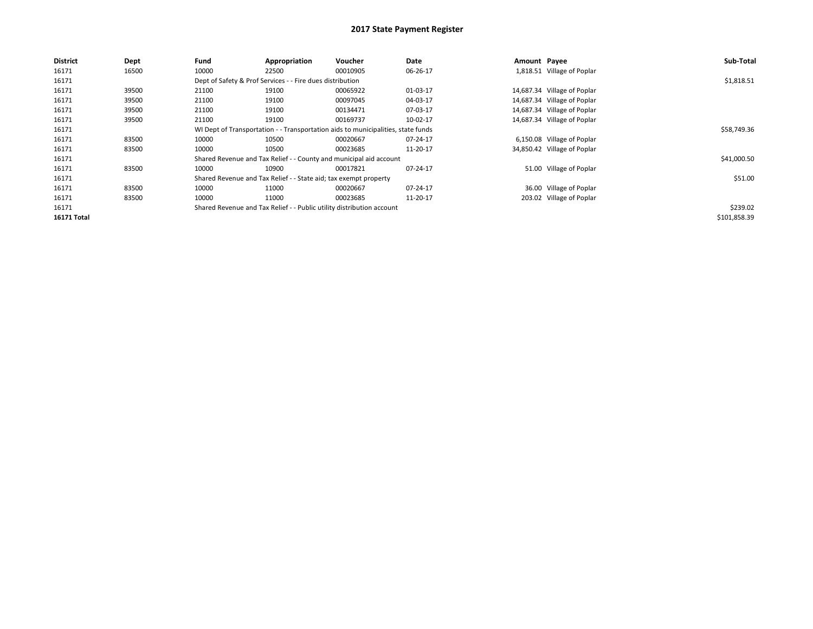| <b>District</b> | Dept  | Fund  | Appropriation                                                         | <b>Voucher</b>                                                                   | Date     | Amount Payee |                             | Sub-Total    |  |  |
|-----------------|-------|-------|-----------------------------------------------------------------------|----------------------------------------------------------------------------------|----------|--------------|-----------------------------|--------------|--|--|
| 16171           | 16500 | 10000 | 22500                                                                 | 00010905                                                                         | 06-26-17 |              | 1,818.51 Village of Poplar  |              |  |  |
| 16171           |       |       | Dept of Safety & Prof Services - - Fire dues distribution             |                                                                                  |          |              |                             |              |  |  |
| 16171           | 39500 | 21100 | 19100                                                                 | 00065922                                                                         | 01-03-17 |              | 14,687.34 Village of Poplar |              |  |  |
| 16171           | 39500 | 21100 | 19100                                                                 | 00097045                                                                         | 04-03-17 |              | 14,687.34 Village of Poplar |              |  |  |
| 16171           | 39500 | 21100 | 19100                                                                 | 00134471                                                                         | 07-03-17 |              | 14,687.34 Village of Poplar |              |  |  |
| 16171           | 39500 | 21100 | 19100                                                                 | 00169737                                                                         | 10-02-17 |              | 14,687.34 Village of Poplar |              |  |  |
| 16171           |       |       |                                                                       | WI Dept of Transportation - - Transportation aids to municipalities, state funds |          |              |                             | \$58,749.36  |  |  |
| 16171           | 83500 | 10000 | 10500                                                                 | 00020667                                                                         | 07-24-17 |              | 6,150.08 Village of Poplar  |              |  |  |
| 16171           | 83500 | 10000 | 10500                                                                 | 00023685                                                                         | 11-20-17 |              | 34,850.42 Village of Poplar |              |  |  |
| 16171           |       |       |                                                                       | Shared Revenue and Tax Relief - - County and municipal aid account               |          |              |                             | \$41,000.50  |  |  |
| 16171           | 83500 | 10000 | 10900                                                                 | 00017821                                                                         | 07-24-17 |              | 51.00 Village of Poplar     |              |  |  |
| 16171           |       |       | Shared Revenue and Tax Relief - - State aid; tax exempt property      |                                                                                  |          |              |                             | \$51.00      |  |  |
| 16171           | 83500 | 10000 | 11000                                                                 | 00020667                                                                         | 07-24-17 |              | 36.00 Village of Poplar     |              |  |  |
| 16171           | 83500 | 10000 | 11000                                                                 | 00023685                                                                         | 11-20-17 |              | 203.02 Village of Poplar    |              |  |  |
| 16171           |       |       | Shared Revenue and Tax Relief - - Public utility distribution account |                                                                                  |          |              |                             | \$239.02     |  |  |
| 16171 Total     |       |       |                                                                       |                                                                                  |          |              |                             | \$101,858.39 |  |  |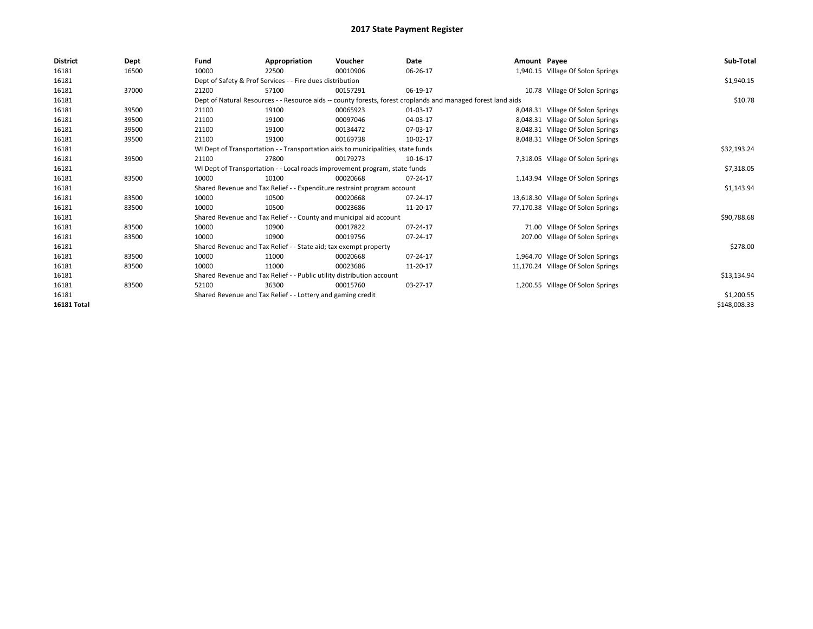| <b>District</b>    | Dept  | Fund                                                                                                         | Appropriation                                                         | Voucher                                                                          | Date     | Amount Payee |                                    | Sub-Total    |
|--------------------|-------|--------------------------------------------------------------------------------------------------------------|-----------------------------------------------------------------------|----------------------------------------------------------------------------------|----------|--------------|------------------------------------|--------------|
| 16181              | 16500 | 10000                                                                                                        | 22500                                                                 | 00010906                                                                         | 06-26-17 |              | 1,940.15 Village Of Solon Springs  |              |
| 16181              |       | Dept of Safety & Prof Services - - Fire dues distribution                                                    |                                                                       | \$1,940.15                                                                       |          |              |                                    |              |
| 16181              | 37000 | 21200                                                                                                        | 57100                                                                 | 00157291                                                                         | 06-19-17 |              | 10.78 Village Of Solon Springs     |              |
| 16181              |       | Dept of Natural Resources - - Resource aids -- county forests, forest croplands and managed forest land aids |                                                                       | \$10.78                                                                          |          |              |                                    |              |
| 16181              | 39500 | 21100                                                                                                        | 19100                                                                 | 00065923                                                                         | 01-03-17 |              | 8,048.31 Village Of Solon Springs  |              |
| 16181              | 39500 | 21100                                                                                                        | 19100                                                                 | 00097046                                                                         | 04-03-17 |              | 8,048.31 Village Of Solon Springs  |              |
| 16181              | 39500 | 21100                                                                                                        | 19100                                                                 | 00134472                                                                         | 07-03-17 |              | 8,048.31 Village Of Solon Springs  |              |
| 16181              | 39500 | 21100                                                                                                        | 19100                                                                 | 00169738                                                                         | 10-02-17 |              | 8,048.31 Village Of Solon Springs  |              |
| 16181              |       |                                                                                                              |                                                                       | WI Dept of Transportation - - Transportation aids to municipalities, state funds |          |              |                                    | \$32,193.24  |
| 16181              | 39500 | 21100                                                                                                        | 27800                                                                 | 00179273                                                                         | 10-16-17 |              | 7,318.05 Village Of Solon Springs  |              |
| 16181              |       |                                                                                                              |                                                                       | WI Dept of Transportation - - Local roads improvement program, state funds       |          |              |                                    | \$7,318.05   |
| 16181              | 83500 | 10000                                                                                                        | 10100                                                                 | 00020668                                                                         | 07-24-17 |              | 1,143.94 Village Of Solon Springs  |              |
| 16181              |       |                                                                                                              |                                                                       | Shared Revenue and Tax Relief - - Expenditure restraint program account          |          |              |                                    | \$1,143.94   |
| 16181              | 83500 | 10000                                                                                                        | 10500                                                                 | 00020668                                                                         | 07-24-17 |              | 13,618.30 Village Of Solon Springs |              |
| 16181              | 83500 | 10000                                                                                                        | 10500                                                                 | 00023686                                                                         | 11-20-17 |              | 77,170.38 Village Of Solon Springs |              |
| 16181              |       |                                                                                                              |                                                                       | Shared Revenue and Tax Relief - - County and municipal aid account               |          |              |                                    | \$90,788.68  |
| 16181              | 83500 | 10000                                                                                                        | 10900                                                                 | 00017822                                                                         | 07-24-17 |              | 71.00 Village Of Solon Springs     |              |
| 16181              | 83500 | 10000                                                                                                        | 10900                                                                 | 00019756                                                                         | 07-24-17 |              | 207.00 Village Of Solon Springs    |              |
| 16181              |       |                                                                                                              | Shared Revenue and Tax Relief - - State aid; tax exempt property      |                                                                                  |          |              |                                    | \$278.00     |
| 16181              | 83500 | 10000                                                                                                        | 11000                                                                 | 00020668                                                                         | 07-24-17 |              | 1,964.70 Village Of Solon Springs  |              |
| 16181              | 83500 | 10000                                                                                                        | 11000                                                                 | 00023686                                                                         | 11-20-17 |              | 11,170.24 Village Of Solon Springs |              |
| 16181              |       |                                                                                                              | Shared Revenue and Tax Relief - - Public utility distribution account |                                                                                  |          |              |                                    | \$13,134.94  |
| 16181              | 83500 | 52100                                                                                                        | 36300                                                                 | 00015760                                                                         | 03-27-17 |              | 1,200.55 Village Of Solon Springs  |              |
| 16181              |       |                                                                                                              | Shared Revenue and Tax Relief - - Lottery and gaming credit           |                                                                                  |          |              |                                    | \$1,200.55   |
| <b>16181 Total</b> |       |                                                                                                              |                                                                       |                                                                                  |          |              |                                    | \$148,008.33 |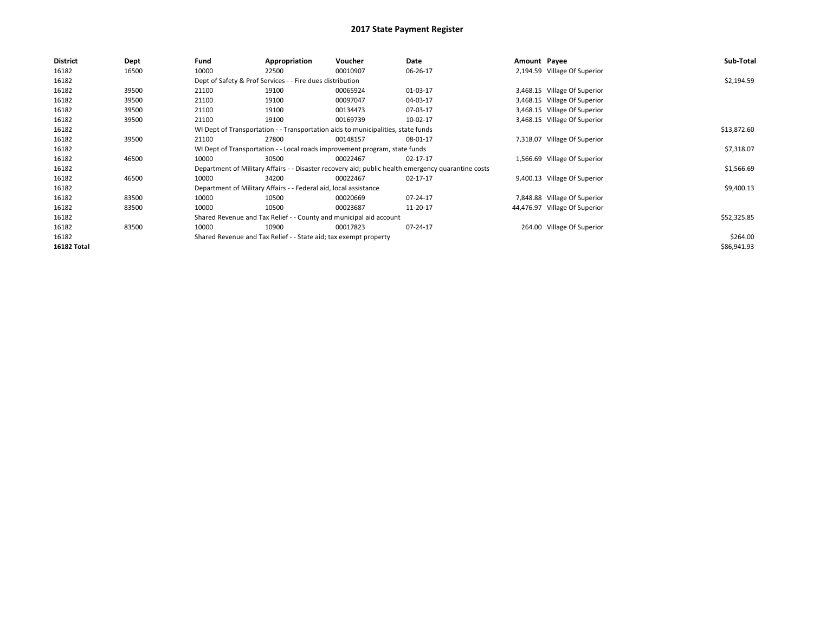| <b>District</b> | Dept  | Fund                                                                                               | Appropriation                                                                    | Voucher     | Date     | Amount Payee |                               | Sub-Total   |  |
|-----------------|-------|----------------------------------------------------------------------------------------------------|----------------------------------------------------------------------------------|-------------|----------|--------------|-------------------------------|-------------|--|
| 16182           | 16500 | 10000                                                                                              | 22500                                                                            | 00010907    | 06-26-17 |              | 2,194.59 Village Of Superior  |             |  |
| 16182           |       |                                                                                                    | Dept of Safety & Prof Services - - Fire dues distribution                        |             |          |              |                               |             |  |
| 16182           | 39500 | 21100                                                                                              | 19100                                                                            | 00065924    | 01-03-17 |              | 3,468.15 Village Of Superior  |             |  |
| 16182           | 39500 | 21100                                                                                              | 19100                                                                            | 00097047    | 04-03-17 |              | 3,468.15 Village Of Superior  |             |  |
| 16182           | 39500 | 21100                                                                                              | 19100                                                                            | 00134473    | 07-03-17 |              | 3,468.15 Village Of Superior  |             |  |
| 16182           | 39500 | 21100                                                                                              | 19100                                                                            | 00169739    | 10-02-17 |              | 3,468.15 Village Of Superior  |             |  |
| 16182           |       |                                                                                                    | WI Dept of Transportation - - Transportation aids to municipalities, state funds |             |          |              |                               | \$13,872.60 |  |
| 16182           | 39500 | 21100                                                                                              | 27800                                                                            | 00148157    | 08-01-17 |              | 7,318.07 Village Of Superior  |             |  |
| 16182           |       |                                                                                                    | WI Dept of Transportation - - Local roads improvement program, state funds       |             |          |              |                               | \$7,318.07  |  |
| 16182           | 46500 | 10000                                                                                              | 30500                                                                            | 00022467    | 02-17-17 |              | 1,566.69 Village Of Superior  |             |  |
| 16182           |       | Department of Military Affairs - - Disaster recovery aid; public health emergency quarantine costs |                                                                                  | \$1,566.69  |          |              |                               |             |  |
| 16182           | 46500 | 10000                                                                                              | 34200                                                                            | 00022467    | 02-17-17 |              | 9,400.13 Village Of Superior  |             |  |
| 16182           |       |                                                                                                    | Department of Military Affairs - - Federal aid, local assistance                 |             |          |              |                               | \$9,400.13  |  |
| 16182           | 83500 | 10000                                                                                              | 10500                                                                            | 00020669    | 07-24-17 |              | 7,848.88 Village Of Superior  |             |  |
| 16182           | 83500 | 10000                                                                                              | 10500                                                                            | 00023687    | 11-20-17 |              | 44,476.97 Village Of Superior |             |  |
| 16182           |       | Shared Revenue and Tax Relief - - County and municipal aid account                                 |                                                                                  | \$52,325.85 |          |              |                               |             |  |
| 16182           | 83500 | 10000                                                                                              | 10900                                                                            | 00017823    | 07-24-17 |              | 264.00 Village Of Superior    |             |  |
| 16182           |       |                                                                                                    | Shared Revenue and Tax Relief - - State aid; tax exempt property                 |             |          |              |                               | \$264.00    |  |
| 16182 Total     |       |                                                                                                    |                                                                                  |             |          |              |                               | \$86,941.93 |  |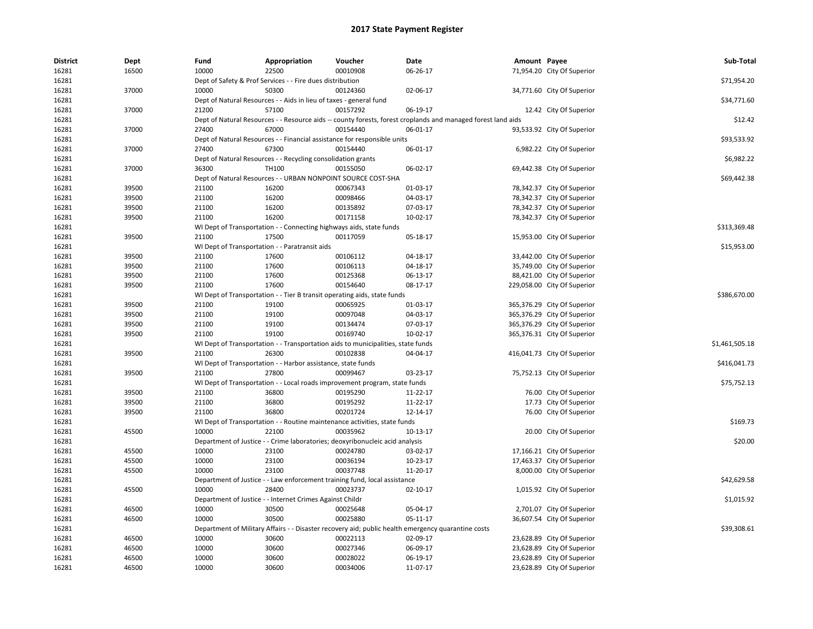| <b>District</b> | Dept  | Fund                                                               | Appropriation                                                       | Voucher                                                                          | Date                                                                                                         | Amount Payee |                             | Sub-Total      |
|-----------------|-------|--------------------------------------------------------------------|---------------------------------------------------------------------|----------------------------------------------------------------------------------|--------------------------------------------------------------------------------------------------------------|--------------|-----------------------------|----------------|
| 16281           | 16500 | 10000                                                              | 22500                                                               | 00010908                                                                         | 06-26-17                                                                                                     |              | 71,954.20 City Of Superior  |                |
| 16281           |       |                                                                    | Dept of Safety & Prof Services - - Fire dues distribution           |                                                                                  |                                                                                                              |              |                             | \$71,954.20    |
| 16281           | 37000 | 10000                                                              | 50300                                                               | 00124360                                                                         | 02-06-17                                                                                                     |              | 34,771.60 City Of Superior  |                |
| 16281           |       | Dept of Natural Resources - - Aids in lieu of taxes - general fund | \$34,771.60                                                         |                                                                                  |                                                                                                              |              |                             |                |
| 16281           | 37000 | 21200                                                              | 57100                                                               | 00157292                                                                         | 06-19-17                                                                                                     |              | 12.42 City Of Superior      |                |
| 16281           |       |                                                                    |                                                                     |                                                                                  | Dept of Natural Resources - - Resource aids -- county forests, forest croplands and managed forest land aids |              |                             | \$12.42        |
| 16281           | 37000 | 27400                                                              | 67000                                                               | 00154440                                                                         | 06-01-17                                                                                                     |              | 93,533.92 City Of Superior  |                |
| 16281           |       |                                                                    |                                                                     | Dept of Natural Resources - - Financial assistance for responsible units         |                                                                                                              |              |                             | \$93,533.92    |
| 16281           | 37000 | 27400                                                              | 67300                                                               | 00154440                                                                         | 06-01-17                                                                                                     |              | 6,982.22 City Of Superior   |                |
| 16281           |       |                                                                    | Dept of Natural Resources - - Recycling consolidation grants        |                                                                                  |                                                                                                              |              |                             | \$6,982.22     |
| 16281           | 37000 | 36300                                                              | <b>TH100</b>                                                        | 00155050                                                                         | 06-02-17                                                                                                     |              | 69,442.38 City Of Superior  |                |
| 16281           |       |                                                                    | Dept of Natural Resources - - URBAN NONPOINT SOURCE COST-SHA        |                                                                                  |                                                                                                              |              |                             | \$69,442.38    |
| 16281           | 39500 | 21100                                                              | 16200                                                               | 00067343                                                                         | 01-03-17                                                                                                     |              | 78,342.37 City Of Superior  |                |
| 16281           | 39500 | 21100                                                              | 16200                                                               | 00098466                                                                         | 04-03-17                                                                                                     |              | 78,342.37 City Of Superior  |                |
| 16281           | 39500 | 21100                                                              | 16200                                                               | 00135892                                                                         | 07-03-17                                                                                                     |              | 78,342.37 City Of Superior  |                |
| 16281           | 39500 | 21100                                                              | 16200                                                               | 00171158                                                                         | 10-02-17                                                                                                     |              | 78,342.37 City Of Superior  |                |
| 16281           |       |                                                                    | WI Dept of Transportation - - Connecting highways aids, state funds |                                                                                  |                                                                                                              |              |                             | \$313,369.48   |
| 16281           | 39500 | 21100                                                              | 17500                                                               | 00117059                                                                         | 05-18-17                                                                                                     |              | 15,953.00 City Of Superior  |                |
| 16281           |       |                                                                    | WI Dept of Transportation - - Paratransit aids                      |                                                                                  |                                                                                                              |              |                             | \$15,953.00    |
| 16281           | 39500 | 21100                                                              | 17600                                                               | 00106112                                                                         | 04-18-17                                                                                                     |              | 33,442.00 City Of Superior  |                |
| 16281           | 39500 | 21100                                                              | 17600                                                               | 00106113                                                                         | 04-18-17                                                                                                     |              | 35,749.00 City Of Superior  |                |
| 16281           | 39500 | 21100                                                              | 17600                                                               | 00125368                                                                         | 06-13-17                                                                                                     |              | 88,421.00 City Of Superior  |                |
| 16281           | 39500 | 21100                                                              | 17600                                                               | 00154640                                                                         | 08-17-17                                                                                                     |              | 229,058.00 City Of Superior |                |
| 16281           |       |                                                                    |                                                                     | WI Dept of Transportation - - Tier B transit operating aids, state funds         |                                                                                                              |              |                             | \$386,670.00   |
| 16281           | 39500 | 21100                                                              | 19100                                                               | 00065925                                                                         | 01-03-17                                                                                                     |              | 365,376.29 City Of Superior |                |
| 16281           | 39500 | 21100                                                              | 19100                                                               | 00097048                                                                         | 04-03-17                                                                                                     |              | 365,376.29 City Of Superior |                |
| 16281           | 39500 | 21100                                                              | 19100                                                               | 00134474                                                                         | 07-03-17                                                                                                     |              | 365,376.29 City Of Superior |                |
| 16281           | 39500 | 21100                                                              | 19100                                                               | 00169740                                                                         | 10-02-17                                                                                                     |              | 365,376.31 City Of Superior |                |
| 16281           |       |                                                                    |                                                                     | WI Dept of Transportation - - Transportation aids to municipalities, state funds |                                                                                                              |              |                             | \$1,461,505.18 |
| 16281           | 39500 | 21100                                                              | 26300                                                               | 00102838                                                                         | 04-04-17                                                                                                     |              | 416,041.73 City Of Superior |                |
| 16281           |       |                                                                    | WI Dept of Transportation - - Harbor assistance, state funds        |                                                                                  |                                                                                                              |              |                             | \$416,041.73   |
| 16281           | 39500 | 21100                                                              | 27800                                                               | 00099467                                                                         | 03-23-17                                                                                                     |              | 75,752.13 City Of Superior  |                |
| 16281           |       |                                                                    |                                                                     | WI Dept of Transportation - - Local roads improvement program, state funds       |                                                                                                              |              |                             | \$75,752.13    |
| 16281           | 39500 | 21100                                                              | 36800                                                               | 00195290                                                                         | 11-22-17                                                                                                     |              | 76.00 City Of Superior      |                |
| 16281           | 39500 | 21100                                                              | 36800                                                               | 00195292                                                                         | 11-22-17                                                                                                     |              | 17.73 City Of Superior      |                |
| 16281           | 39500 | 21100                                                              | 36800                                                               | 00201724                                                                         | 12-14-17                                                                                                     |              | 76.00 City Of Superior      |                |
| 16281           |       |                                                                    |                                                                     | WI Dept of Transportation - - Routine maintenance activities, state funds        |                                                                                                              |              |                             | \$169.73       |
| 16281           | 45500 | 10000                                                              | 22100                                                               | 00035962                                                                         | 10-13-17                                                                                                     |              | 20.00 City Of Superior      |                |
| 16281           |       |                                                                    |                                                                     | Department of Justice - - Crime laboratories; deoxyribonucleic acid analysis     |                                                                                                              |              |                             | \$20.00        |
| 16281           | 45500 | 10000                                                              | 23100                                                               | 00024780                                                                         | 03-02-17                                                                                                     |              | 17,166.21 City Of Superior  |                |
| 16281           | 45500 | 10000                                                              | 23100                                                               | 00036194                                                                         | 10-23-17                                                                                                     |              | 17,463.37 City Of Superior  |                |
| 16281           | 45500 | 10000                                                              | 23100                                                               | 00037748                                                                         | 11-20-17                                                                                                     |              | 8,000.00 City Of Superior   |                |
| 16281           |       |                                                                    |                                                                     | Department of Justice - - Law enforcement training fund, local assistance        |                                                                                                              |              |                             | \$42,629.58    |
| 16281           | 45500 | 10000                                                              | 28400                                                               | 00023737                                                                         | 02-10-17                                                                                                     |              | 1,015.92 City Of Superior   |                |
| 16281           |       |                                                                    | Department of Justice - - Internet Crimes Against Childr            |                                                                                  |                                                                                                              |              |                             | \$1,015.92     |
| 16281           | 46500 | 10000                                                              | 30500                                                               | 00025648                                                                         | 05-04-17                                                                                                     |              | 2,701.07 City Of Superior   |                |
| 16281           | 46500 | 10000                                                              | 30500                                                               | 00025880                                                                         | 05-11-17                                                                                                     |              | 36,607.54 City Of Superior  |                |
| 16281           |       |                                                                    |                                                                     |                                                                                  | Department of Military Affairs - - Disaster recovery aid; public health emergency quarantine costs           |              |                             | \$39,308.61    |
| 16281           | 46500 | 10000                                                              | 30600                                                               | 00022113                                                                         | 02-09-17                                                                                                     |              | 23,628.89 City Of Superior  |                |
| 16281           | 46500 | 10000                                                              | 30600                                                               | 00027346                                                                         | 06-09-17                                                                                                     |              | 23,628.89 City Of Superior  |                |
| 16281           | 46500 | 10000                                                              | 30600                                                               | 00028022                                                                         | 06-19-17                                                                                                     |              | 23,628.89 City Of Superior  |                |
| 16281           | 46500 | 10000                                                              | 30600                                                               | 00034006                                                                         | 11-07-17                                                                                                     |              | 23,628.89 City Of Superior  |                |
|                 |       |                                                                    |                                                                     |                                                                                  |                                                                                                              |              |                             |                |